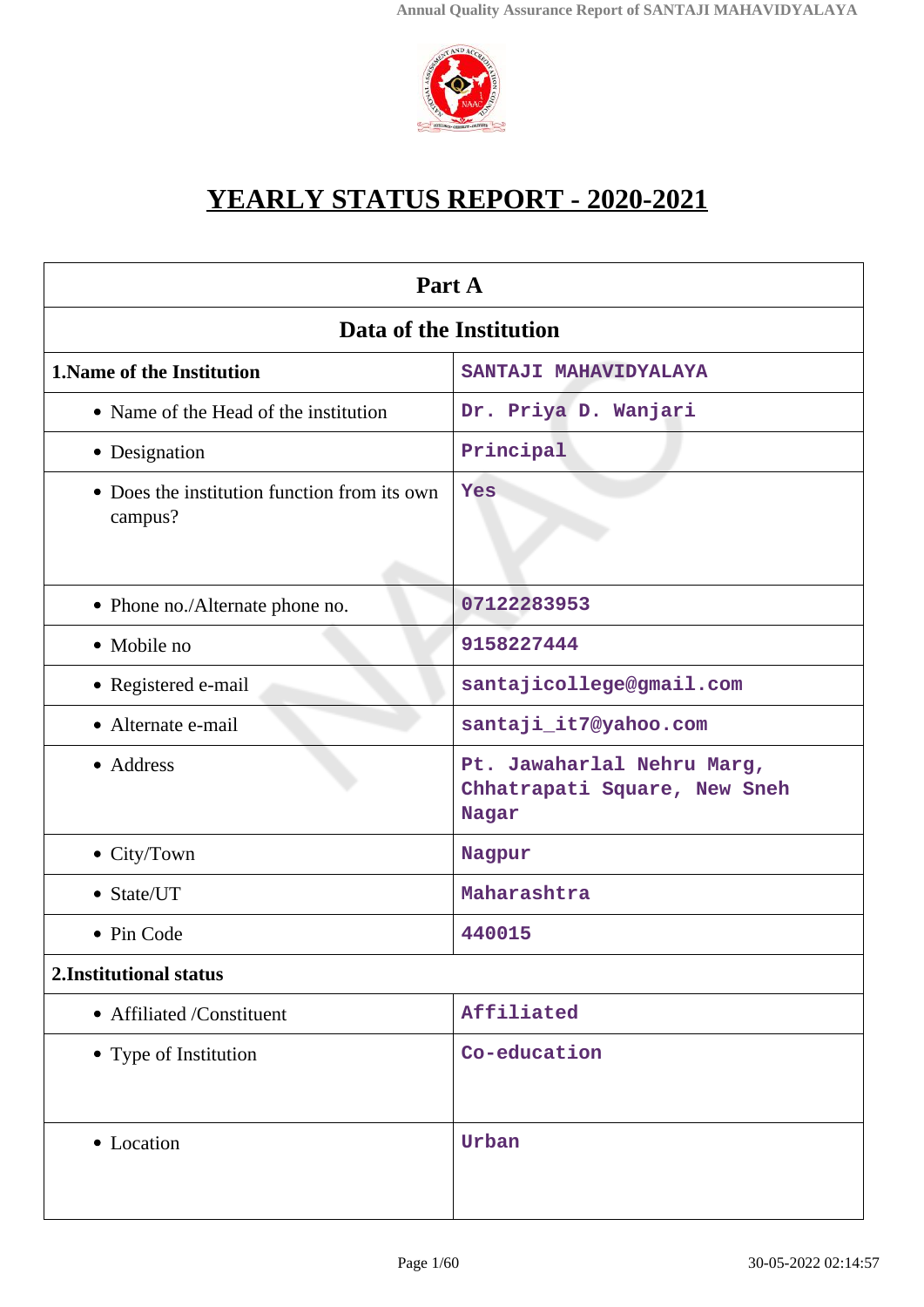

# **YEARLY STATUS REPORT - 2020-2021**

| Part A                                                  |                                                                     |  |  |
|---------------------------------------------------------|---------------------------------------------------------------------|--|--|
| Data of the Institution                                 |                                                                     |  |  |
| <b>1. Name of the Institution</b>                       | SANTAJI MAHAVIDYALAYA                                               |  |  |
| • Name of the Head of the institution                   | Dr. Priya D. Wanjari                                                |  |  |
| • Designation                                           | Principal                                                           |  |  |
| • Does the institution function from its own<br>campus? | Yes                                                                 |  |  |
| • Phone no./Alternate phone no.                         | 07122283953                                                         |  |  |
| • Mobile no                                             | 9158227444                                                          |  |  |
| • Registered e-mail                                     | santajicollege@gmail.com                                            |  |  |
| • Alternate e-mail                                      | santaji_it7@yahoo.com                                               |  |  |
| • Address                                               | Pt. Jawaharlal Nehru Marg,<br>Chhatrapati Square, New Sneh<br>Nagar |  |  |
| • City/Town                                             | Nagpur                                                              |  |  |
| • State/UT                                              | Maharashtra                                                         |  |  |
| • Pin Code                                              | 440015                                                              |  |  |
| 2. Institutional status                                 |                                                                     |  |  |
| • Affiliated /Constituent                               | Affiliated                                                          |  |  |
| • Type of Institution                                   | Co-education                                                        |  |  |
| • Location                                              | Urban                                                               |  |  |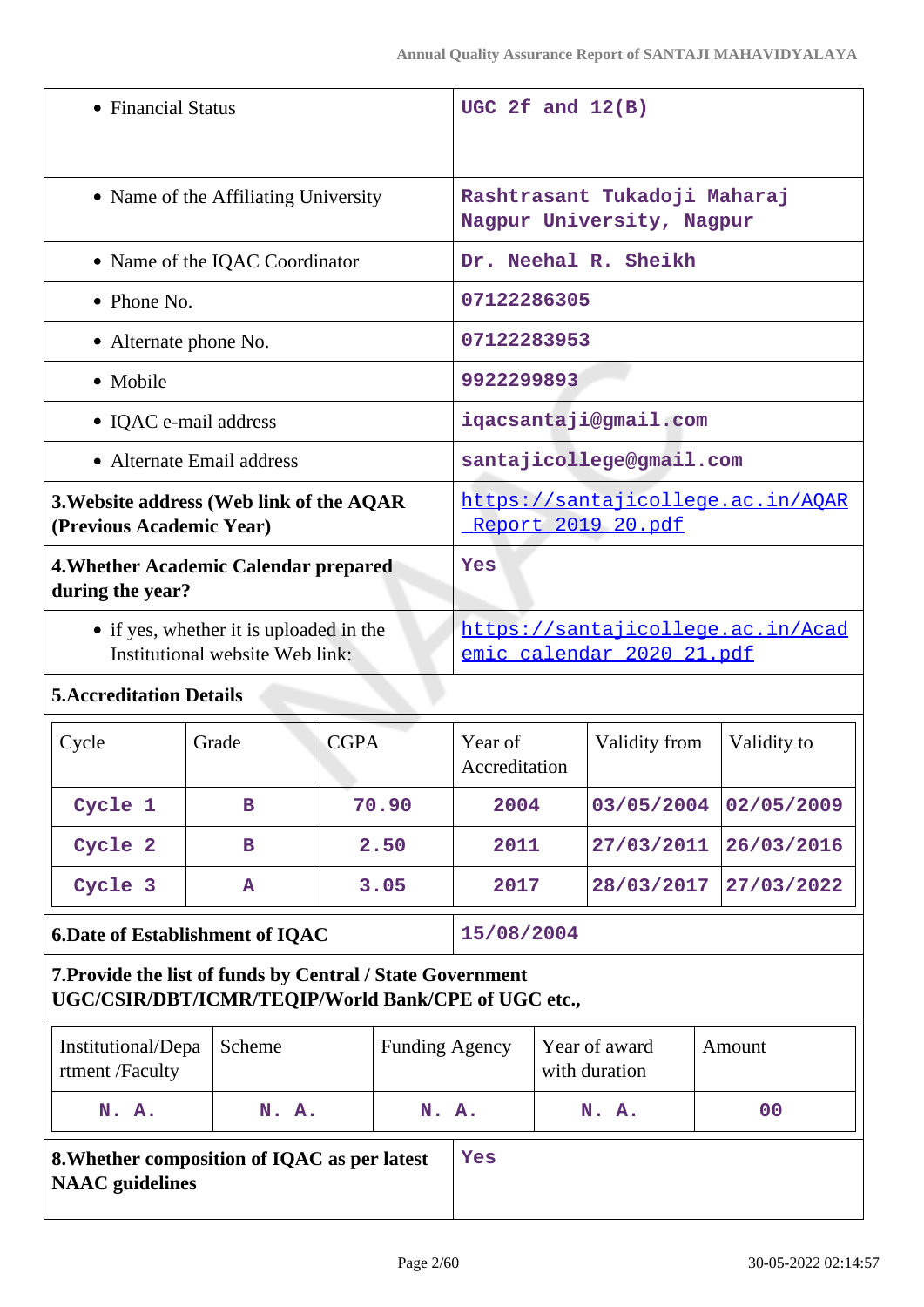| • Financial Status                                                                                                |                                       |                                                                      | UGC 2f and $12(B)$ |                                                           |                                                         |                      |                                |             |
|-------------------------------------------------------------------------------------------------------------------|---------------------------------------|----------------------------------------------------------------------|--------------------|-----------------------------------------------------------|---------------------------------------------------------|----------------------|--------------------------------|-------------|
| • Name of the Affiliating University                                                                              |                                       |                                                                      |                    | Rashtrasant Tukadoji Maharaj<br>Nagpur University, Nagpur |                                                         |                      |                                |             |
|                                                                                                                   |                                       | • Name of the IQAC Coordinator                                       |                    |                                                           |                                                         | Dr. Neehal R. Sheikh |                                |             |
|                                                                                                                   | • Phone No.                           |                                                                      |                    |                                                           | 07122286305                                             |                      |                                |             |
|                                                                                                                   |                                       | • Alternate phone No.                                                |                    |                                                           | 07122283953                                             |                      |                                |             |
|                                                                                                                   | • Mobile                              |                                                                      |                    |                                                           | 9922299893                                              |                      |                                |             |
|                                                                                                                   |                                       | • IQAC e-mail address                                                |                    |                                                           |                                                         |                      | iqacsantaji@gmail.com          |             |
|                                                                                                                   |                                       | • Alternate Email address                                            |                    |                                                           |                                                         |                      | santajicollege@gmail.com       |             |
|                                                                                                                   |                                       | 3. Website address (Web link of the AQAR<br>(Previous Academic Year) |                    |                                                           | https://santajicollege.ac.in/AQAR<br>Report 2019 20.pdf |                      |                                |             |
|                                                                                                                   | during the year?                      | 4. Whether Academic Calendar prepared                                |                    |                                                           | Yes                                                     |                      |                                |             |
| • if yes, whether it is uploaded in the<br>Institutional website Web link:                                        |                                       | https://santajicollege.ac.in/Acad<br>emic calendar 2020 21.pdf       |                    |                                                           |                                                         |                      |                                |             |
|                                                                                                                   | <b>5. Accreditation Details</b>       |                                                                      |                    |                                                           |                                                         |                      |                                |             |
| Cycle                                                                                                             |                                       | Grade                                                                | <b>CGPA</b>        |                                                           | Year of<br>Accreditation                                |                      | Validity from                  | Validity to |
|                                                                                                                   | Cycle 1                               | в                                                                    |                    | 70.90                                                     | 2004                                                    |                      | 03/05/2004                     | 02/05/2009  |
|                                                                                                                   | Cycle 2                               | в                                                                    | 2.50               |                                                           | 2011                                                    |                      | 27/03/2011                     | 26/03/2016  |
|                                                                                                                   | Cycle 3                               | Α                                                                    | 3.05               |                                                           | 2017                                                    |                      | 28/03/2017                     | 27/03/2022  |
| <b>6.Date of Establishment of IQAC</b>                                                                            |                                       |                                                                      | 15/08/2004         |                                                           |                                                         |                      |                                |             |
| 7. Provide the list of funds by Central / State Government<br>UGC/CSIR/DBT/ICMR/TEQIP/World Bank/CPE of UGC etc., |                                       |                                                                      |                    |                                                           |                                                         |                      |                                |             |
|                                                                                                                   | Institutional/Depa<br>rtment /Faculty | Scheme                                                               |                    | <b>Funding Agency</b>                                     |                                                         |                      | Year of award<br>with duration | Amount      |
|                                                                                                                   | N. A.                                 | N. A.                                                                | N. A.              |                                                           |                                                         |                      | N. A.                          | 00          |

# **8.Whether composition of IQAC as per latest NAAC guidelines**

**Yes**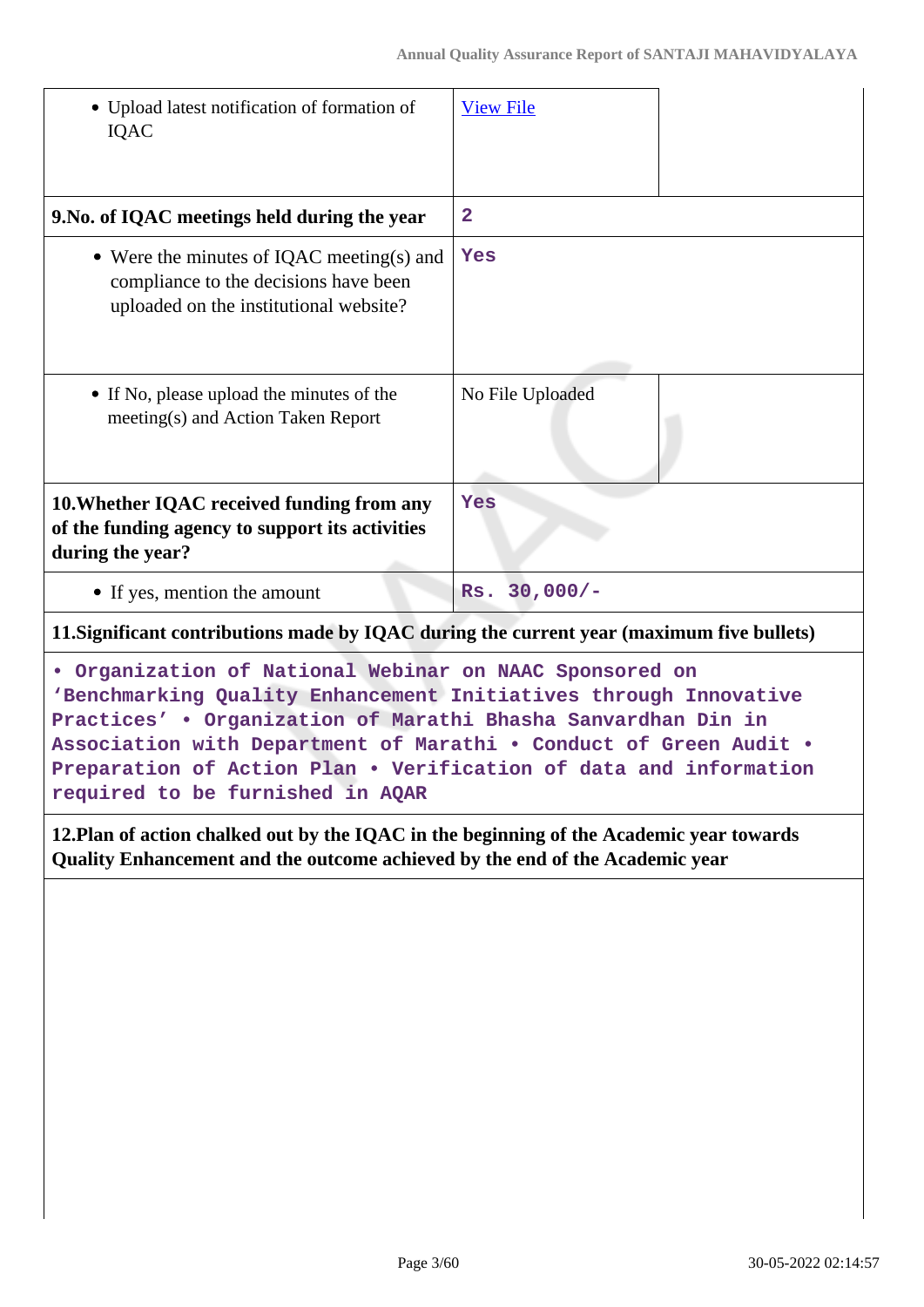| • Upload latest notification of formation of<br><b>IQAC</b>                                                                                                                                  | <b>View File</b>  |  |
|----------------------------------------------------------------------------------------------------------------------------------------------------------------------------------------------|-------------------|--|
| 9. No. of IQAC meetings held during the year                                                                                                                                                 | $\mathbf{2}$      |  |
| • Were the minutes of IQAC meeting(s) and<br>compliance to the decisions have been<br>uploaded on the institutional website?                                                                 | Yes               |  |
| • If No, please upload the minutes of the<br>meeting(s) and Action Taken Report                                                                                                              | No File Uploaded  |  |
| 10. Whether IQAC received funding from any<br>of the funding agency to support its activities<br>during the year?                                                                            | Yes               |  |
| • If yes, mention the amount                                                                                                                                                                 | $30,000/-$<br>Rs. |  |
| 11. Significant contributions made by IQAC during the current year (maximum five bullets)                                                                                                    |                   |  |
| . Organization of National Webinar on NAAC Sponsored on<br>'Benchmarking Quality Enhancement Initiatives through Innovative<br>Practices' . Organization of Marathi Bhasha Sanvardhan Din in |                   |  |

**Association with Department of Marathi • Conduct of Green Audit • Preparation of Action Plan • Verification of data and information required to be furnished in AQAR**

**12.Plan of action chalked out by the IQAC in the beginning of the Academic year towards Quality Enhancement and the outcome achieved by the end of the Academic year**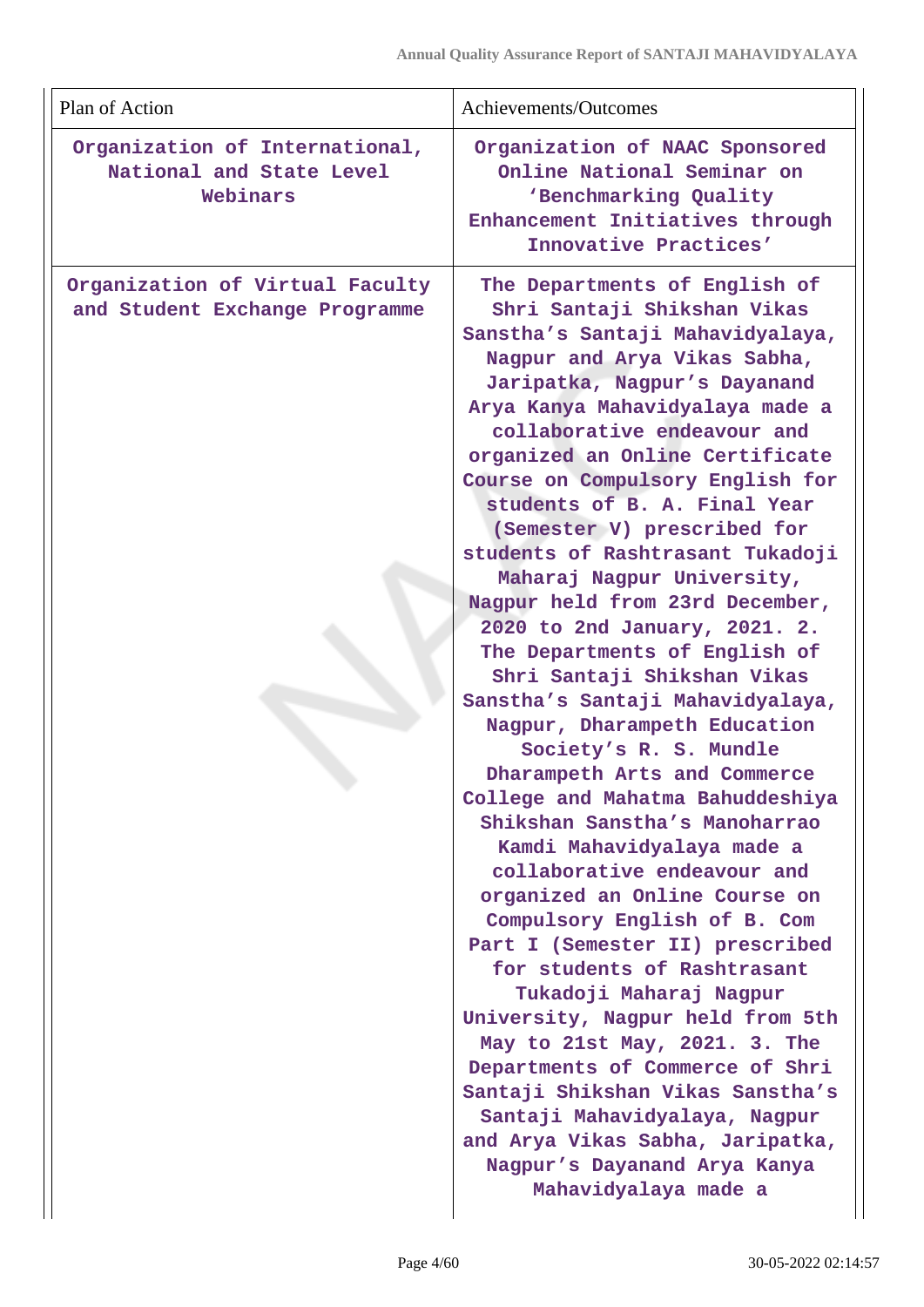| Plan of Action                                                         | Achievements/Outcomes                                                                                                                                                                                                                                                                                                                                                                                                                                                                                                                                                                                                                                                                                                                                                                                                                                                                                                                                                                                                                                                                                                                                                                                                                                                                 |
|------------------------------------------------------------------------|---------------------------------------------------------------------------------------------------------------------------------------------------------------------------------------------------------------------------------------------------------------------------------------------------------------------------------------------------------------------------------------------------------------------------------------------------------------------------------------------------------------------------------------------------------------------------------------------------------------------------------------------------------------------------------------------------------------------------------------------------------------------------------------------------------------------------------------------------------------------------------------------------------------------------------------------------------------------------------------------------------------------------------------------------------------------------------------------------------------------------------------------------------------------------------------------------------------------------------------------------------------------------------------|
| Organization of International,<br>National and State Level<br>Webinars | Organization of NAAC Sponsored<br>Online National Seminar on<br>'Benchmarking Quality<br>Enhancement Initiatives through<br>Innovative Practices'                                                                                                                                                                                                                                                                                                                                                                                                                                                                                                                                                                                                                                                                                                                                                                                                                                                                                                                                                                                                                                                                                                                                     |
| Organization of Virtual Faculty<br>and Student Exchange Programme      | The Departments of English of<br>Shri Santaji Shikshan Vikas<br>Sanstha's Santaji Mahavidyalaya,<br>Nagpur and Arya Vikas Sabha,<br>Jaripatka, Nagpur's Dayanand<br>Arya Kanya Mahavidyalaya made a<br>collaborative endeavour and<br>organized an Online Certificate<br>Course on Compulsory English for<br>students of B. A. Final Year<br>(Semester V) prescribed for<br>students of Rashtrasant Tukadoji<br>Maharaj Nagpur University,<br>Nagpur held from 23rd December,<br>2020 to 2nd January, 2021. 2.<br>The Departments of English of<br>Shri Santaji Shikshan Vikas<br>Sanstha's Santaji Mahavidyalaya,<br>Nagpur, Dharampeth Education<br>Society's R. S. Mundle<br>Dharampeth Arts and Commerce<br>College and Mahatma Bahuddeshiya<br>Shikshan Sanstha's Manoharrao<br>Kamdi Mahavidyalaya made a<br>collaborative endeavour and<br>organized an Online Course on<br>Compulsory English of B. Com<br>Part I (Semester II) prescribed<br>for students of Rashtrasant<br>Tukadoji Maharaj Nagpur<br>University, Nagpur held from 5th<br>May to 21st May, 2021. 3. The<br>Departments of Commerce of Shri<br>Santaji Shikshan Vikas Sanstha's<br>Santaji Mahavidyalaya, Nagpur<br>and Arya Vikas Sabha, Jaripatka,<br>Nagpur's Dayanand Arya Kanya<br>Mahavidyalaya made a |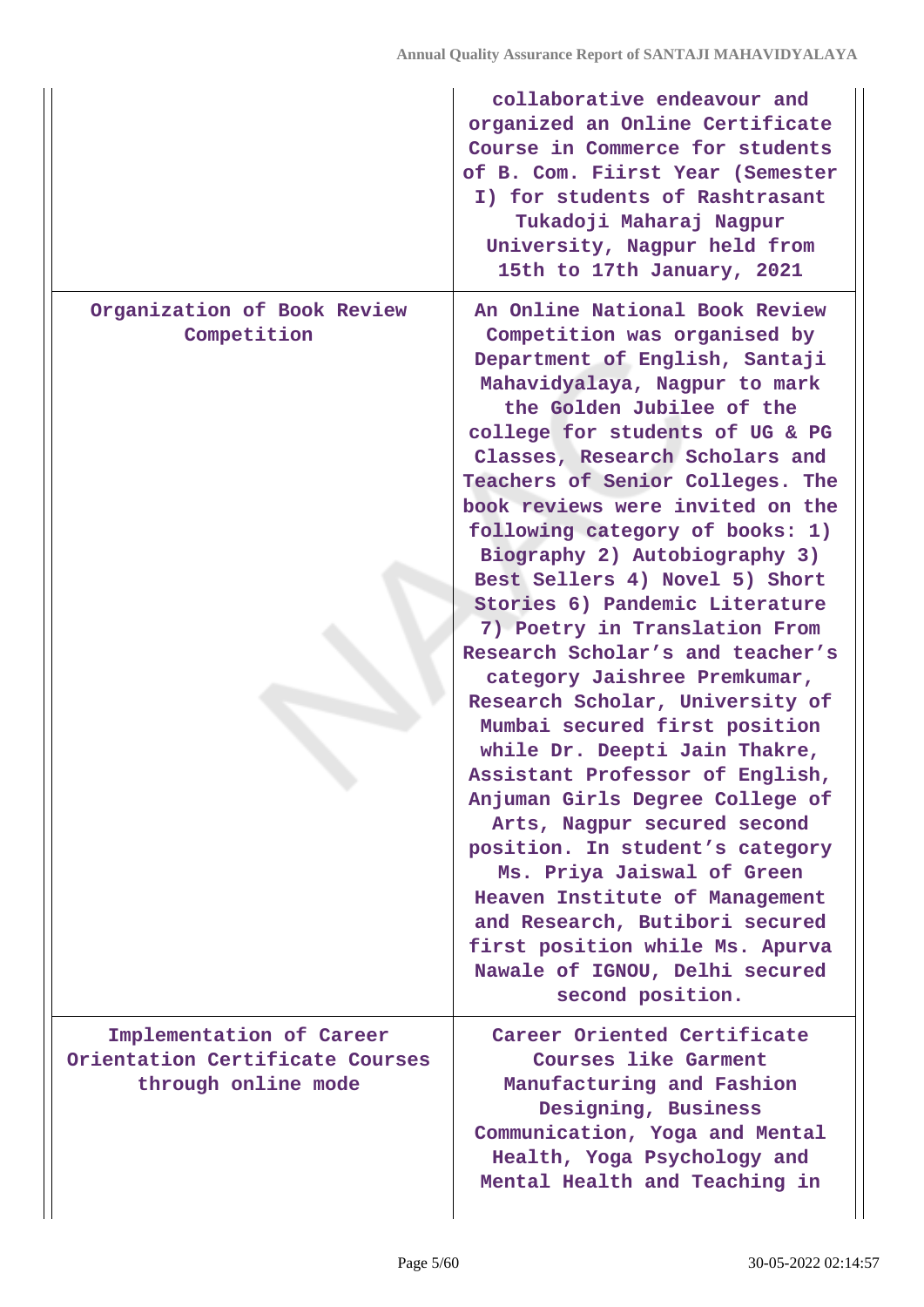|                                                                                    | collaborative endeavour and<br>organized an Online Certificate<br>Course in Commerce for students<br>of B. Com. Fiirst Year (Semester<br>I) for students of Rashtrasant<br>Tukadoji Maharaj Nagpur<br>University, Nagpur held from<br>15th to 17th January, 2021                                                                                                                                                                                                                                                                                                                                                                                                                                                                                                                                                                                                                                                                                                                                 |
|------------------------------------------------------------------------------------|--------------------------------------------------------------------------------------------------------------------------------------------------------------------------------------------------------------------------------------------------------------------------------------------------------------------------------------------------------------------------------------------------------------------------------------------------------------------------------------------------------------------------------------------------------------------------------------------------------------------------------------------------------------------------------------------------------------------------------------------------------------------------------------------------------------------------------------------------------------------------------------------------------------------------------------------------------------------------------------------------|
| Organization of Book Review<br>Competition                                         | An Online National Book Review<br>Competition was organised by<br>Department of English, Santaji<br>Mahavidyalaya, Nagpur to mark<br>the Golden Jubilee of the<br>college for students of UG & PG<br>Classes, Research Scholars and<br>Teachers of Senior Colleges. The<br>book reviews were invited on the<br>following category of books: 1)<br>Biography 2) Autobiography 3)<br>Best Sellers 4) Novel 5) Short<br>Stories 6) Pandemic Literature<br>7) Poetry in Translation From<br>Research Scholar's and teacher's<br>category Jaishree Premkumar,<br>Research Scholar, University of<br>Mumbai secured first position<br>while Dr. Deepti Jain Thakre,<br>Assistant Professor of English,<br>Anjuman Girls Degree College of<br>Arts, Nagpur secured second<br>position. In student's category<br>Ms. Priya Jaiswal of Green<br>Heaven Institute of Management<br>and Research, Butibori secured<br>first position while Ms. Apurva<br>Nawale of IGNOU, Delhi secured<br>second position. |
| Implementation of Career<br>Orientation Certificate Courses<br>through online mode | Career Oriented Certificate<br><b>Courses like Garment</b><br>Manufacturing and Fashion<br>Designing, Business<br>Communication, Yoga and Mental<br>Health, Yoga Psychology and<br>Mental Health and Teaching in                                                                                                                                                                                                                                                                                                                                                                                                                                                                                                                                                                                                                                                                                                                                                                                 |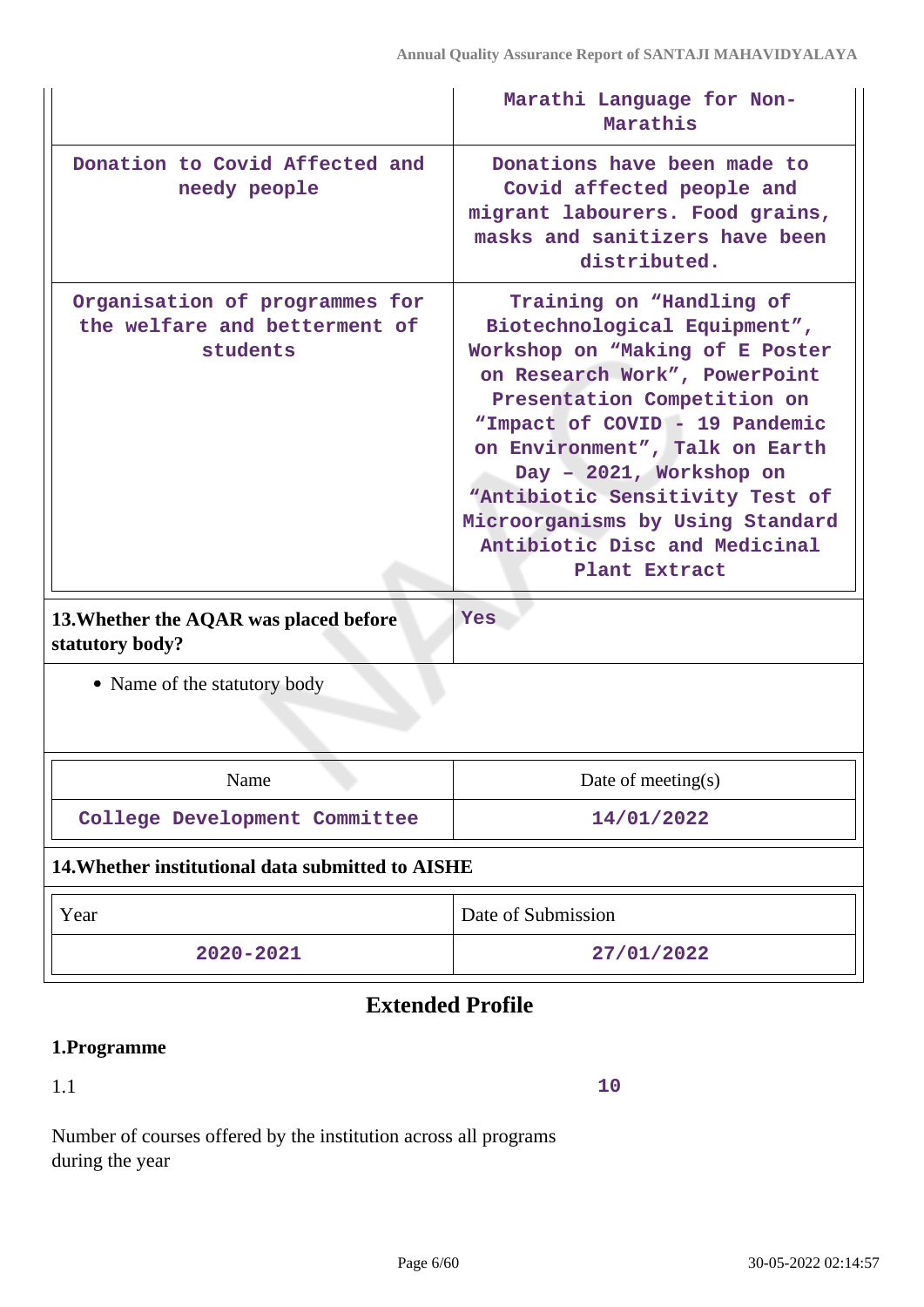|                                                                                                                       | Marathi Language for Non-<br>Marathis                                                                                                                                                                                                                                                                                                                                                             |  |  |
|-----------------------------------------------------------------------------------------------------------------------|---------------------------------------------------------------------------------------------------------------------------------------------------------------------------------------------------------------------------------------------------------------------------------------------------------------------------------------------------------------------------------------------------|--|--|
| Donation to Covid Affected and<br>needy people                                                                        | Donations have been made to<br>Covid affected people and<br>migrant labourers. Food grains,<br>masks and sanitizers have been<br>distributed.                                                                                                                                                                                                                                                     |  |  |
| Organisation of programmes for<br>the welfare and betterment of<br>students<br>13. Whether the AQAR was placed before | Training on "Handling of<br>Biotechnological Equipment",<br>Workshop on "Making of E Poster<br>on Research Work", PowerPoint<br>Presentation Competition on<br>"Impact of COVID - 19 Pandemic<br>on Environment", Talk on Earth<br>Day - 2021, Workshop on<br>"Antibiotic Sensitivity Test of<br>Microorganisms by Using Standard<br>Antibiotic Disc and Medicinal<br>Plant Extract<br><b>Yes</b> |  |  |
| statutory body?                                                                                                       |                                                                                                                                                                                                                                                                                                                                                                                                   |  |  |
| • Name of the statutory body                                                                                          |                                                                                                                                                                                                                                                                                                                                                                                                   |  |  |
| Name                                                                                                                  | Date of meeting(s)                                                                                                                                                                                                                                                                                                                                                                                |  |  |
| College Development Committee                                                                                         | 14/01/2022                                                                                                                                                                                                                                                                                                                                                                                        |  |  |
| 14. Whether institutional data submitted to AISHE                                                                     |                                                                                                                                                                                                                                                                                                                                                                                                   |  |  |
| Year                                                                                                                  | Date of Submission                                                                                                                                                                                                                                                                                                                                                                                |  |  |
| 2020-2021                                                                                                             | 27/01/2022                                                                                                                                                                                                                                                                                                                                                                                        |  |  |

# **Extended Profile**

# **1.Programme**

1.1

**10**

Number of courses offered by the institution across all programs during the year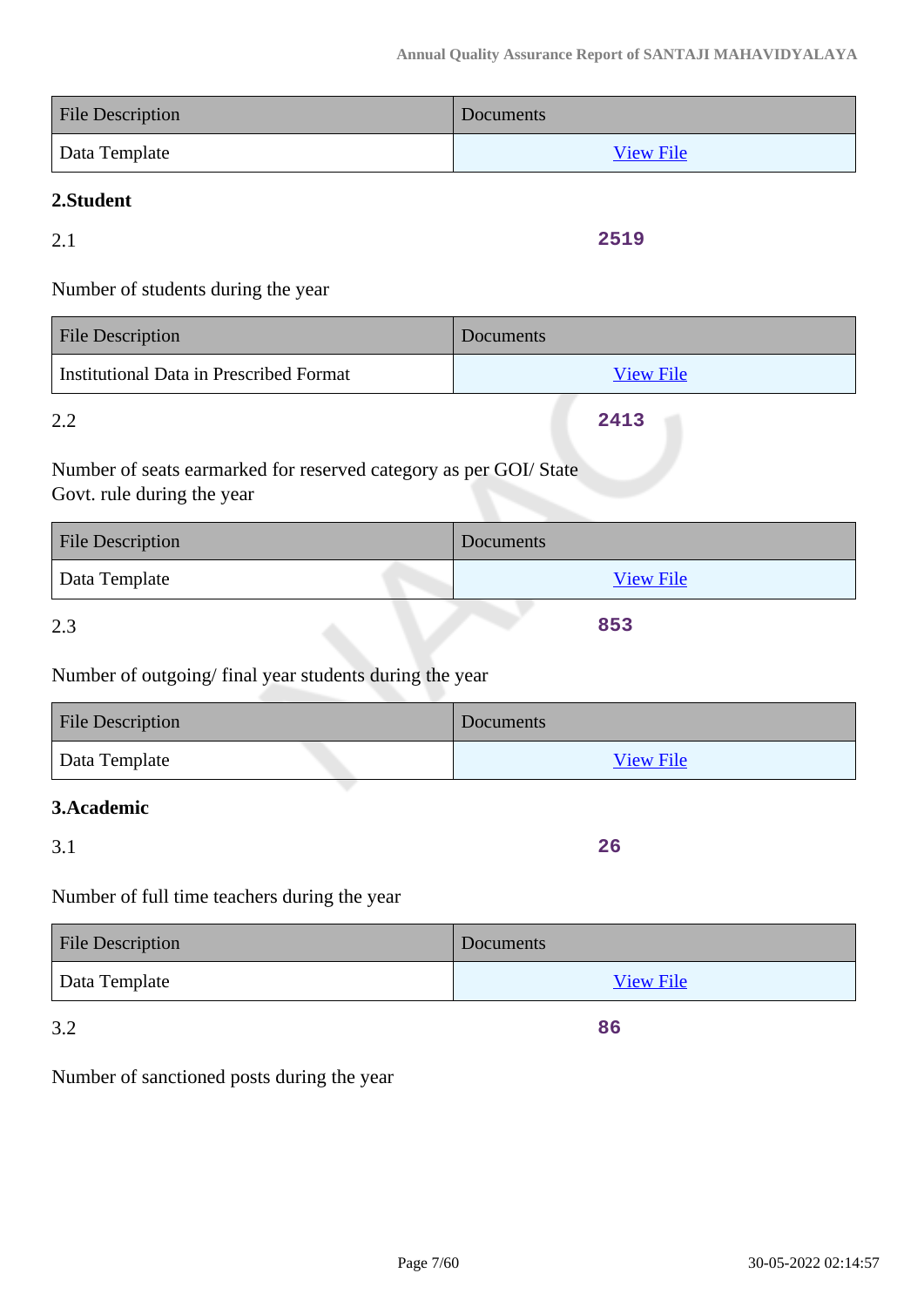| <b>File Description</b> | Documents        |
|-------------------------|------------------|
| Data Template           | <b>View File</b> |

# **2.Student**

2.1

**2519**

Number of students during the year

| <b>File Description</b>                 | Documents        |
|-----------------------------------------|------------------|
| Institutional Data in Prescribed Format | <b>View File</b> |
| 2.2                                     | 2413             |

Number of seats earmarked for reserved category as per GOI/ State Govt. rule during the year

| <b>File Description</b> | Documents        |
|-------------------------|------------------|
| Data Template           | <b>View File</b> |
| 2.3                     | 853              |

Number of outgoing/ final year students during the year

| File Description | Documents        |
|------------------|------------------|
| Data Template    | <b>View File</b> |

## **3.Academic**

3.1

**26**

**86**

Number of full time teachers during the year

| <b>File Description</b> | Documents        |
|-------------------------|------------------|
| Data Template           | <b>View File</b> |

3.2

Number of sanctioned posts during the year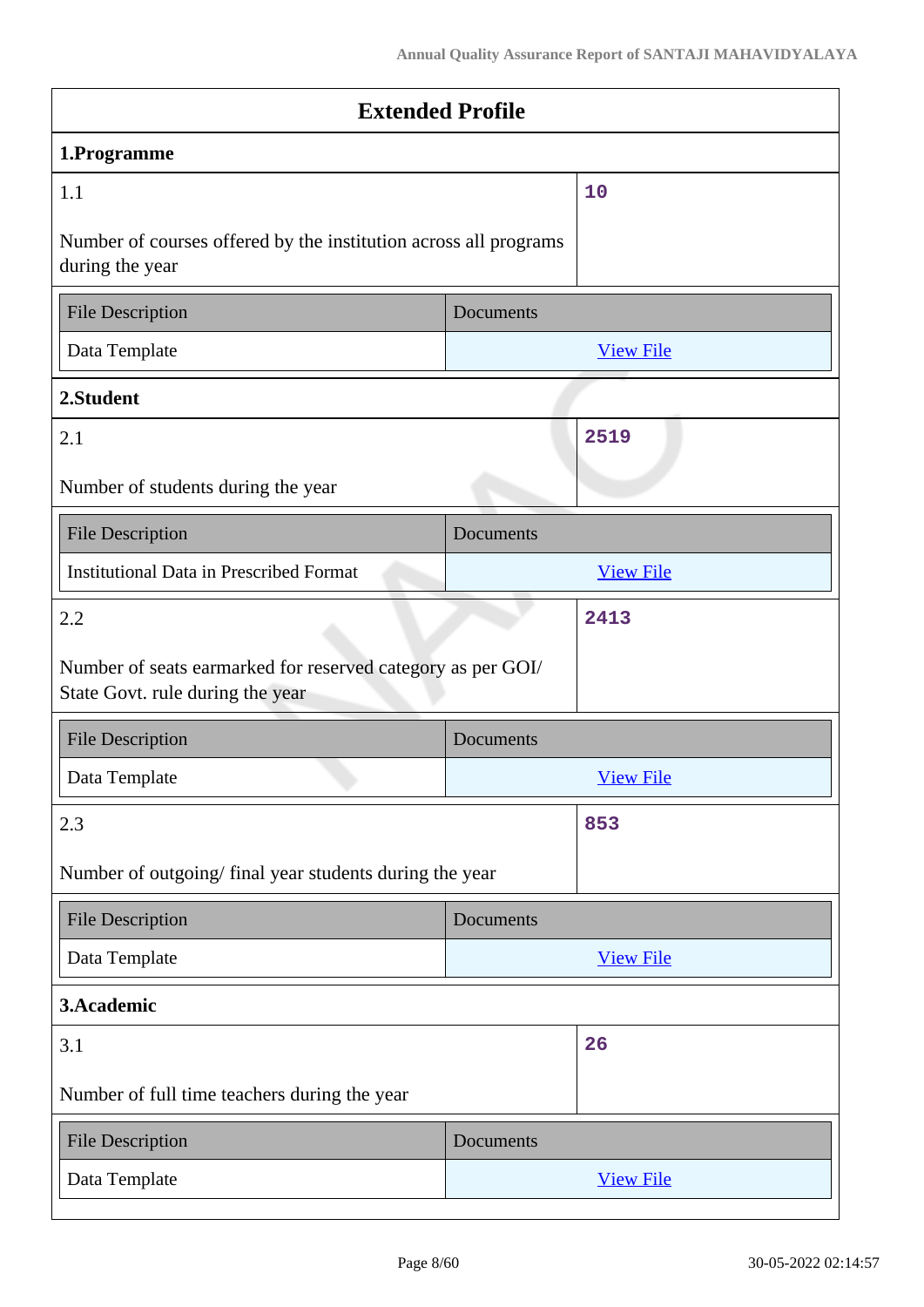| <b>Extended Profile</b>                                                                         |           |                  |  |
|-------------------------------------------------------------------------------------------------|-----------|------------------|--|
| 1.Programme                                                                                     |           |                  |  |
| 1.1                                                                                             |           | 10               |  |
| Number of courses offered by the institution across all programs<br>during the year             |           |                  |  |
| <b>File Description</b>                                                                         | Documents |                  |  |
| Data Template                                                                                   |           | <b>View File</b> |  |
| 2.Student                                                                                       |           |                  |  |
| 2.1                                                                                             |           | 2519             |  |
| Number of students during the year                                                              |           |                  |  |
| <b>File Description</b>                                                                         | Documents |                  |  |
| <b>Institutional Data in Prescribed Format</b>                                                  |           | <b>View File</b> |  |
| 2.2                                                                                             |           | 2413             |  |
| Number of seats earmarked for reserved category as per GOI/<br>State Govt. rule during the year |           |                  |  |
| <b>File Description</b>                                                                         | Documents |                  |  |
| Data Template                                                                                   |           | <b>View File</b> |  |
| 2.3                                                                                             |           | 853              |  |
| Number of outgoing/final year students during the year                                          |           |                  |  |
| <b>File Description</b>                                                                         | Documents |                  |  |
| Data Template                                                                                   |           | <b>View File</b> |  |
| 3.Academic                                                                                      |           |                  |  |
| 3.1                                                                                             |           | 26               |  |
| Number of full time teachers during the year                                                    |           |                  |  |
| <b>File Description</b>                                                                         | Documents |                  |  |
| Data Template                                                                                   |           | <b>View File</b> |  |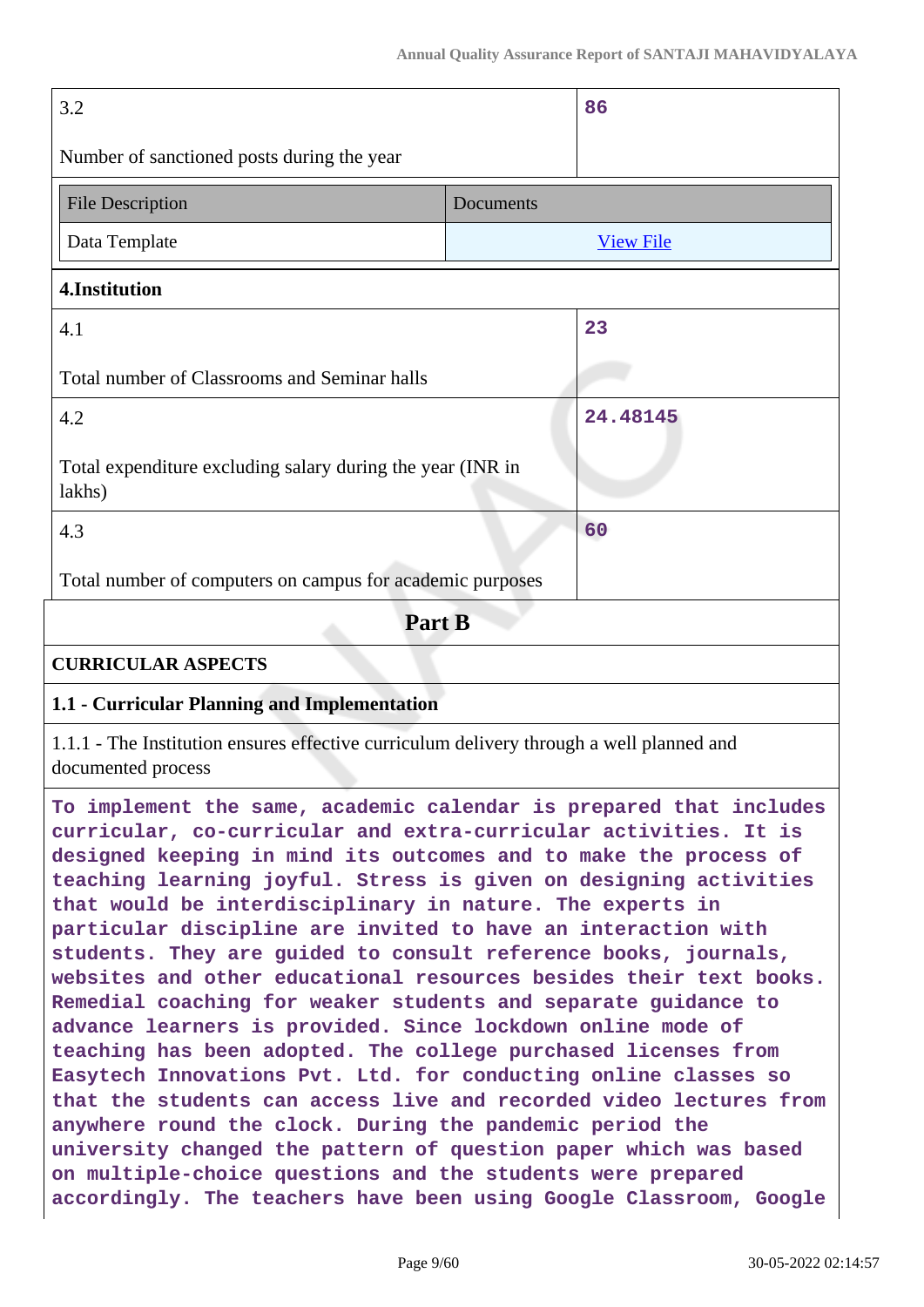| 3.2                                                                                                                                                                                                                                                                                                                                                                                                                                                                                                                                                                                                                                                                                                                                                                                                                          |                  | 86       |  |
|------------------------------------------------------------------------------------------------------------------------------------------------------------------------------------------------------------------------------------------------------------------------------------------------------------------------------------------------------------------------------------------------------------------------------------------------------------------------------------------------------------------------------------------------------------------------------------------------------------------------------------------------------------------------------------------------------------------------------------------------------------------------------------------------------------------------------|------------------|----------|--|
| Number of sanctioned posts during the year                                                                                                                                                                                                                                                                                                                                                                                                                                                                                                                                                                                                                                                                                                                                                                                   |                  |          |  |
| <b>File Description</b><br>Documents                                                                                                                                                                                                                                                                                                                                                                                                                                                                                                                                                                                                                                                                                                                                                                                         |                  |          |  |
| Data Template                                                                                                                                                                                                                                                                                                                                                                                                                                                                                                                                                                                                                                                                                                                                                                                                                | <b>View File</b> |          |  |
| 4.Institution                                                                                                                                                                                                                                                                                                                                                                                                                                                                                                                                                                                                                                                                                                                                                                                                                |                  |          |  |
| 4.1                                                                                                                                                                                                                                                                                                                                                                                                                                                                                                                                                                                                                                                                                                                                                                                                                          |                  | 23       |  |
| Total number of Classrooms and Seminar halls                                                                                                                                                                                                                                                                                                                                                                                                                                                                                                                                                                                                                                                                                                                                                                                 |                  |          |  |
| 4.2                                                                                                                                                                                                                                                                                                                                                                                                                                                                                                                                                                                                                                                                                                                                                                                                                          |                  | 24.48145 |  |
| Total expenditure excluding salary during the year (INR in<br>lakhs)                                                                                                                                                                                                                                                                                                                                                                                                                                                                                                                                                                                                                                                                                                                                                         |                  |          |  |
| 4.3                                                                                                                                                                                                                                                                                                                                                                                                                                                                                                                                                                                                                                                                                                                                                                                                                          |                  | 60       |  |
| Total number of computers on campus for academic purposes                                                                                                                                                                                                                                                                                                                                                                                                                                                                                                                                                                                                                                                                                                                                                                    |                  |          |  |
| Part B                                                                                                                                                                                                                                                                                                                                                                                                                                                                                                                                                                                                                                                                                                                                                                                                                       |                  |          |  |
| <b>CURRICULAR ASPECTS</b>                                                                                                                                                                                                                                                                                                                                                                                                                                                                                                                                                                                                                                                                                                                                                                                                    |                  |          |  |
| 1.1 - Curricular Planning and Implementation                                                                                                                                                                                                                                                                                                                                                                                                                                                                                                                                                                                                                                                                                                                                                                                 |                  |          |  |
| 1.1.1 - The Institution ensures effective curriculum delivery through a well planned and<br>documented process                                                                                                                                                                                                                                                                                                                                                                                                                                                                                                                                                                                                                                                                                                               |                  |          |  |
| To implement the same, academic calendar is prepared that includes<br>curricular, co-curricular and extra-curricular activities. It is<br>designed keeping in mind its outcomes and to make the process of<br>teaching learning joyful. Stress is given on designing activities<br>that would be interdisciplinary in nature. The experts in<br>particular discipline are invited to have an interaction with<br>students. They are guided to consult reference books, journals,<br>websites and other educational resources besides their text books.<br>Remedial coaching for weaker students and separate guidance to<br>advance learners is provided. Since lockdown online mode of<br>teaching has been adopted. The college purchased licenses from<br>Easytech Innovations Pvt. Ltd. for conducting online classes so |                  |          |  |

**that the students can access live and recorded video lectures from**

**university changed the pattern of question paper which was based**

**accordingly. The teachers have been using Google Classroom, Google**

**anywhere round the clock. During the pandemic period the**

**on multiple-choice questions and the students were prepared**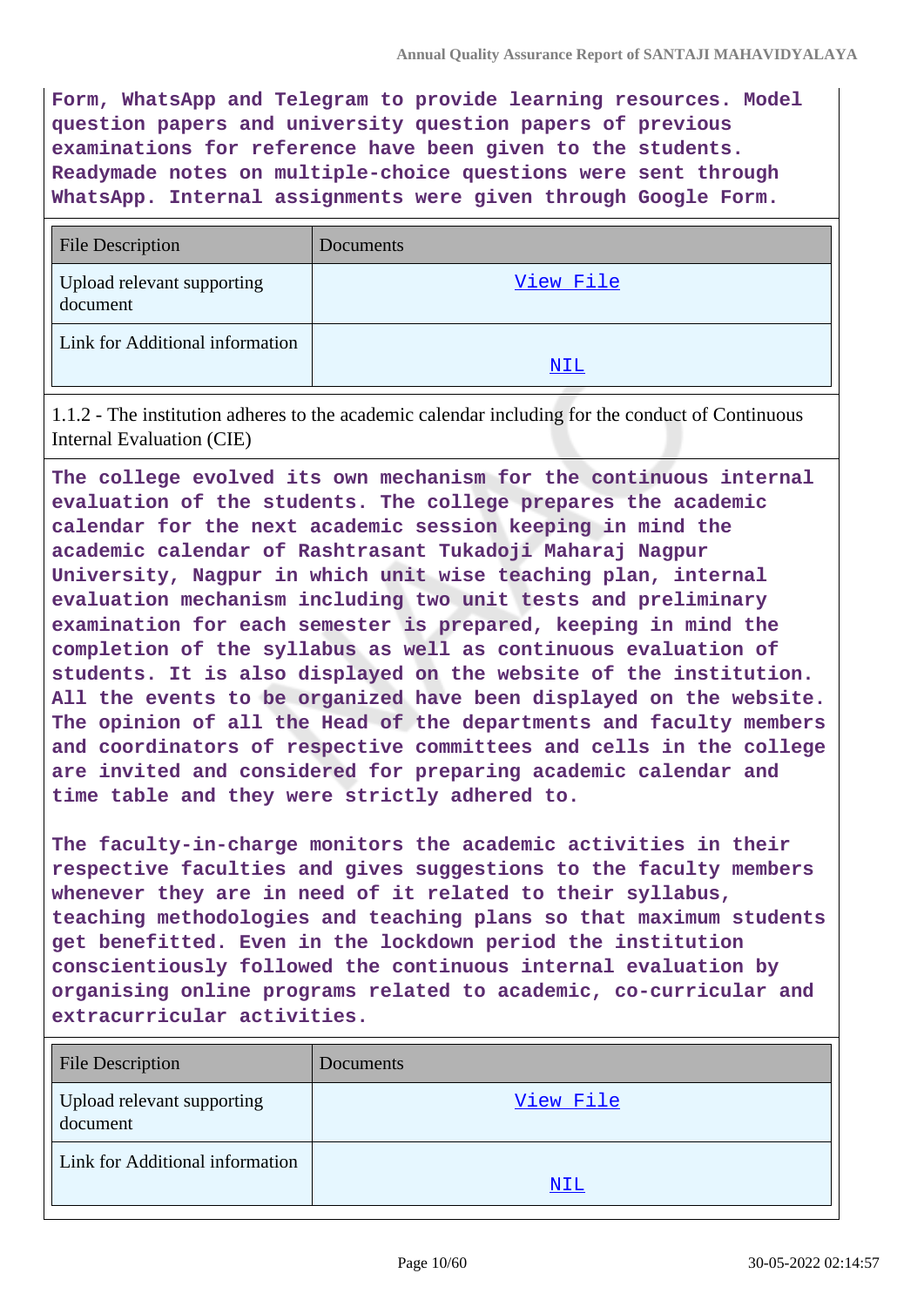**Form, WhatsApp and Telegram to provide learning resources. Model question papers and university question papers of previous examinations for reference have been given to the students. Readymade notes on multiple-choice questions were sent through WhatsApp. Internal assignments were given through Google Form.**

| <b>File Description</b>                | Documents |
|----------------------------------------|-----------|
| Upload relevant supporting<br>document | View File |
| Link for Additional information        |           |
|                                        | NIL       |

1.1.2 - The institution adheres to the academic calendar including for the conduct of Continuous Internal Evaluation (CIE)

**The college evolved its own mechanism for the continuous internal evaluation of the students. The college prepares the academic calendar for the next academic session keeping in mind the academic calendar of Rashtrasant Tukadoji Maharaj Nagpur University, Nagpur in which unit wise teaching plan, internal evaluation mechanism including two unit tests and preliminary examination for each semester is prepared, keeping in mind the completion of the syllabus as well as continuous evaluation of students. It is also displayed on the website of the institution. All the events to be organized have been displayed on the website. The opinion of all the Head of the departments and faculty members and coordinators of respective committees and cells in the college are invited and considered for preparing academic calendar and time table and they were strictly adhered to.**

**The faculty-in-charge monitors the academic activities in their respective faculties and gives suggestions to the faculty members whenever they are in need of it related to their syllabus, teaching methodologies and teaching plans so that maximum students get benefitted. Even in the lockdown period the institution conscientiously followed the continuous internal evaluation by organising online programs related to academic, co-curricular and extracurricular activities.**

| <b>File Description</b>                | Documents |
|----------------------------------------|-----------|
| Upload relevant supporting<br>document | View File |
| Link for Additional information        | NIL       |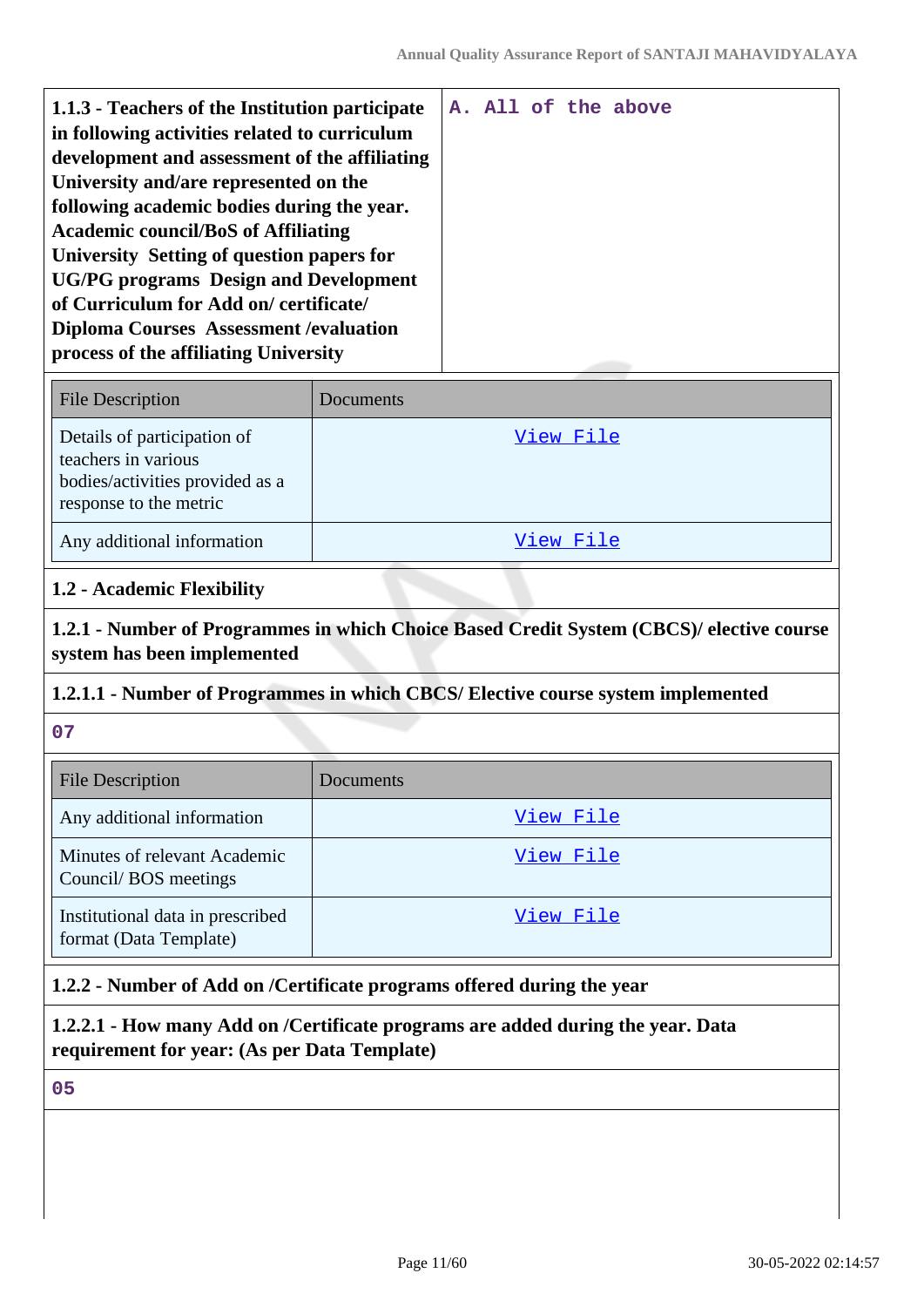| 1.1.3 - Teachers of the Institution participate |  |  | A. All of the above |
|-------------------------------------------------|--|--|---------------------|
| in following activities related to curriculum   |  |  |                     |
| development and assessment of the affiliating   |  |  |                     |
| University and/are represented on the           |  |  |                     |
| following academic bodies during the year.      |  |  |                     |
| <b>Academic council/BoS of Affiliating</b>      |  |  |                     |
| University Setting of question papers for       |  |  |                     |
| <b>UG/PG</b> programs Design and Development    |  |  |                     |
| of Curriculum for Add on/certificate/           |  |  |                     |
| <b>Diploma Courses Assessment / evaluation</b>  |  |  |                     |
| process of the affiliating University           |  |  |                     |
|                                                 |  |  |                     |

| <b>File Description</b>                                                                                         | Documents |
|-----------------------------------------------------------------------------------------------------------------|-----------|
| Details of participation of<br>teachers in various<br>bodies/activities provided as a<br>response to the metric | View File |
| Any additional information                                                                                      | View File |

#### **1.2 - Academic Flexibility**

**1.2.1 - Number of Programmes in which Choice Based Credit System (CBCS)/ elective course system has been implemented**

### **1.2.1.1 - Number of Programmes in which CBCS/ Elective course system implemented**

**07**

| <b>File Description</b>                                    | Documents |
|------------------------------------------------------------|-----------|
| Any additional information                                 | View File |
| Minutes of relevant Academic<br>Council/BOS meetings       | View File |
| Institutional data in prescribed<br>format (Data Template) | View File |

### **1.2.2 - Number of Add on /Certificate programs offered during the year**

**1.2.2.1 - How many Add on /Certificate programs are added during the year. Data requirement for year: (As per Data Template)**

**05**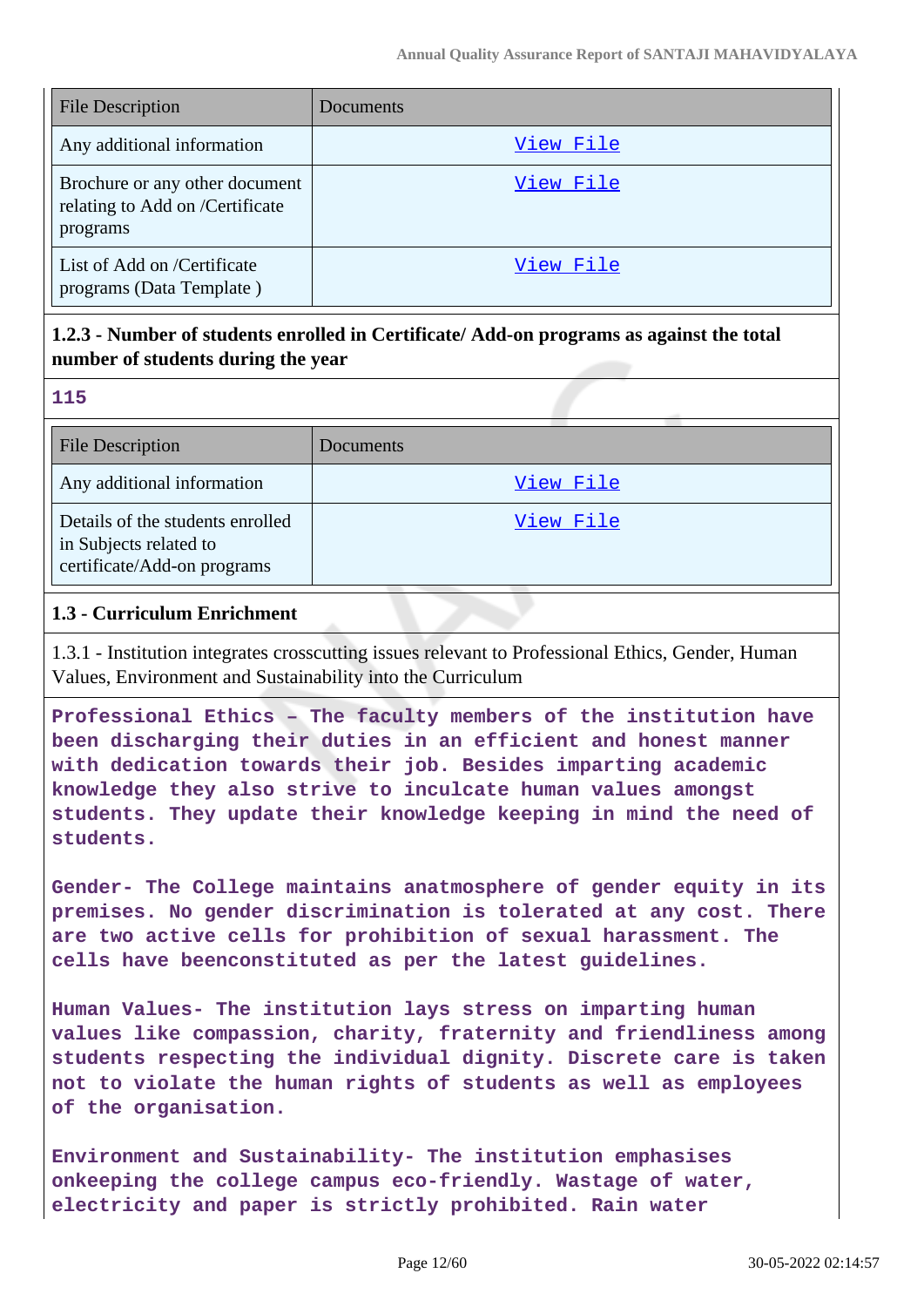| <b>File Description</b>                                                       | Documents |
|-------------------------------------------------------------------------------|-----------|
| Any additional information                                                    | View File |
| Brochure or any other document<br>relating to Add on /Certificate<br>programs | View File |
| List of Add on /Certificate<br>programs (Data Template)                       | View File |

## **1.2.3 - Number of students enrolled in Certificate/ Add-on programs as against the total number of students during the year**

| $\overline{a}$ |          |
|----------------|----------|
|                |          |
|                | w<br>×.  |
|                | . .<br>w |
|                |          |

| <b>File Description</b>                                                                   | Documents |
|-------------------------------------------------------------------------------------------|-----------|
| Any additional information                                                                | View File |
| Details of the students enrolled<br>in Subjects related to<br>certificate/Add-on programs | View File |

### **1.3 - Curriculum Enrichment**

1.3.1 - Institution integrates crosscutting issues relevant to Professional Ethics, Gender, Human Values, Environment and Sustainability into the Curriculum

**Professional Ethics – The faculty members of the institution have been discharging their duties in an efficient and honest manner with dedication towards their job. Besides imparting academic knowledge they also strive to inculcate human values amongst students. They update their knowledge keeping in mind the need of students.**

**Gender- The College maintains anatmosphere of gender equity in its premises. No gender discrimination is tolerated at any cost. There are two active cells for prohibition of sexual harassment. The cells have beenconstituted as per the latest guidelines.**

**Human Values- The institution lays stress on imparting human values like compassion, charity, fraternity and friendliness among students respecting the individual dignity. Discrete care is taken not to violate the human rights of students as well as employees of the organisation.**

**Environment and Sustainability- The institution emphasises onkeeping the college campus eco-friendly. Wastage of water, electricity and paper is strictly prohibited. Rain water**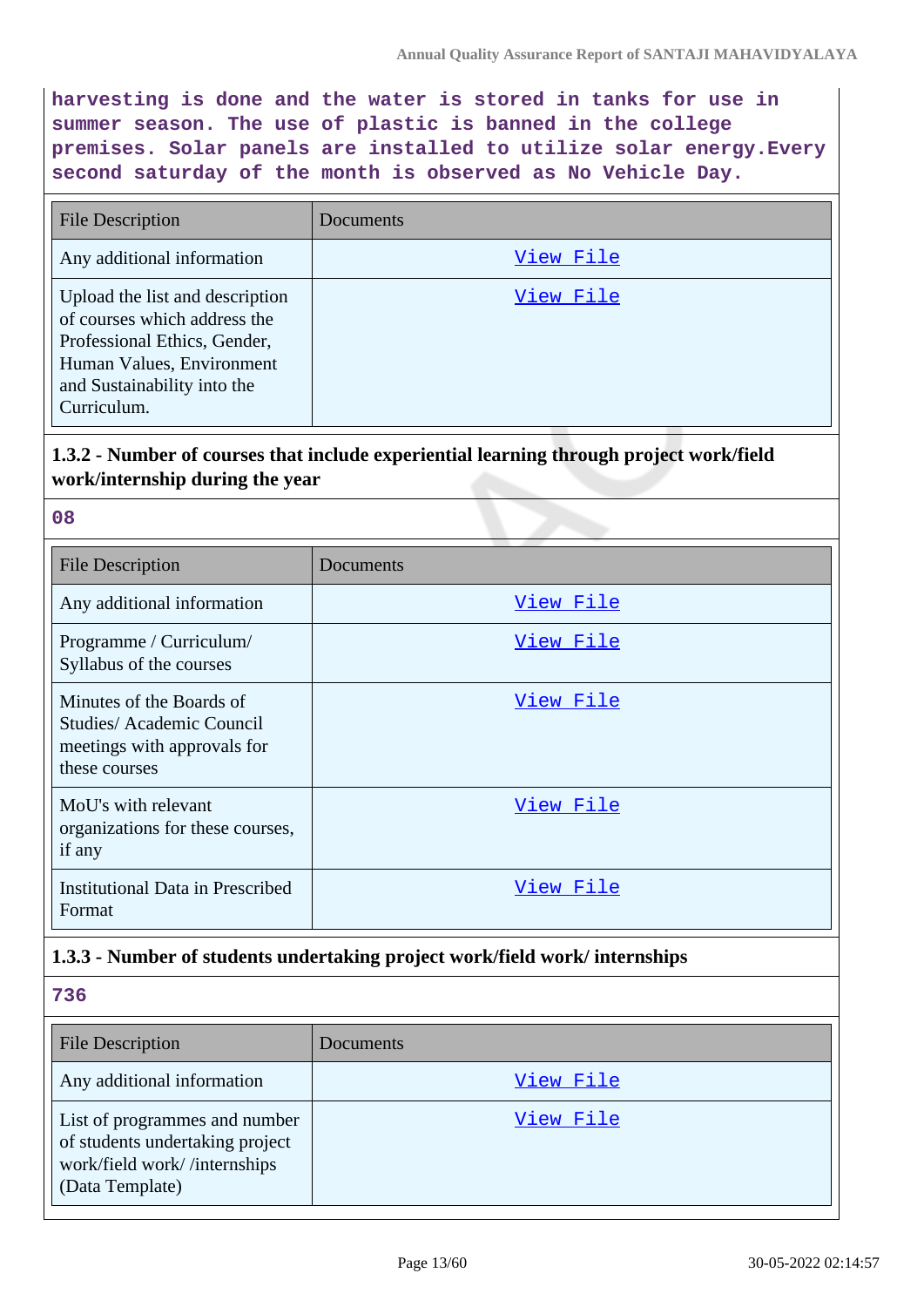**harvesting is done and the water is stored in tanks for use in summer season. The use of plastic is banned in the college premises. Solar panels are installed to utilize solar energy.Every second saturday of the month is observed as No Vehicle Day.**

| <b>File Description</b>                                                                                                                                                    | Documents |
|----------------------------------------------------------------------------------------------------------------------------------------------------------------------------|-----------|
| Any additional information                                                                                                                                                 | View File |
| Upload the list and description<br>of courses which address the<br>Professional Ethics, Gender,<br>Human Values, Environment<br>and Sustainability into the<br>Curriculum. | View File |

## **1.3.2 - Number of courses that include experiential learning through project work/field work/internship during the year**

#### **08**

| <b>File Description</b>                                                                              | Documents        |
|------------------------------------------------------------------------------------------------------|------------------|
| Any additional information                                                                           | View File        |
| Programme / Curriculum/<br>Syllabus of the courses                                                   | View File        |
| Minutes of the Boards of<br>Studies/Academic Council<br>meetings with approvals for<br>these courses | View File        |
| MoU's with relevant<br>organizations for these courses,<br>if any                                    | <u>View File</u> |
| Institutional Data in Prescribed<br>Format                                                           | View File        |

### **1.3.3 - Number of students undertaking project work/field work/ internships**

#### **736**

| <b>File Description</b>                                                                                             | Documents |
|---------------------------------------------------------------------------------------------------------------------|-----------|
| Any additional information                                                                                          | View File |
| List of programmes and number<br>of students undertaking project<br>work/field work//internships<br>(Data Template) | View File |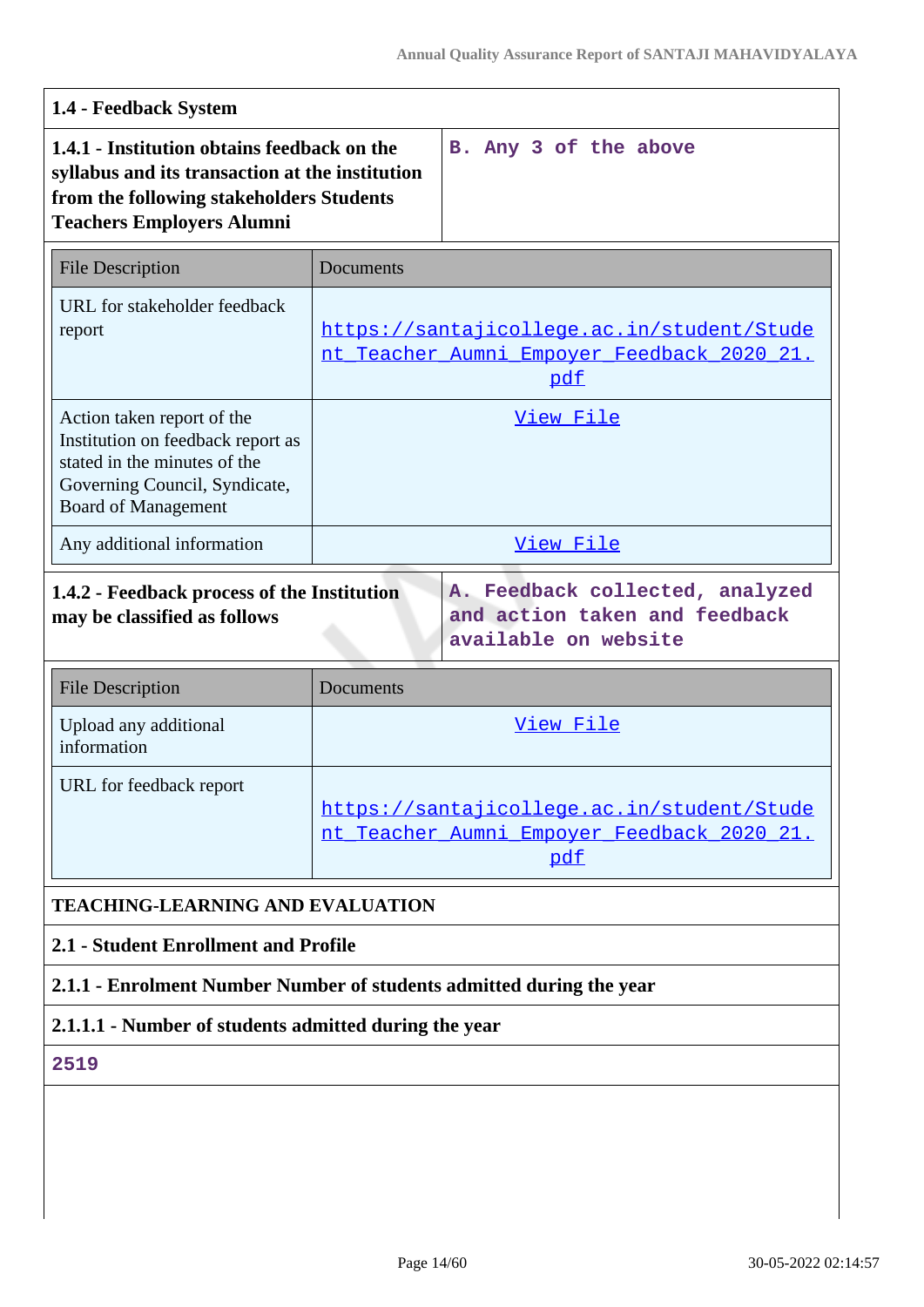| 1.4 - Feedback System                                                                                                                                                          |                                                                                                        |                                                                                          |
|--------------------------------------------------------------------------------------------------------------------------------------------------------------------------------|--------------------------------------------------------------------------------------------------------|------------------------------------------------------------------------------------------|
| 1.4.1 - Institution obtains feedback on the<br>syllabus and its transaction at the institution<br>from the following stakeholders Students<br><b>Teachers Employers Alumni</b> |                                                                                                        | B. Any 3 of the above                                                                    |
| <b>File Description</b>                                                                                                                                                        | Documents                                                                                              |                                                                                          |
| URL for stakeholder feedback<br>report                                                                                                                                         | https://santajicollege.ac.in/student/Stude<br><u>nt Teacher Aumni Empoyer Feedback 2020 21.</u><br>pdf |                                                                                          |
| Action taken report of the<br>Institution on feedback report as<br>stated in the minutes of the<br>Governing Council, Syndicate,<br><b>Board of Management</b>                 | View File                                                                                              |                                                                                          |
| Any additional information                                                                                                                                                     | View File                                                                                              |                                                                                          |
| 1.4.2 - Feedback process of the Institution<br>may be classified as follows                                                                                                    |                                                                                                        | A. Feedback collected, analyzed<br>and action taken and feedback<br>available on website |
| <b>File Description</b>                                                                                                                                                        | Documents                                                                                              |                                                                                          |

| Upload any additional<br>information | View File                                                                                       |
|--------------------------------------|-------------------------------------------------------------------------------------------------|
| URL for feedback report              | https://santajicollege.ac.in/student/Stude<br>nt Teacher Aumni Empoyer Feedback 2020 21.<br>pdf |

# **TEACHING-LEARNING AND EVALUATION**

# **2.1 - Student Enrollment and Profile**

# **2.1.1 - Enrolment Number Number of students admitted during the year**

# **2.1.1.1 - Number of students admitted during the year**

**2519**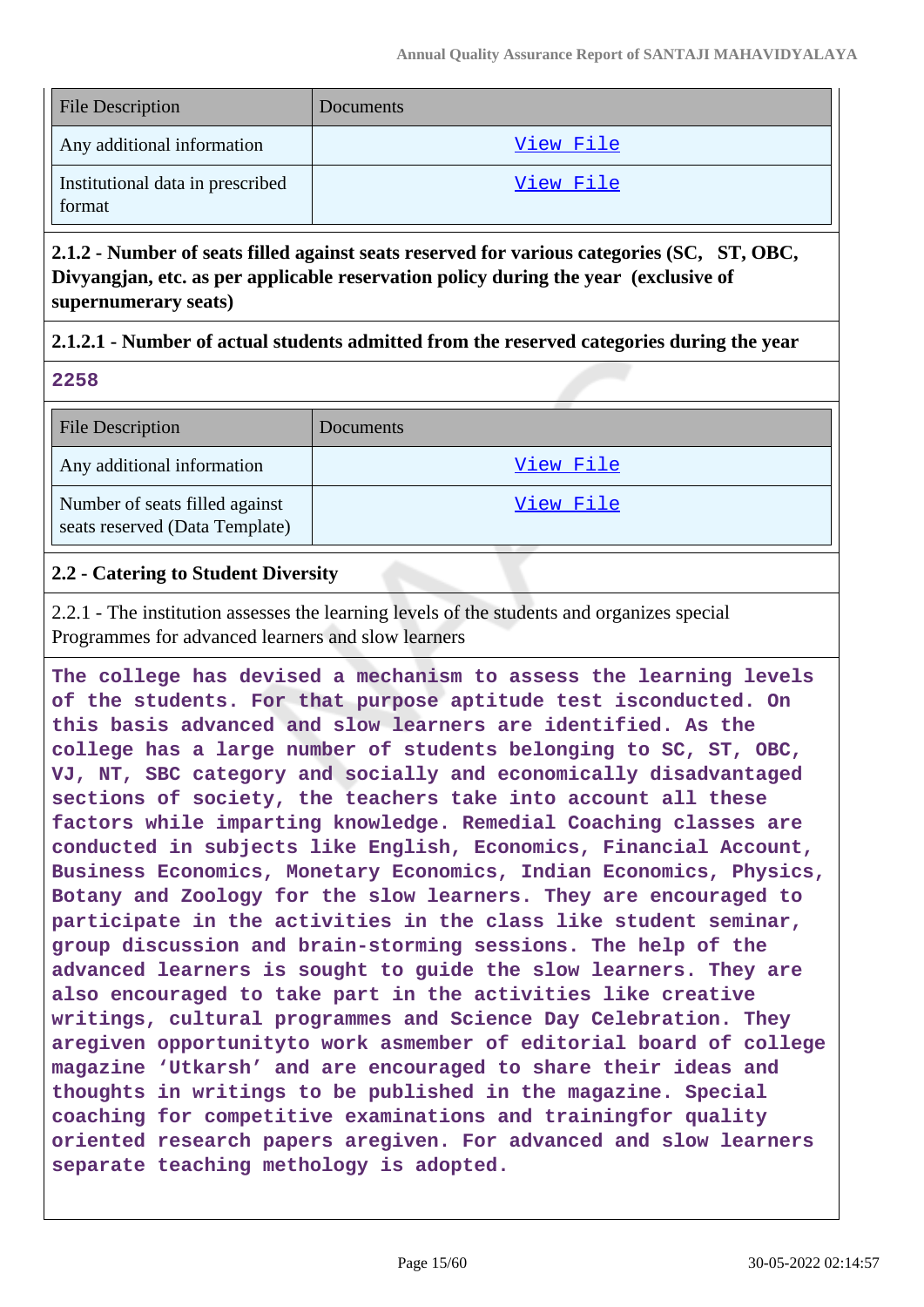| <b>File Description</b>                    | <b>Documents</b> |
|--------------------------------------------|------------------|
| Any additional information                 | View File        |
| Institutional data in prescribed<br>format | View File        |

**2.1.2 - Number of seats filled against seats reserved for various categories (SC, ST, OBC, Divyangjan, etc. as per applicable reservation policy during the year (exclusive of supernumerary seats)**

### **2.1.2.1 - Number of actual students admitted from the reserved categories during the year**

|  | . .<br>۰, | ۰.<br>× |  |
|--|-----------|---------|--|

| <b>File Description</b>                                          | Documents |
|------------------------------------------------------------------|-----------|
| Any additional information                                       | View File |
| Number of seats filled against<br>seats reserved (Data Template) | View File |

### **2.2 - Catering to Student Diversity**

2.2.1 - The institution assesses the learning levels of the students and organizes special Programmes for advanced learners and slow learners

**The college has devised a mechanism to assess the learning levels of the students. For that purpose aptitude test isconducted. On this basis advanced and slow learners are identified. As the college has a large number of students belonging to SC, ST, OBC, VJ, NT, SBC category and socially and economically disadvantaged sections of society, the teachers take into account all these factors while imparting knowledge. Remedial Coaching classes are conducted in subjects like English, Economics, Financial Account, Business Economics, Monetary Economics, Indian Economics, Physics, Botany and Zoology for the slow learners. They are encouraged to participate in the activities in the class like student seminar, group discussion and brain-storming sessions. The help of the advanced learners is sought to guide the slow learners. They are also encouraged to take part in the activities like creative writings, cultural programmes and Science Day Celebration. They aregiven opportunityto work asmember of editorial board of college magazine 'Utkarsh' and are encouraged to share their ideas and thoughts in writings to be published in the magazine. Special coaching for competitive examinations and trainingfor quality oriented research papers aregiven. For advanced and slow learners separate teaching methology is adopted.**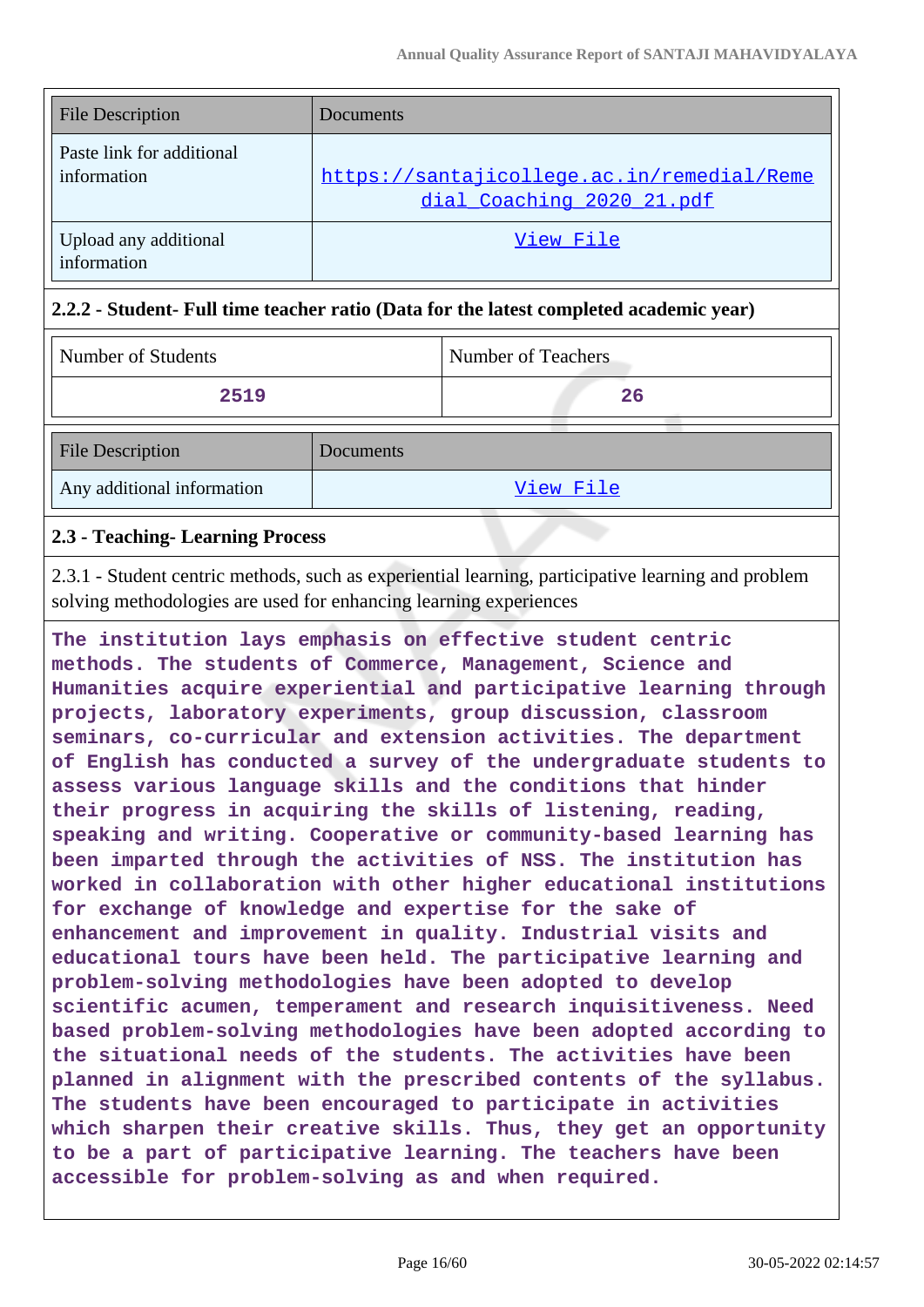| <b>File Description</b>                  | Documents                                                               |
|------------------------------------------|-------------------------------------------------------------------------|
| Paste link for additional<br>information | https://santajicollege.ac.in/remedial/Reme<br>dial Coaching 2020 21.pdf |
| Upload any additional<br>information     | View File                                                               |

### **2.2.2 - Student- Full time teacher ratio (Data for the latest completed academic year)**

| Number of Students         |           | <b>Number of Teachers</b> |
|----------------------------|-----------|---------------------------|
| 2519                       |           | 26                        |
| <b>File Description</b>    | Documents |                           |
| Any additional information |           | View File                 |

### **2.3 - Teaching- Learning Process**

2.3.1 - Student centric methods, such as experiential learning, participative learning and problem solving methodologies are used for enhancing learning experiences

**The institution lays emphasis on effective student centric methods. The students of Commerce, Management, Science and Humanities acquire experiential and participative learning through projects, laboratory experiments, group discussion, classroom seminars, co-curricular and extension activities. The department of English has conducted a survey of the undergraduate students to assess various language skills and the conditions that hinder their progress in acquiring the skills of listening, reading, speaking and writing. Cooperative or community-based learning has been imparted through the activities of NSS. The institution has worked in collaboration with other higher educational institutions for exchange of knowledge and expertise for the sake of enhancement and improvement in quality. Industrial visits and educational tours have been held. The participative learning and problem-solving methodologies have been adopted to develop scientific acumen, temperament and research inquisitiveness. Need based problem-solving methodologies have been adopted according to the situational needs of the students. The activities have been planned in alignment with the prescribed contents of the syllabus. The students have been encouraged to participate in activities which sharpen their creative skills. Thus, they get an opportunity to be a part of participative learning. The teachers have been accessible for problem-solving as and when required.**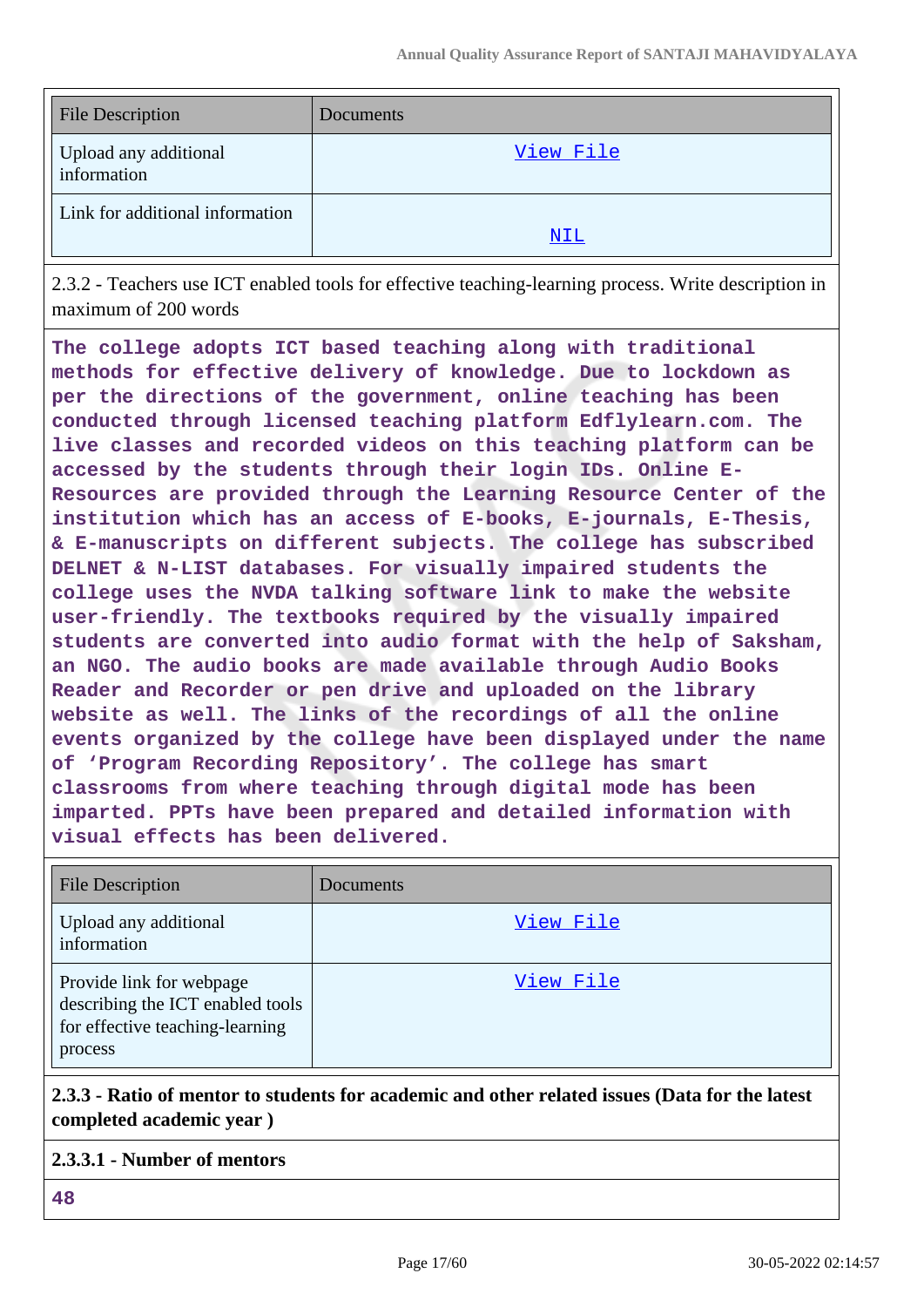| <b>File Description</b>              | Documents |
|--------------------------------------|-----------|
| Upload any additional<br>information | View File |
| Link for additional information      | NIL       |
|                                      |           |

2.3.2 - Teachers use ICT enabled tools for effective teaching-learning process. Write description in maximum of 200 words

**The college adopts ICT based teaching along with traditional methods for effective delivery of knowledge. Due to lockdown as per the directions of the government, online teaching has been conducted through licensed teaching platform Edflylearn.com. The live classes and recorded videos on this teaching platform can be accessed by the students through their login IDs. Online E-Resources are provided through the Learning Resource Center of the institution which has an access of E-books, E-journals, E-Thesis, & E-manuscripts on different subjects. The college has subscribed DELNET & N-LIST databases. For visually impaired students the college uses the NVDA talking software link to make the website user-friendly. The textbooks required by the visually impaired students are converted into audio format with the help of Saksham, an NGO. The audio books are made available through Audio Books Reader and Recorder or pen drive and uploaded on the library website as well. The links of the recordings of all the online events organized by the college have been displayed under the name of 'Program Recording Repository'. The college has smart classrooms from where teaching through digital mode has been imparted. PPTs have been prepared and detailed information with visual effects has been delivered.**

| <b>File Description</b>                                                                                    | Documents |
|------------------------------------------------------------------------------------------------------------|-----------|
| Upload any additional<br>information                                                                       | View File |
| Provide link for webpage<br>describing the ICT enabled tools<br>for effective teaching-learning<br>process | View File |

# **2.3.3 - Ratio of mentor to students for academic and other related issues (Data for the latest completed academic year )**

### **2.3.3.1 - Number of mentors**

**48**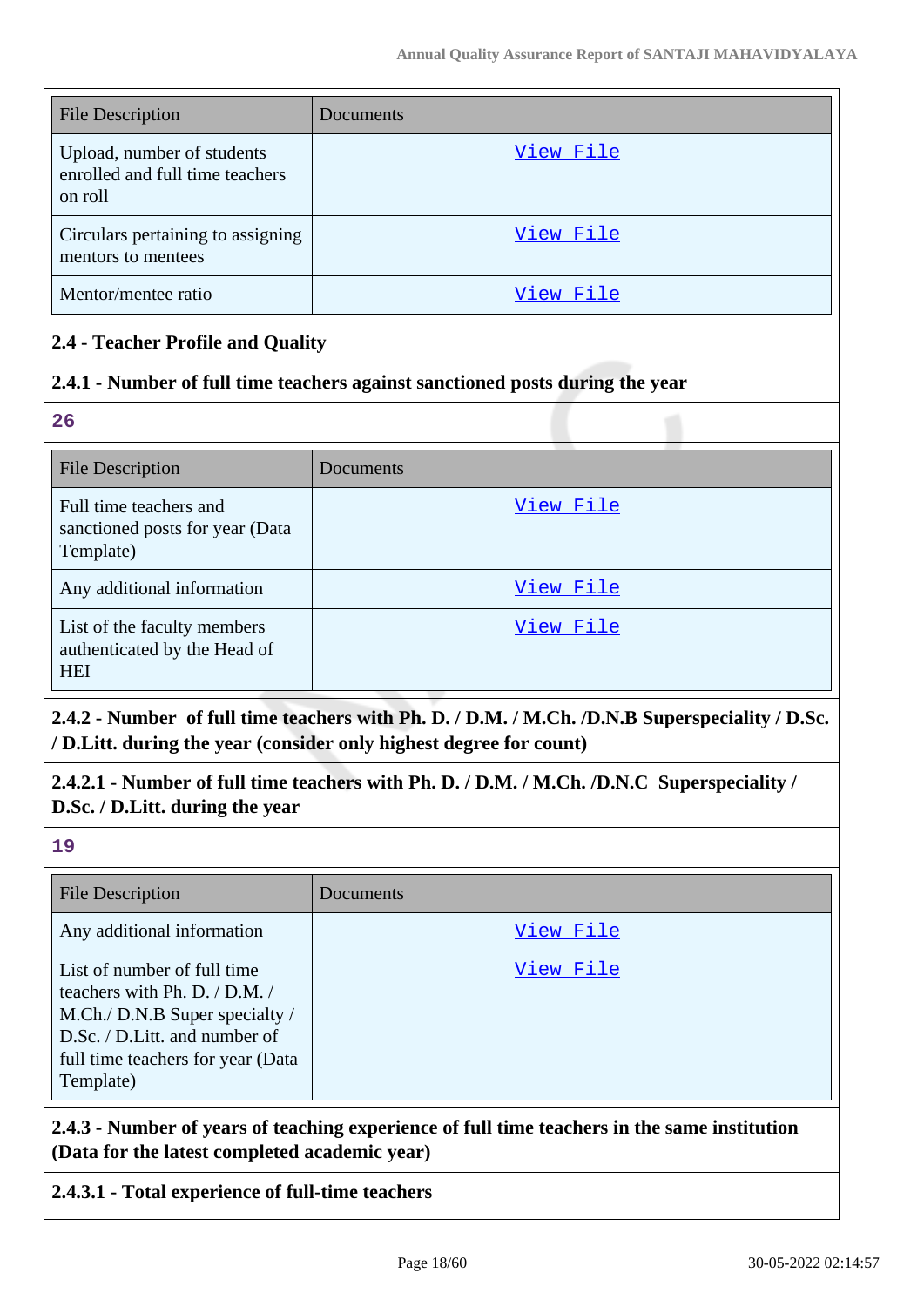| <b>File Description</b>                                                  | Documents |
|--------------------------------------------------------------------------|-----------|
| Upload, number of students<br>enrolled and full time teachers<br>on roll | View File |
| Circulars pertaining to assigning<br>mentors to mentees                  | View File |
| Mentor/mentee ratio                                                      | View File |

### **2.4 - Teacher Profile and Quality**

#### **2.4.1 - Number of full time teachers against sanctioned posts during the year**

**26**

| <b>File Description</b>                                                   | Documents |
|---------------------------------------------------------------------------|-----------|
| Full time teachers and<br>sanctioned posts for year (Data<br>Template)    | View File |
| Any additional information                                                | View File |
| List of the faculty members<br>authenticated by the Head of<br><b>HEI</b> | View File |

**2.4.2 - Number of full time teachers with Ph. D. / D.M. / M.Ch. /D.N.B Superspeciality / D.Sc. / D.Litt. during the year (consider only highest degree for count)**

**2.4.2.1 - Number of full time teachers with Ph. D. / D.M. / M.Ch. /D.N.C Superspeciality / D.Sc. / D.Litt. during the year**

**19**

| <b>File Description</b>                                                                                                                                                           | Documents |
|-----------------------------------------------------------------------------------------------------------------------------------------------------------------------------------|-----------|
| Any additional information                                                                                                                                                        | View File |
| List of number of full time<br>teachers with Ph. D. / D.M. /<br>M.Ch./ D.N.B Super specialty /<br>D.Sc. / D.Litt. and number of<br>full time teachers for year (Data<br>Template) | View File |

**2.4.3 - Number of years of teaching experience of full time teachers in the same institution (Data for the latest completed academic year)**

### **2.4.3.1 - Total experience of full-time teachers**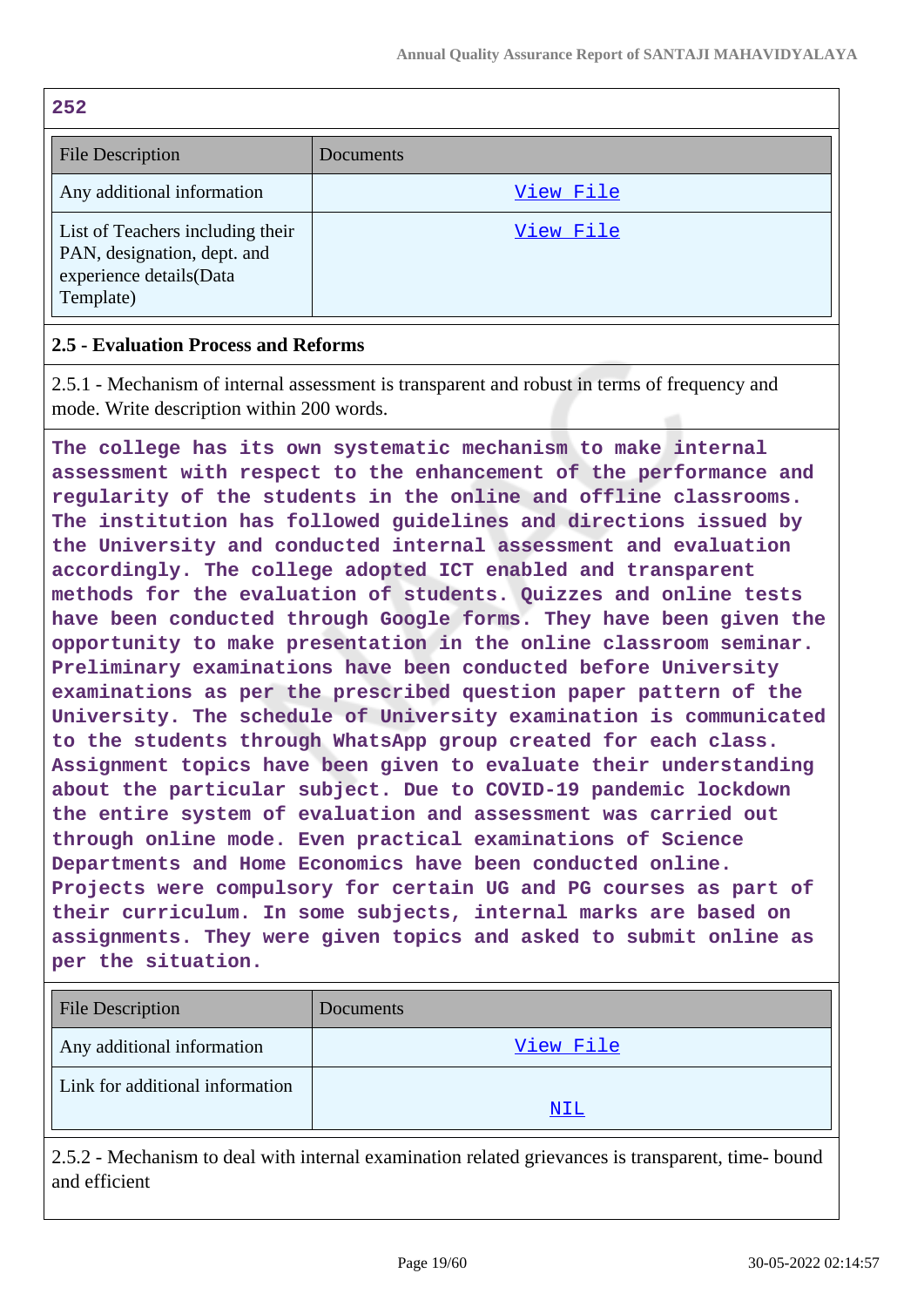| 252                                                                                                     |           |
|---------------------------------------------------------------------------------------------------------|-----------|
| <b>File Description</b>                                                                                 | Documents |
| Any additional information                                                                              | View File |
| List of Teachers including their<br>PAN, designation, dept. and<br>experience details(Data<br>Template) | View File |

### **2.5 - Evaluation Process and Reforms**

2.5.1 - Mechanism of internal assessment is transparent and robust in terms of frequency and mode. Write description within 200 words.

**The college has its own systematic mechanism to make internal assessment with respect to the enhancement of the performance and regularity of the students in the online and offline classrooms. The institution has followed guidelines and directions issued by the University and conducted internal assessment and evaluation accordingly. The college adopted ICT enabled and transparent methods for the evaluation of students. Quizzes and online tests have been conducted through Google forms. They have been given the opportunity to make presentation in the online classroom seminar. Preliminary examinations have been conducted before University examinations as per the prescribed question paper pattern of the University. The schedule of University examination is communicated to the students through WhatsApp group created for each class. Assignment topics have been given to evaluate their understanding about the particular subject. Due to COVID-19 pandemic lockdown the entire system of evaluation and assessment was carried out through online mode. Even practical examinations of Science Departments and Home Economics have been conducted online. Projects were compulsory for certain UG and PG courses as part of their curriculum. In some subjects, internal marks are based on assignments. They were given topics and asked to submit online as per the situation.**

| <b>File Description</b>         | Documents |
|---------------------------------|-----------|
| Any additional information      | View File |
| Link for additional information | NIL       |
|                                 |           |

2.5.2 - Mechanism to deal with internal examination related grievances is transparent, time- bound and efficient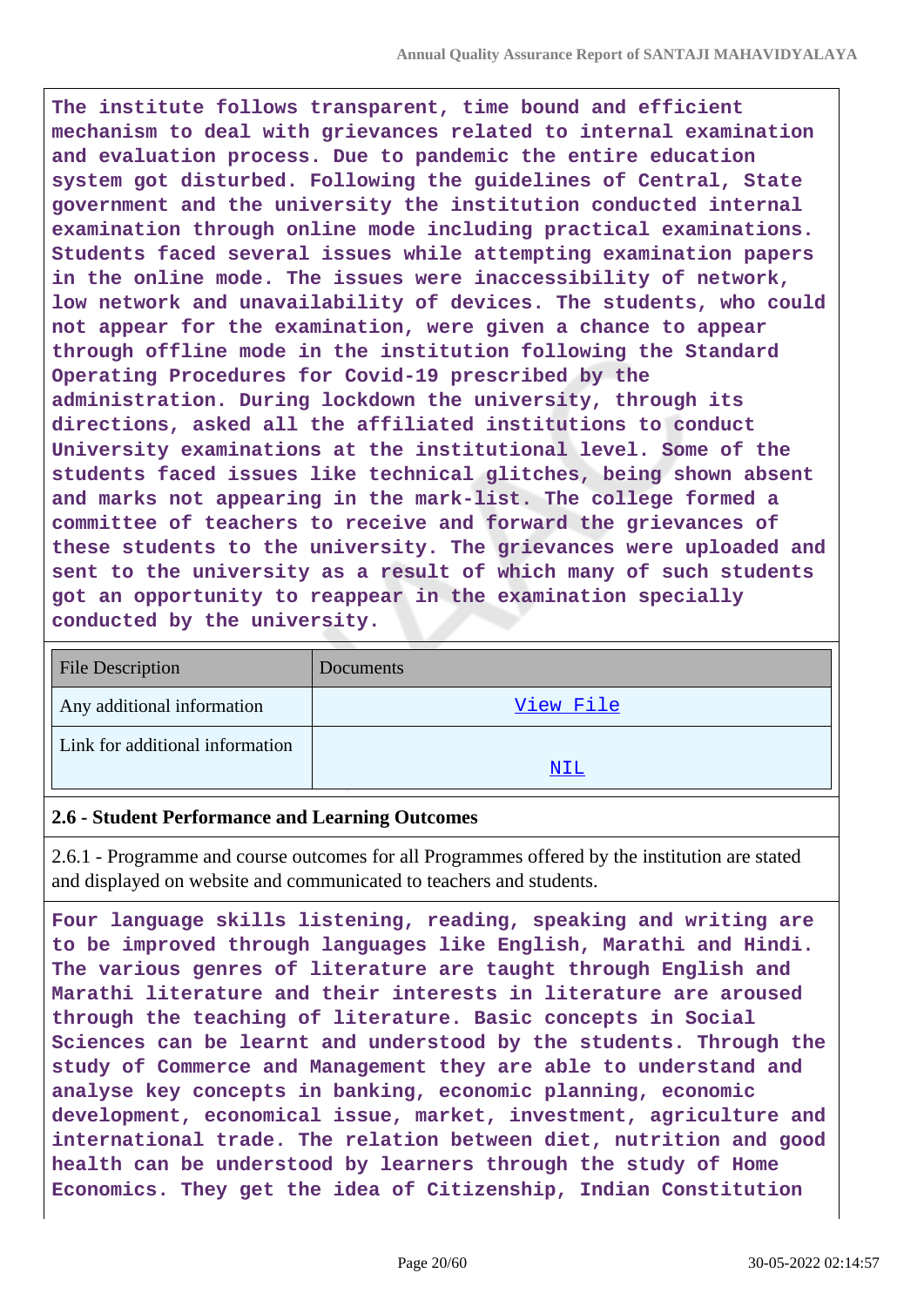**The institute follows transparent, time bound and efficient mechanism to deal with grievances related to internal examination and evaluation process. Due to pandemic the entire education system got disturbed. Following the guidelines of Central, State government and the university the institution conducted internal examination through online mode including practical examinations. Students faced several issues while attempting examination papers in the online mode. The issues were inaccessibility of network, low network and unavailability of devices. The students, who could not appear for the examination, were given a chance to appear through offline mode in the institution following the Standard Operating Procedures for Covid-19 prescribed by the administration. During lockdown the university, through its directions, asked all the affiliated institutions to conduct University examinations at the institutional level. Some of the students faced issues like technical glitches, being shown absent and marks not appearing in the mark-list. The college formed a committee of teachers to receive and forward the grievances of these students to the university. The grievances were uploaded and sent to the university as a result of which many of such students got an opportunity to reappear in the examination specially conducted by the university.**

| <b>File Description</b>         | Documents |
|---------------------------------|-----------|
| Any additional information      | View File |
| Link for additional information |           |
|                                 | NIL       |

#### **2.6 - Student Performance and Learning Outcomes**

2.6.1 - Programme and course outcomes for all Programmes offered by the institution are stated and displayed on website and communicated to teachers and students.

**Four language skills listening, reading, speaking and writing are to be improved through languages like English, Marathi and Hindi. The various genres of literature are taught through English and Marathi literature and their interests in literature are aroused through the teaching of literature. Basic concepts in Social Sciences can be learnt and understood by the students. Through the study of Commerce and Management they are able to understand and analyse key concepts in banking, economic planning, economic development, economical issue, market, investment, agriculture and international trade. The relation between diet, nutrition and good health can be understood by learners through the study of Home Economics. They get the idea of Citizenship, Indian Constitution**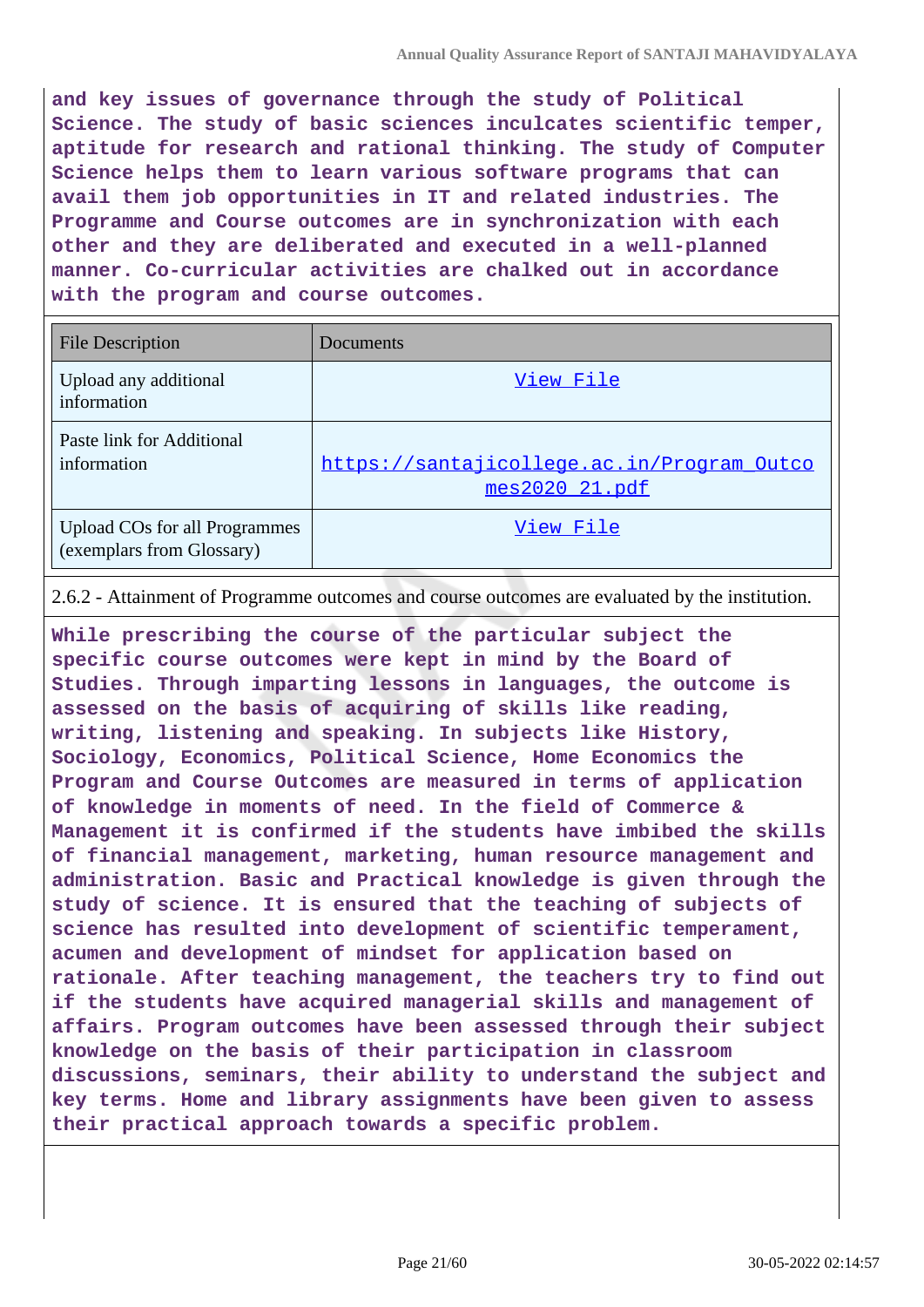**and key issues of governance through the study of Political Science. The study of basic sciences inculcates scientific temper, aptitude for research and rational thinking. The study of Computer Science helps them to learn various software programs that can avail them job opportunities in IT and related industries. The Programme and Course outcomes are in synchronization with each other and they are deliberated and executed in a well-planned manner. Co-curricular activities are chalked out in accordance with the program and course outcomes.**

| <b>File Description</b>                                           | Documents                                                   |
|-------------------------------------------------------------------|-------------------------------------------------------------|
| Upload any additional<br>information                              | View File                                                   |
| Paste link for Additional<br>information                          | https://santajicollege.ac.in/Program Outco<br>mes202021.pdf |
| <b>Upload COs for all Programmes</b><br>(exemplars from Glossary) | View File                                                   |

2.6.2 - Attainment of Programme outcomes and course outcomes are evaluated by the institution.

**While prescribing the course of the particular subject the specific course outcomes were kept in mind by the Board of Studies. Through imparting lessons in languages, the outcome is assessed on the basis of acquiring of skills like reading, writing, listening and speaking. In subjects like History, Sociology, Economics, Political Science, Home Economics the Program and Course Outcomes are measured in terms of application of knowledge in moments of need. In the field of Commerce & Management it is confirmed if the students have imbibed the skills of financial management, marketing, human resource management and administration. Basic and Practical knowledge is given through the study of science. It is ensured that the teaching of subjects of science has resulted into development of scientific temperament, acumen and development of mindset for application based on rationale. After teaching management, the teachers try to find out if the students have acquired managerial skills and management of affairs. Program outcomes have been assessed through their subject knowledge on the basis of their participation in classroom discussions, seminars, their ability to understand the subject and key terms. Home and library assignments have been given to assess their practical approach towards a specific problem.**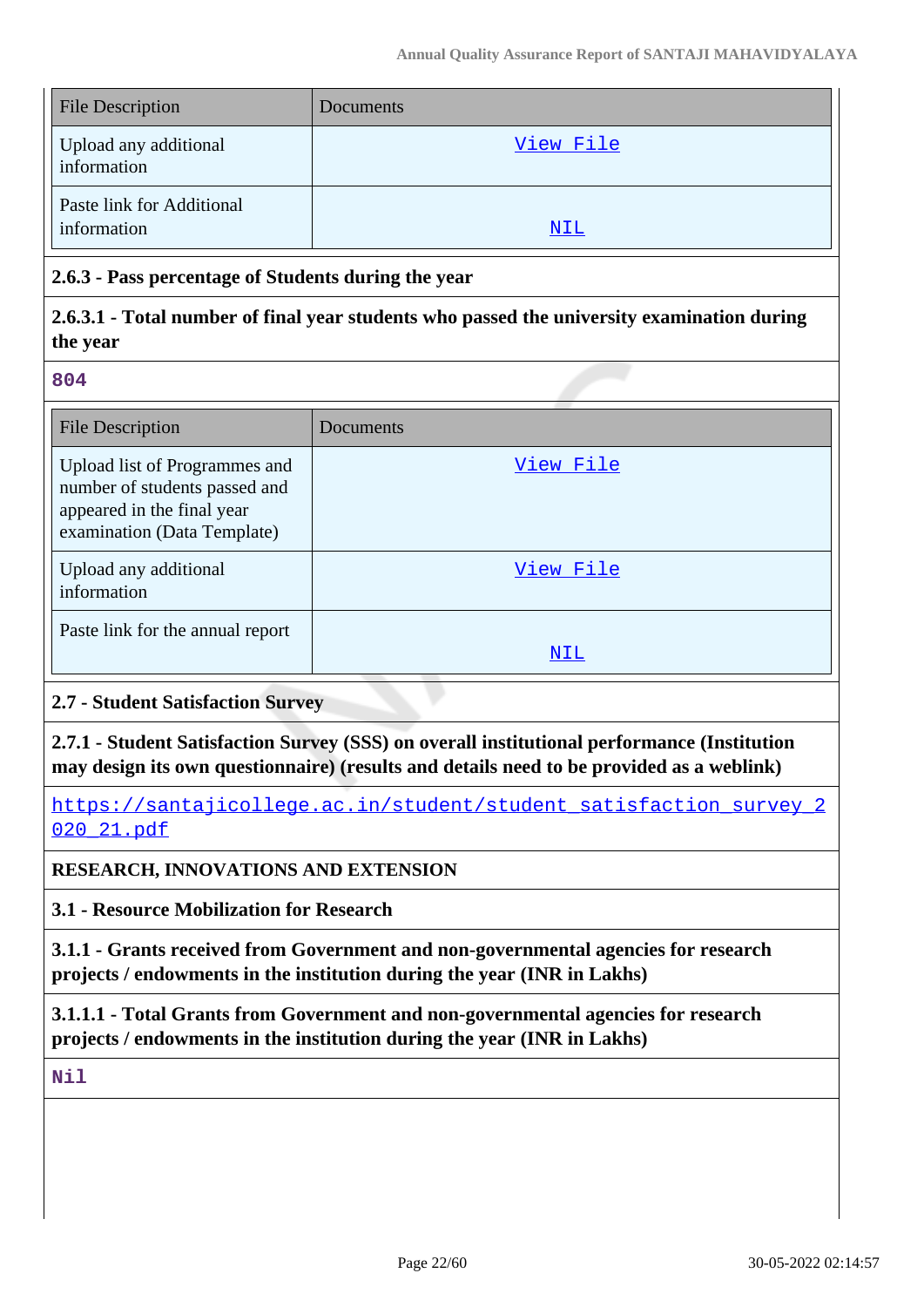| <b>File Description</b>                  | Documents  |
|------------------------------------------|------------|
| Upload any additional<br>information     | View File  |
| Paste link for Additional<br>information | <u>NIL</u> |

### **2.6.3 - Pass percentage of Students during the year**

### **2.6.3.1 - Total number of final year students who passed the university examination during the year**

#### **804**

| <b>File Description</b>                                                                                                     | Documents |
|-----------------------------------------------------------------------------------------------------------------------------|-----------|
| Upload list of Programmes and<br>number of students passed and<br>appeared in the final year<br>examination (Data Template) | View File |
| Upload any additional<br>information                                                                                        | View File |
| Paste link for the annual report                                                                                            | NIL       |

### **2.7 - Student Satisfaction Survey**

**2.7.1 - Student Satisfaction Survey (SSS) on overall institutional performance (Institution may design its own questionnaire) (results and details need to be provided as a weblink)**

https://santajicollege.ac.in/student/student\_satisfaction\_survey\_2 020\_21.pdf

### **RESEARCH, INNOVATIONS AND EXTENSION**

**3.1 - Resource Mobilization for Research**

**3.1.1 - Grants received from Government and non-governmental agencies for research projects / endowments in the institution during the year (INR in Lakhs)**

**3.1.1.1 - Total Grants from Government and non-governmental agencies for research projects / endowments in the institution during the year (INR in Lakhs)**

**Nil**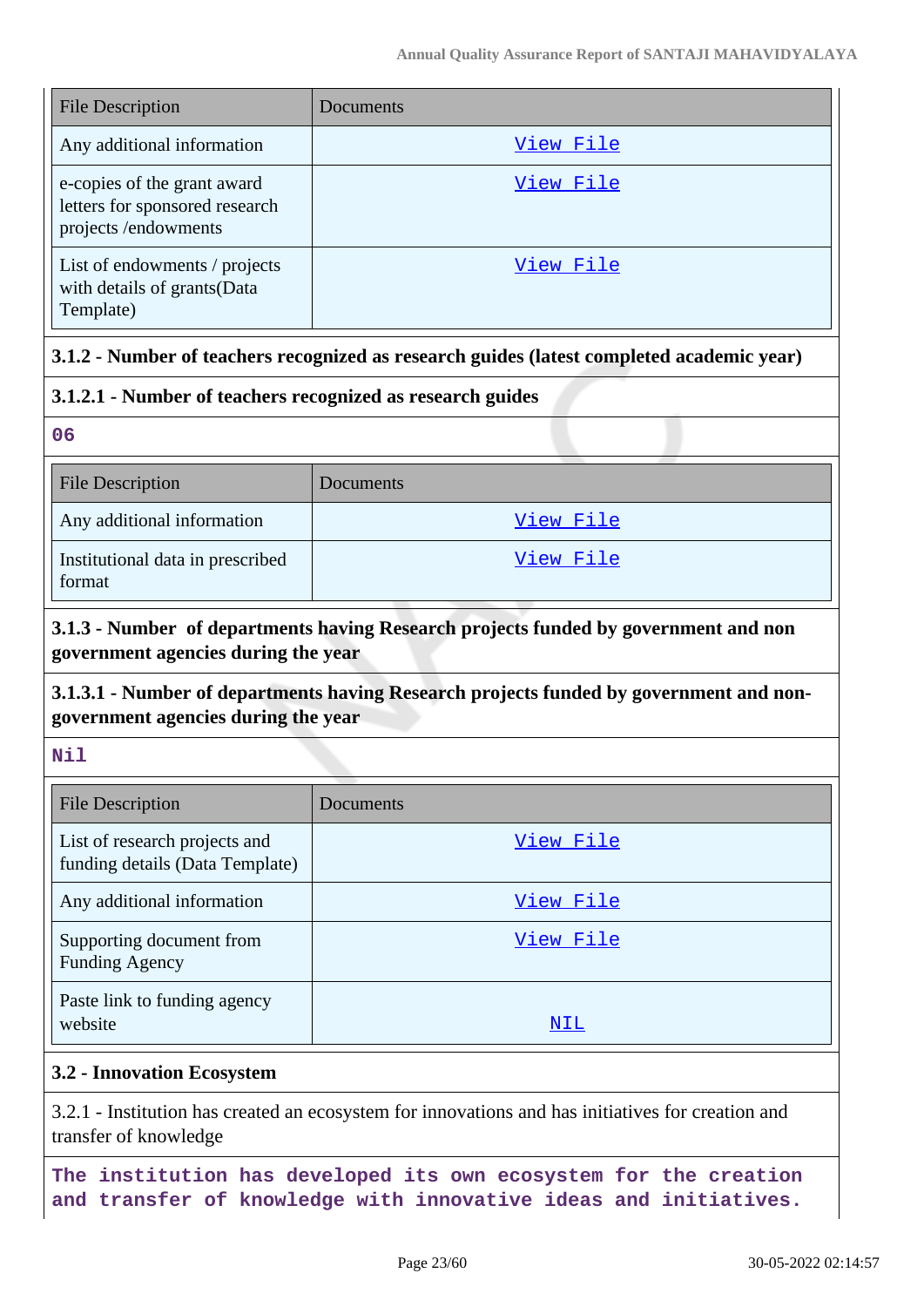| <b>File Description</b>                                                               | Documents |
|---------------------------------------------------------------------------------------|-----------|
| Any additional information                                                            | View File |
| e-copies of the grant award<br>letters for sponsored research<br>projects /endowments | View File |
| List of endowments / projects<br>with details of grants(Data<br>Template)             | View File |

# **3.1.2 - Number of teachers recognized as research guides (latest completed academic year)**

### **3.1.2.1 - Number of teachers recognized as research guides**

**06**

| <b>File Description</b>                    | Documents |
|--------------------------------------------|-----------|
| Any additional information                 | View File |
| Institutional data in prescribed<br>format | View File |

# **3.1.3 - Number of departments having Research projects funded by government and non government agencies during the year**

### **3.1.3.1 - Number of departments having Research projects funded by government and nongovernment agencies during the year**

**Nil**

| <b>File Description</b>                                          | Documents        |
|------------------------------------------------------------------|------------------|
| List of research projects and<br>funding details (Data Template) | View File        |
| Any additional information                                       | <u>View File</u> |
| Supporting document from<br><b>Funding Agency</b>                | View File        |
| Paste link to funding agency<br>website                          | NIL              |

### **3.2 - Innovation Ecosystem**

3.2.1 - Institution has created an ecosystem for innovations and has initiatives for creation and transfer of knowledge

**The institution has developed its own ecosystem for the creation and transfer of knowledge with innovative ideas and initiatives.**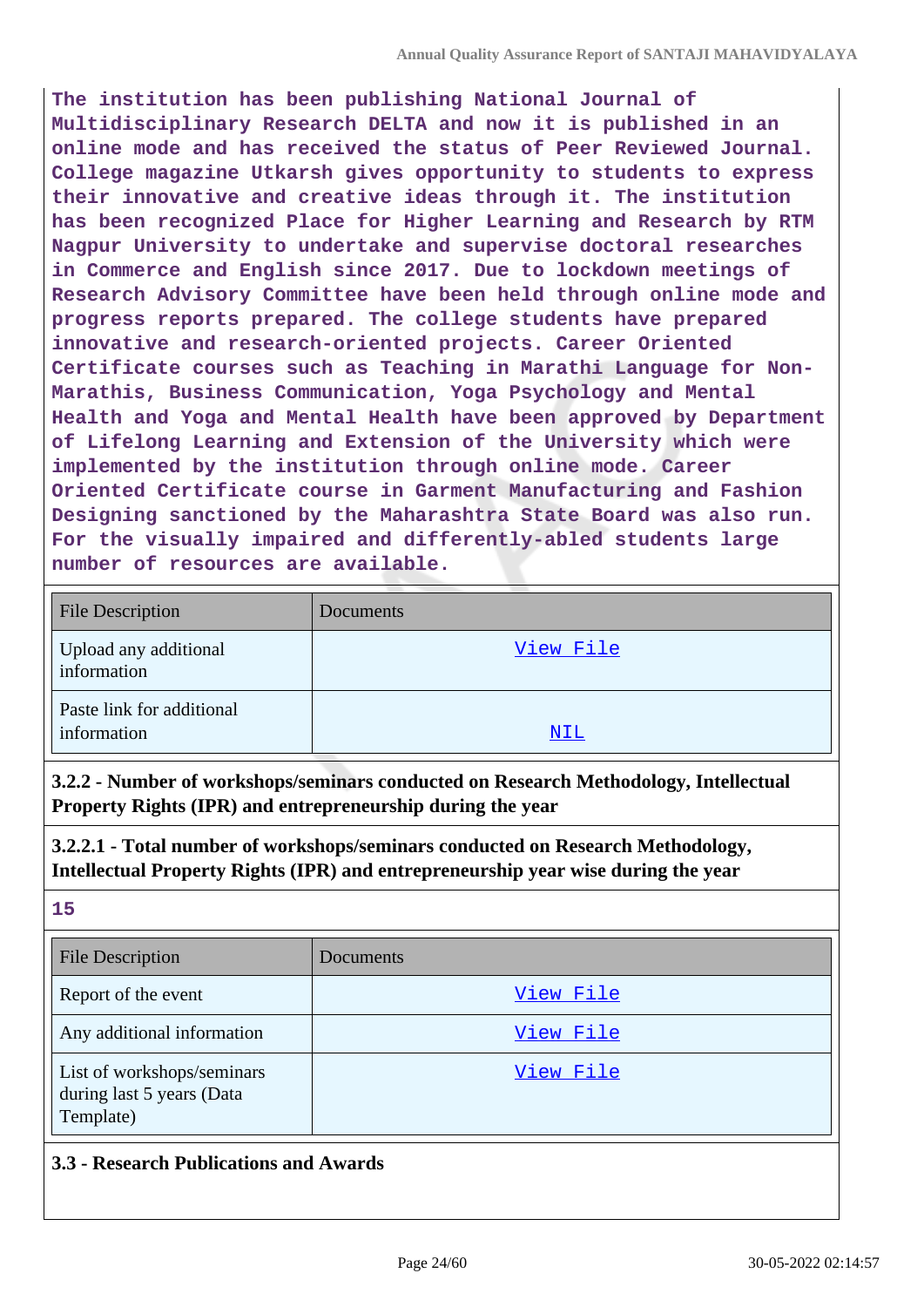**The institution has been publishing National Journal of Multidisciplinary Research DELTA and now it is published in an online mode and has received the status of Peer Reviewed Journal. College magazine Utkarsh gives opportunity to students to express their innovative and creative ideas through it. The institution has been recognized Place for Higher Learning and Research by RTM Nagpur University to undertake and supervise doctoral researches in Commerce and English since 2017. Due to lockdown meetings of Research Advisory Committee have been held through online mode and progress reports prepared. The college students have prepared innovative and research-oriented projects. Career Oriented Certificate courses such as Teaching in Marathi Language for Non-Marathis, Business Communication, Yoga Psychology and Mental Health and Yoga and Mental Health have been approved by Department of Lifelong Learning and Extension of the University which were implemented by the institution through online mode. Career Oriented Certificate course in Garment Manufacturing and Fashion Designing sanctioned by the Maharashtra State Board was also run. For the visually impaired and differently-abled students large number of resources are available.**

| <b>File Description</b>                  | Documents  |
|------------------------------------------|------------|
| Upload any additional<br>information     | View File  |
| Paste link for additional<br>information | <u>NIL</u> |

**3.2.2 - Number of workshops/seminars conducted on Research Methodology, Intellectual Property Rights (IPR) and entrepreneurship during the year**

**3.2.2.1 - Total number of workshops/seminars conducted on Research Methodology, Intellectual Property Rights (IPR) and entrepreneurship year wise during the year**

**15**

| <b>File Description</b>                                              | Documents |
|----------------------------------------------------------------------|-----------|
| Report of the event                                                  | View File |
| Any additional information                                           | View File |
| List of workshops/seminars<br>during last 5 years (Data<br>Template) | View File |

### **3.3 - Research Publications and Awards**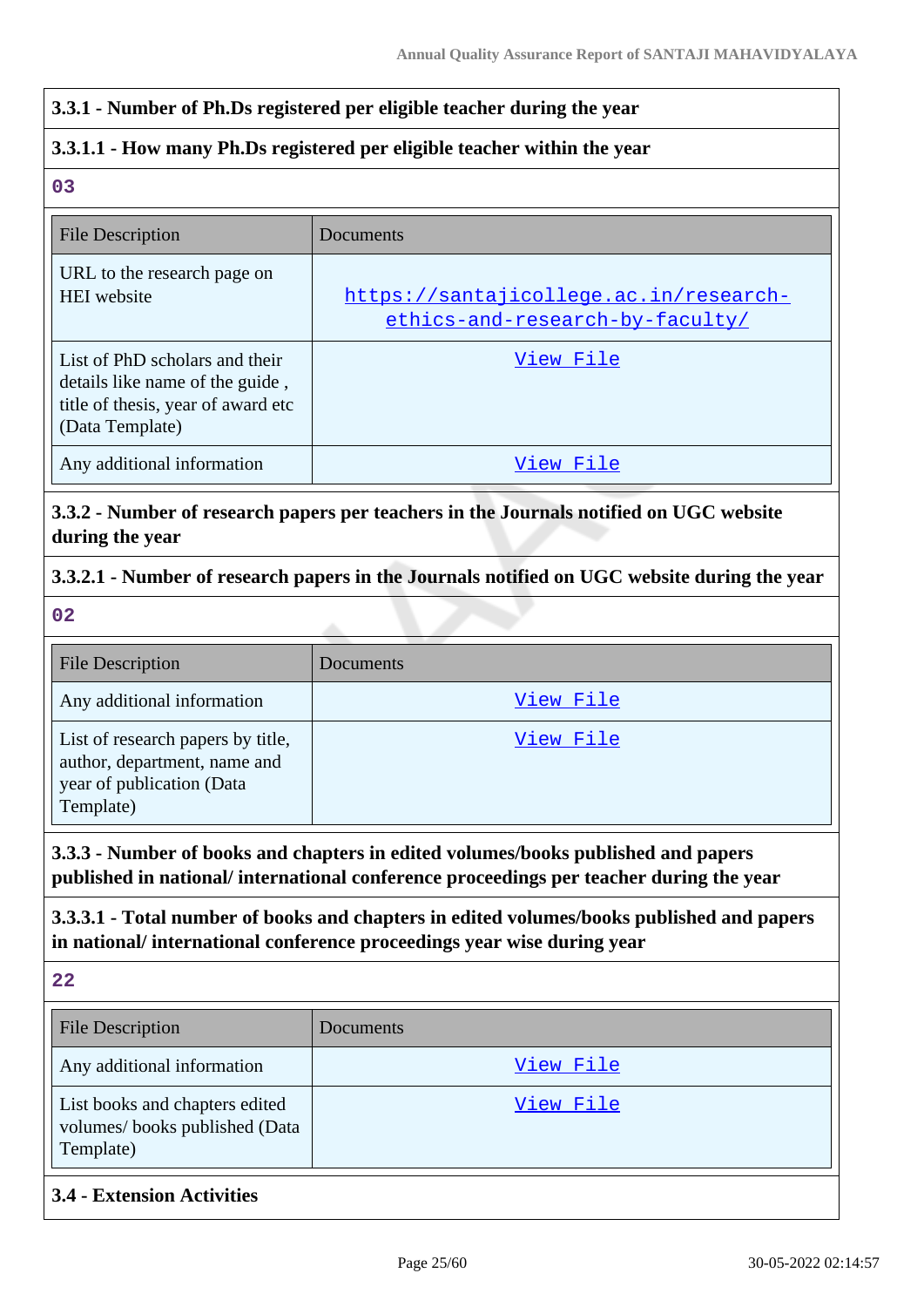### **3.3.1 - Number of Ph.Ds registered per eligible teacher during the year**

### **3.3.1.1 - How many Ph.Ds registered per eligible teacher within the year**

**03**

| <b>File Description</b>                                                                                                    | Documents                                                                 |
|----------------------------------------------------------------------------------------------------------------------------|---------------------------------------------------------------------------|
| URL to the research page on<br><b>HEI</b> website                                                                          | https://santajicollege.ac.in/research-<br>ethics-and-research-by-faculty/ |
| List of PhD scholars and their<br>details like name of the guide,<br>title of thesis, year of award etc<br>(Data Template) | View File                                                                 |
| Any additional information                                                                                                 | View File                                                                 |

**3.3.2 - Number of research papers per teachers in the Journals notified on UGC website during the year**

### **3.3.2.1 - Number of research papers in the Journals notified on UGC website during the year**

**02**

| <b>File Description</b>                                                                                     | Documents |
|-------------------------------------------------------------------------------------------------------------|-----------|
| Any additional information                                                                                  | View File |
| List of research papers by title,<br>author, department, name and<br>year of publication (Data<br>Template) | View File |

**3.3.3 - Number of books and chapters in edited volumes/books published and papers published in national/ international conference proceedings per teacher during the year**

**3.3.3.1 - Total number of books and chapters in edited volumes/books published and papers in national/ international conference proceedings year wise during year**

**22**

| <b>File Description</b>                                                      | Documents |
|------------------------------------------------------------------------------|-----------|
| Any additional information                                                   | View File |
| List books and chapters edited<br>volumes/books published (Data<br>Template) | View File |

### **3.4 - Extension Activities**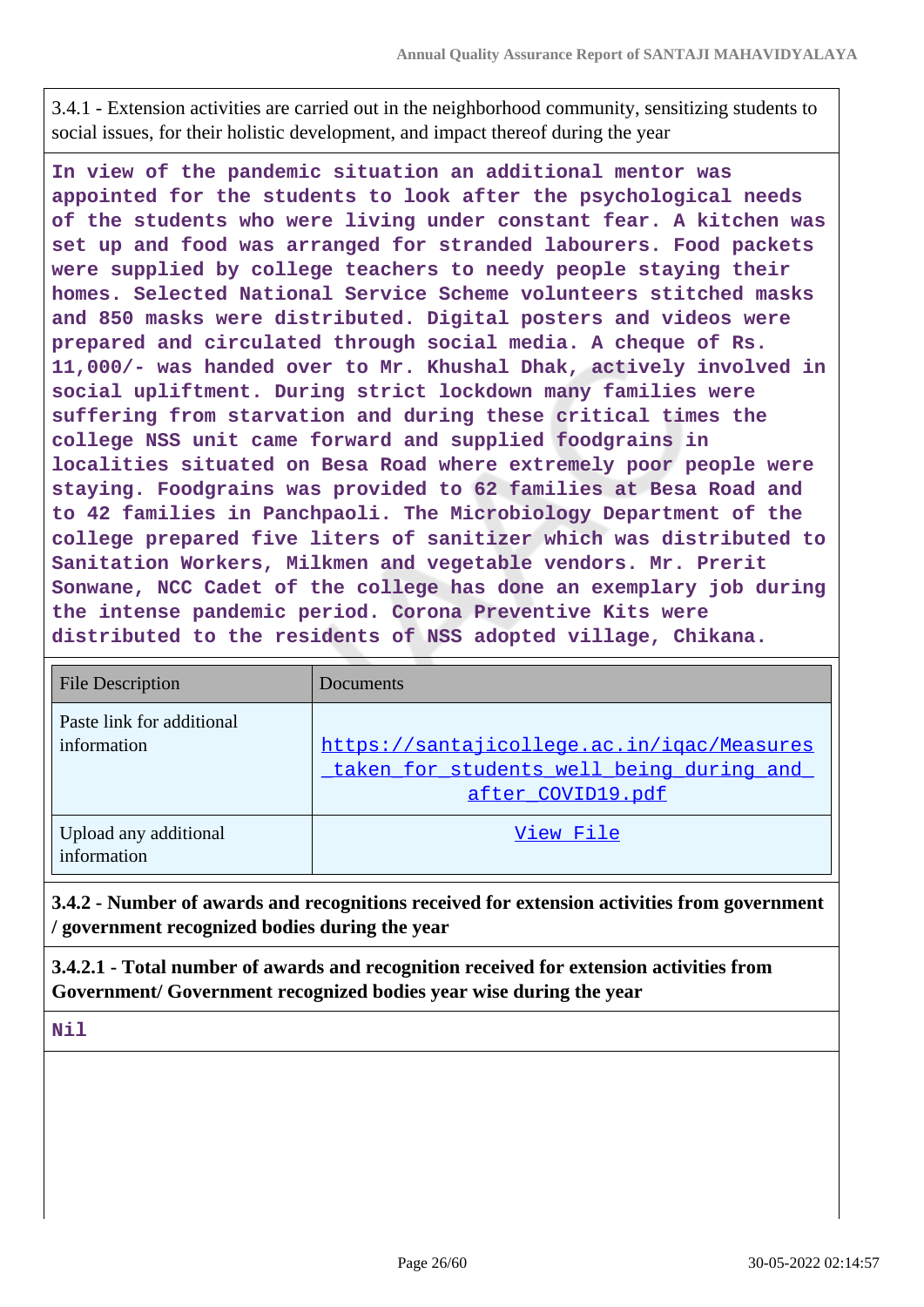3.4.1 - Extension activities are carried out in the neighborhood community, sensitizing students to social issues, for their holistic development, and impact thereof during the year

**In view of the pandemic situation an additional mentor was appointed for the students to look after the psychological needs of the students who were living under constant fear. A kitchen was set up and food was arranged for stranded labourers. Food packets were supplied by college teachers to needy people staying their homes. Selected National Service Scheme volunteers stitched masks and 850 masks were distributed. Digital posters and videos were prepared and circulated through social media. A cheque of Rs. 11,000/- was handed over to Mr. Khushal Dhak, actively involved in social upliftment. During strict lockdown many families were suffering from starvation and during these critical times the college NSS unit came forward and supplied foodgrains in localities situated on Besa Road where extremely poor people were staying. Foodgrains was provided to 62 families at Besa Road and to 42 families in Panchpaoli. The Microbiology Department of the college prepared five liters of sanitizer which was distributed to Sanitation Workers, Milkmen and vegetable vendors. Mr. Prerit Sonwane, NCC Cadet of the college has done an exemplary job during the intense pandemic period. Corona Preventive Kits were distributed to the residents of NSS adopted village, Chikana.**

| <b>File Description</b>                  | Documents                                                                                                   |
|------------------------------------------|-------------------------------------------------------------------------------------------------------------|
| Paste link for additional<br>information | https://santajicollege.ac.in/igac/Measures<br>taken for students well being during and<br>after COVID19.pdf |
| Upload any additional<br>information     | View File                                                                                                   |

**3.4.2 - Number of awards and recognitions received for extension activities from government / government recognized bodies during the year**

**3.4.2.1 - Total number of awards and recognition received for extension activities from Government/ Government recognized bodies year wise during the year**

**Nil**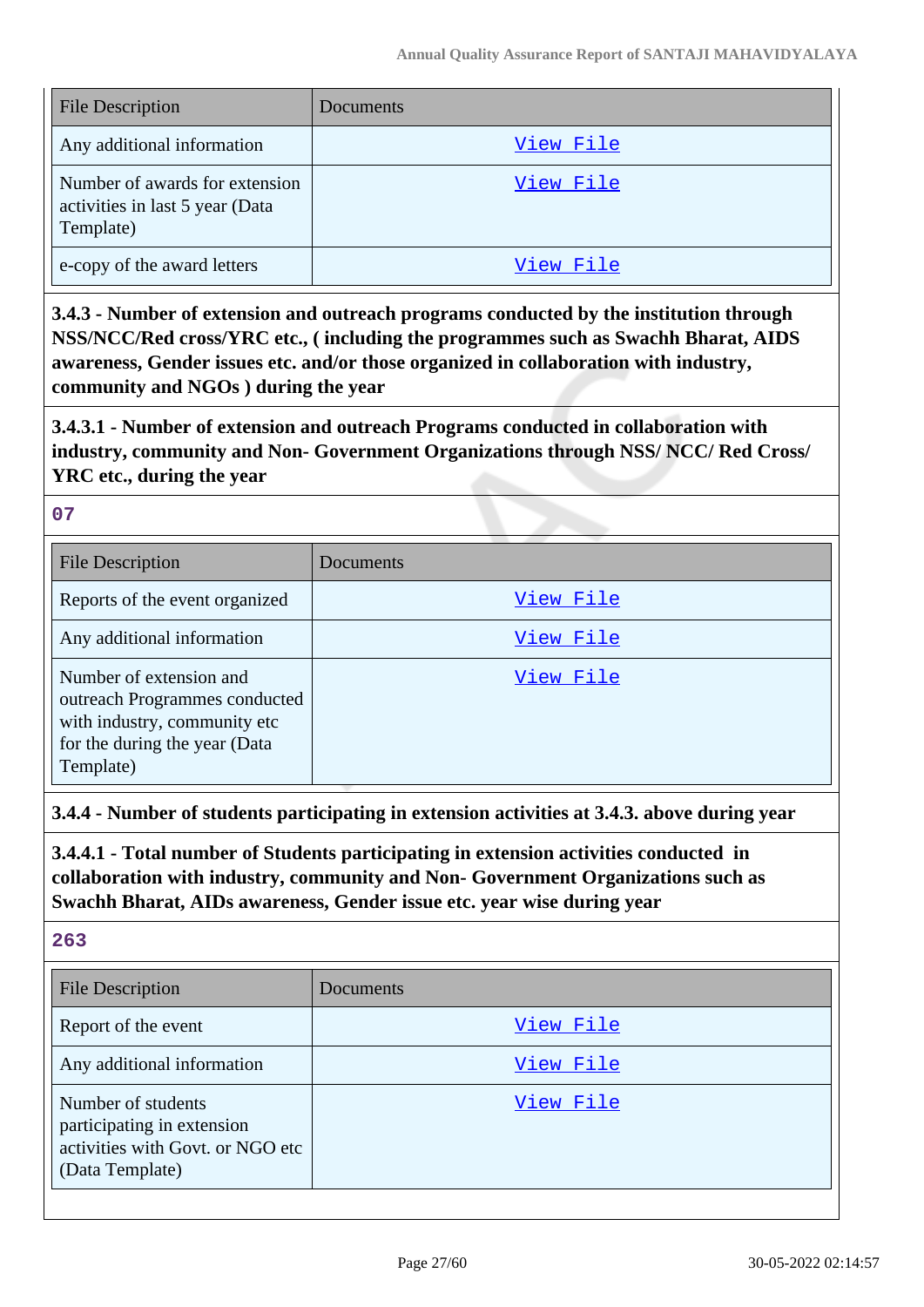| <b>File Description</b>                                                        | Documents |
|--------------------------------------------------------------------------------|-----------|
| Any additional information                                                     | View File |
| Number of awards for extension<br>activities in last 5 year (Data<br>Template) | View File |
| e-copy of the award letters                                                    | View File |

**3.4.3 - Number of extension and outreach programs conducted by the institution through NSS/NCC/Red cross/YRC etc., ( including the programmes such as Swachh Bharat, AIDS awareness, Gender issues etc. and/or those organized in collaboration with industry, community and NGOs ) during the year**

**3.4.3.1 - Number of extension and outreach Programs conducted in collaboration with industry, community and Non- Government Organizations through NSS/ NCC/ Red Cross/ YRC etc., during the year**

#### **07**

| <b>File Description</b>                                                                                                                | Documents |
|----------------------------------------------------------------------------------------------------------------------------------------|-----------|
| Reports of the event organized                                                                                                         | View File |
| Any additional information                                                                                                             | View File |
| Number of extension and<br>outreach Programmes conducted<br>with industry, community etc<br>for the during the year (Data<br>Template) | View File |

**3.4.4 - Number of students participating in extension activities at 3.4.3. above during year**

**3.4.4.1 - Total number of Students participating in extension activities conducted in collaboration with industry, community and Non- Government Organizations such as Swachh Bharat, AIDs awareness, Gender issue etc. year wise during year**

| v<br>v. | ×<br>×<br>۰,<br>. . |
|---------|---------------------|
|         |                     |

| <b>File Description</b>                                                                                 | Documents |
|---------------------------------------------------------------------------------------------------------|-----------|
| Report of the event                                                                                     | View File |
| Any additional information                                                                              | View File |
| Number of students<br>participating in extension<br>activities with Govt. or NGO etc<br>(Data Template) | View File |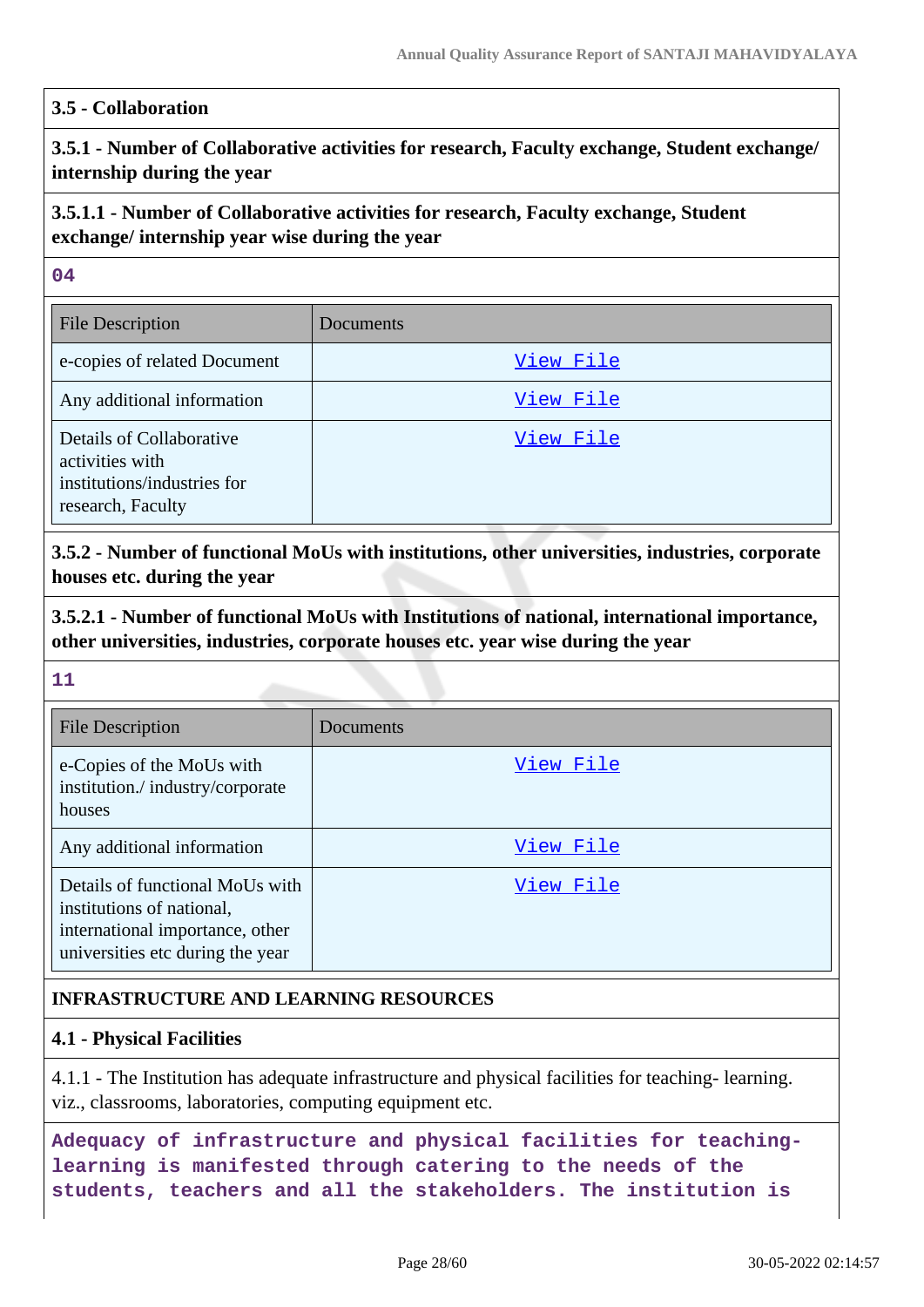### **3.5 - Collaboration**

**3.5.1 - Number of Collaborative activities for research, Faculty exchange, Student exchange/ internship during the year**

## **3.5.1.1 - Number of Collaborative activities for research, Faculty exchange, Student exchange/ internship year wise during the year**

#### **04**

| <b>File Description</b>                                                                         | Documents |
|-------------------------------------------------------------------------------------------------|-----------|
| e-copies of related Document                                                                    | View File |
| Any additional information                                                                      | View File |
| Details of Collaborative<br>activities with<br>institutions/industries for<br>research, Faculty | View File |

**3.5.2 - Number of functional MoUs with institutions, other universities, industries, corporate houses etc. during the year**

**3.5.2.1 - Number of functional MoUs with Institutions of national, international importance, other universities, industries, corporate houses etc. year wise during the year**

#### **11**

| <b>File Description</b>                                                                                                             | Documents |
|-------------------------------------------------------------------------------------------------------------------------------------|-----------|
| e-Copies of the MoUs with<br>institution./industry/corporate<br>houses                                                              | View File |
| Any additional information                                                                                                          | View File |
| Details of functional MoUs with<br>institutions of national,<br>international importance, other<br>universities etc during the year | View File |

### **INFRASTRUCTURE AND LEARNING RESOURCES**

### **4.1 - Physical Facilities**

4.1.1 - The Institution has adequate infrastructure and physical facilities for teaching- learning. viz., classrooms, laboratories, computing equipment etc.

**Adequacy of infrastructure and physical facilities for teachinglearning is manifested through catering to the needs of the students, teachers and all the stakeholders. The institution is**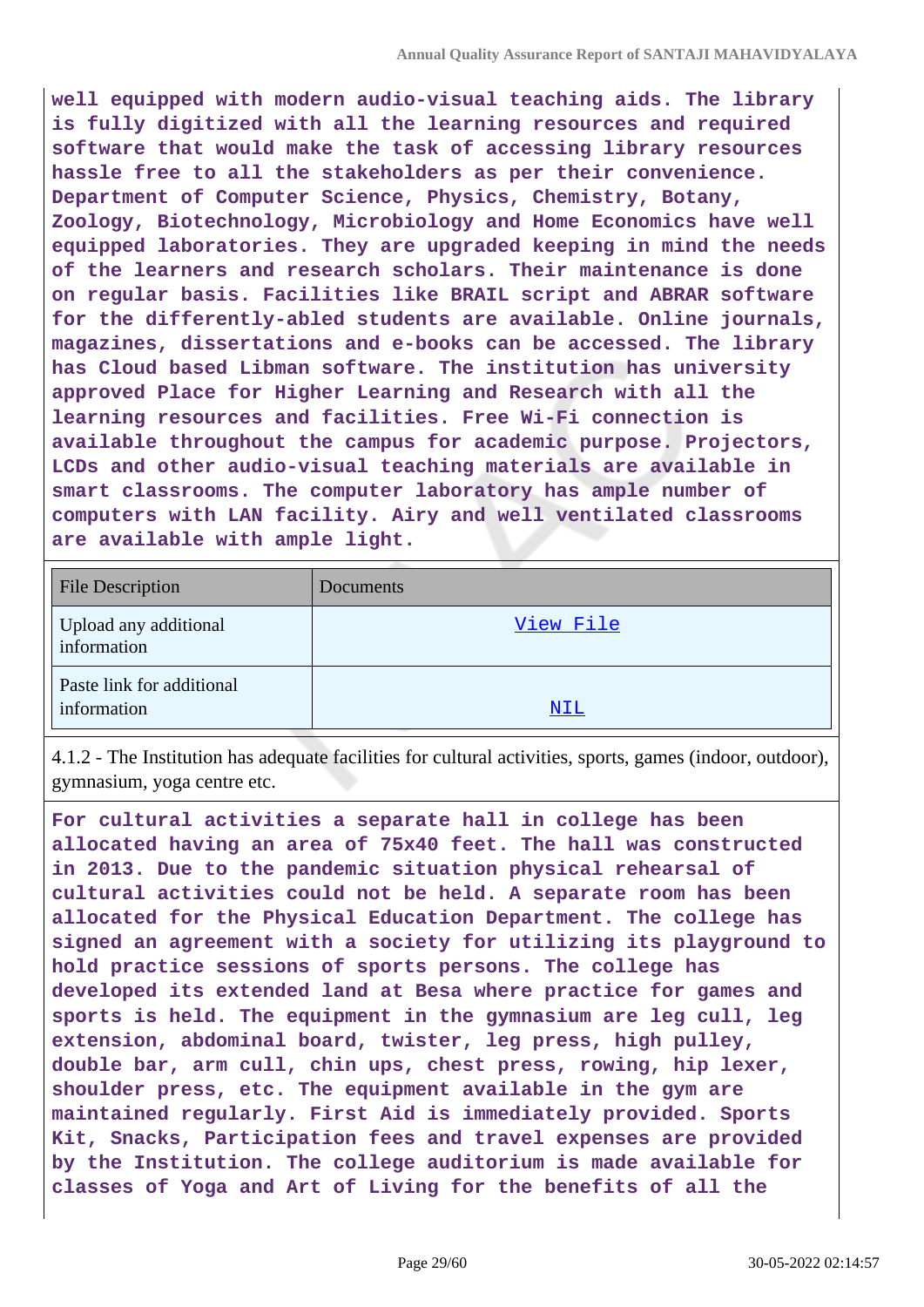**well equipped with modern audio-visual teaching aids. The library is fully digitized with all the learning resources and required software that would make the task of accessing library resources hassle free to all the stakeholders as per their convenience. Department of Computer Science, Physics, Chemistry, Botany, Zoology, Biotechnology, Microbiology and Home Economics have well equipped laboratories. They are upgraded keeping in mind the needs of the learners and research scholars. Their maintenance is done on regular basis. Facilities like BRAIL script and ABRAR software for the differently-abled students are available. Online journals, magazines, dissertations and e-books can be accessed. The library has Cloud based Libman software. The institution has university approved Place for Higher Learning and Research with all the learning resources and facilities. Free Wi-Fi connection is available throughout the campus for academic purpose. Projectors, LCDs and other audio-visual teaching materials are available in smart classrooms. The computer laboratory has ample number of computers with LAN facility. Airy and well ventilated classrooms are available with ample light.**

| <b>File Description</b>                  | Documents  |
|------------------------------------------|------------|
| Upload any additional<br>information     | View File  |
| Paste link for additional<br>information | <u>NIL</u> |

4.1.2 - The Institution has adequate facilities for cultural activities, sports, games (indoor, outdoor), gymnasium, yoga centre etc.

**For cultural activities a separate hall in college has been allocated having an area of 75x40 feet. The hall was constructed in 2013. Due to the pandemic situation physical rehearsal of cultural activities could not be held. A separate room has been allocated for the Physical Education Department. The college has signed an agreement with a society for utilizing its playground to hold practice sessions of sports persons. The college has developed its extended land at Besa where practice for games and sports is held. The equipment in the gymnasium are leg cull, leg extension, abdominal board, twister, leg press, high pulley, double bar, arm cull, chin ups, chest press, rowing, hip lexer, shoulder press, etc. The equipment available in the gym are maintained regularly. First Aid is immediately provided. Sports Kit, Snacks, Participation fees and travel expenses are provided by the Institution. The college auditorium is made available for classes of Yoga and Art of Living for the benefits of all the**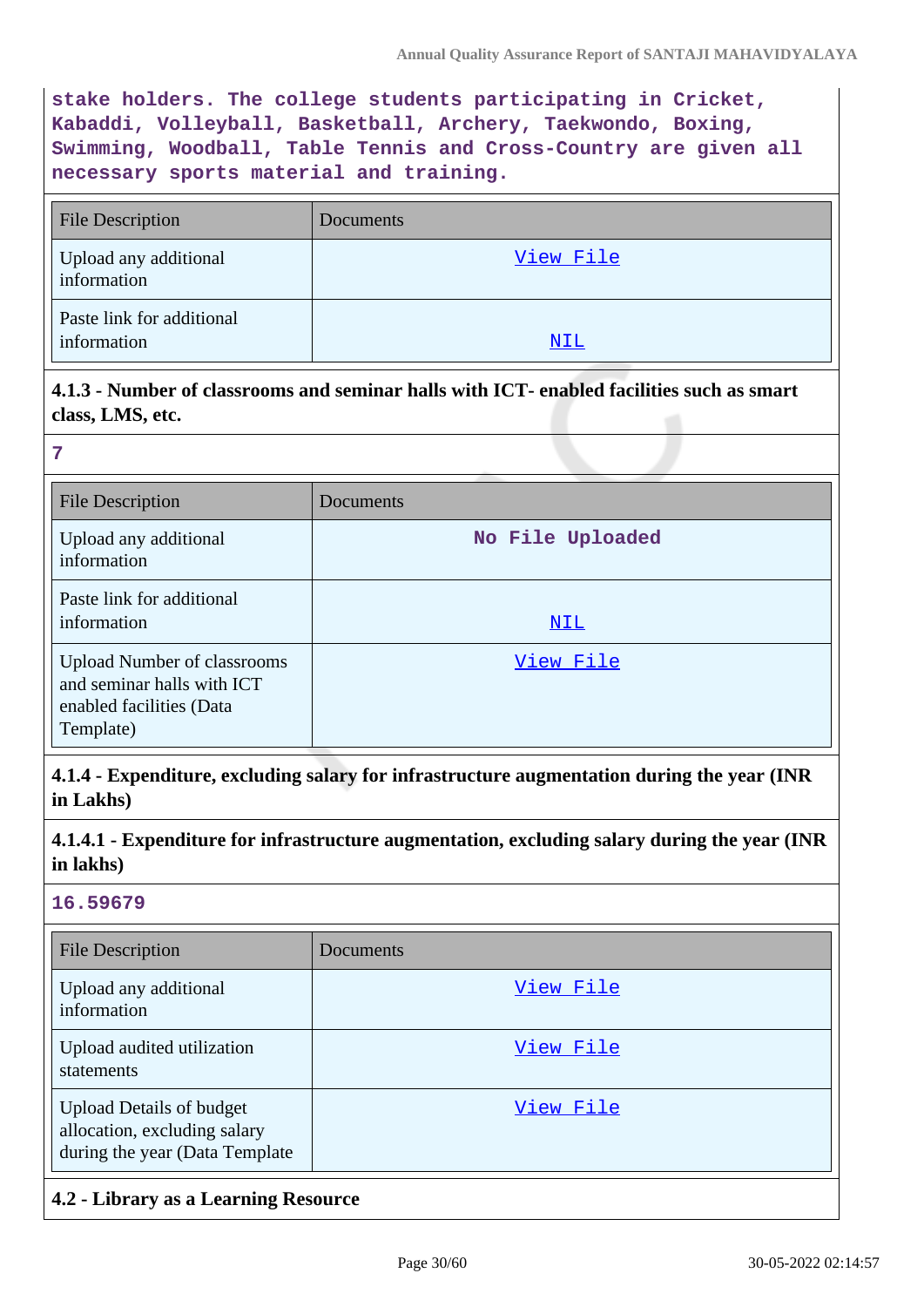**stake holders. The college students participating in Cricket, Kabaddi, Volleyball, Basketball, Archery, Taekwondo, Boxing, Swimming, Woodball, Table Tennis and Cross-Country are given all necessary sports material and training.**

| <b>File Description</b>                  | Documents |
|------------------------------------------|-----------|
| Upload any additional<br>information     | View File |
| Paste link for additional<br>information | NIL       |

### **4.1.3 - Number of classrooms and seminar halls with ICT- enabled facilities such as smart class, LMS, etc.**

| 7                                                                                                         |                  |
|-----------------------------------------------------------------------------------------------------------|------------------|
| <b>File Description</b>                                                                                   | Documents        |
| Upload any additional<br>information                                                                      | No File Uploaded |
| Paste link for additional<br>information                                                                  | NIL              |
| <b>Upload Number of classrooms</b><br>and seminar halls with ICT<br>enabled facilities (Data<br>Template) | View File        |

**4.1.4 - Expenditure, excluding salary for infrastructure augmentation during the year (INR in Lakhs)**

**4.1.4.1 - Expenditure for infrastructure augmentation, excluding salary during the year (INR in lakhs)**

#### **16.59679**

| <b>File Description</b>                                                                           | Documents |
|---------------------------------------------------------------------------------------------------|-----------|
| Upload any additional<br>information                                                              | View File |
| Upload audited utilization<br>statements                                                          | View File |
| <b>Upload Details of budget</b><br>allocation, excluding salary<br>during the year (Data Template | View File |

### **4.2 - Library as a Learning Resource**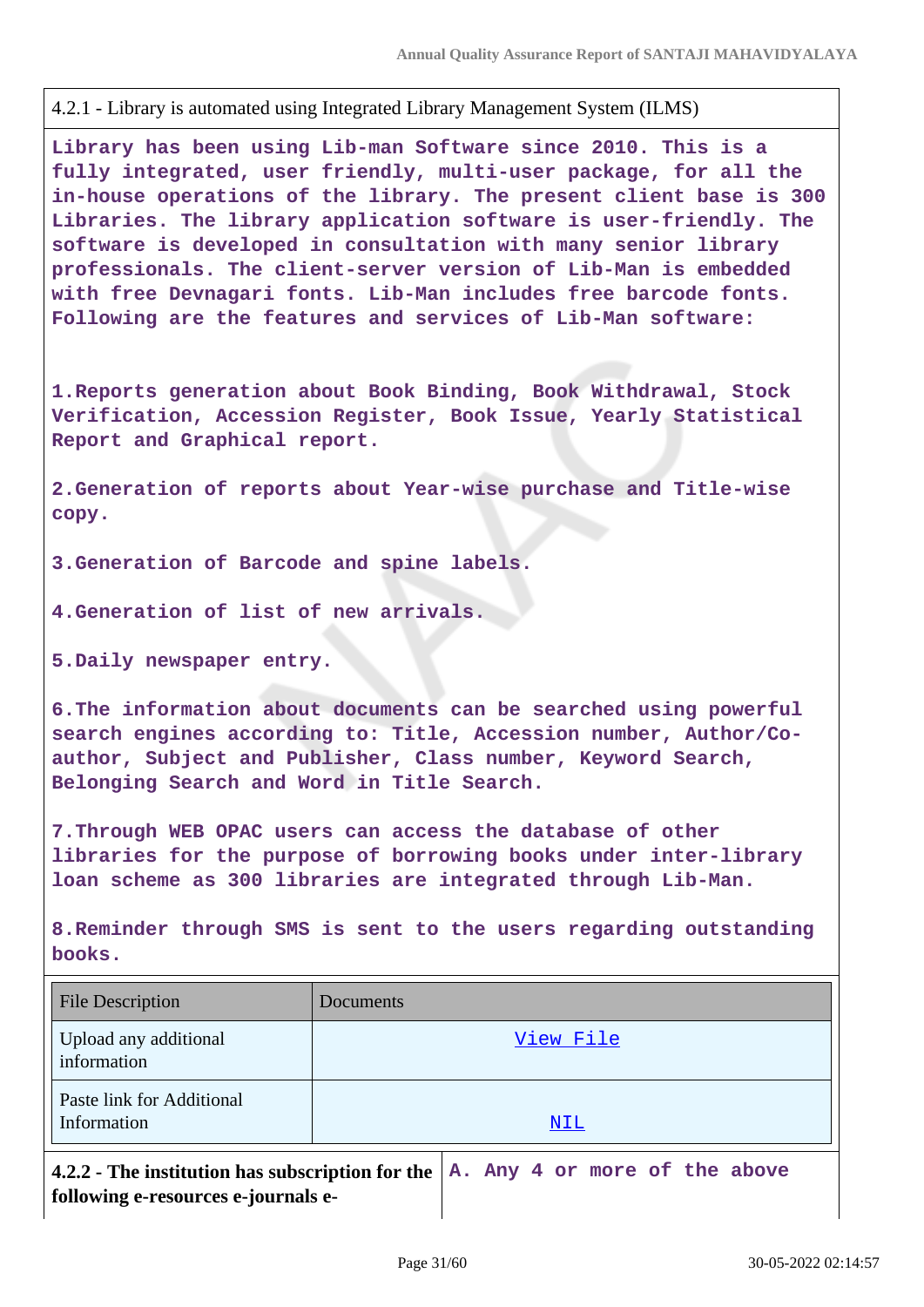4.2.1 - Library is automated using Integrated Library Management System (ILMS)

**Library has been using Lib-man Software since 2010. This is a fully integrated, user friendly, multi-user package, for all the in-house operations of the library. The present client base is 300 Libraries. The library application software is user-friendly. The software is developed in consultation with many senior library professionals. The client-server version of Lib-Man is embedded with free Devnagari fonts. Lib-Man includes free barcode fonts. Following are the features and services of Lib-Man software:**

**1.Reports generation about Book Binding, Book Withdrawal, Stock Verification, Accession Register, Book Issue, Yearly Statistical Report and Graphical report.**

**2.Generation of reports about Year-wise purchase and Title-wise copy.**

**3.Generation of Barcode and spine labels.**

**4.Generation of list of new arrivals.**

**5.Daily newspaper entry.**

**6.The information about documents can be searched using powerful search engines according to: Title, Accession number, Author/Coauthor, Subject and Publisher, Class number, Keyword Search, Belonging Search and Word in Title Search.**

**7.Through WEB OPAC users can access the database of other libraries for the purpose of borrowing books under inter-library loan scheme as 300 libraries are integrated through Lib-Man.**

**8.Reminder through SMS is sent to the users regarding outstanding books.**

| <b>File Description</b>                                                            | Documents |
|------------------------------------------------------------------------------------|-----------|
| Upload any additional<br>information                                               | View File |
| Paste link for Additional<br>Information                                           | NIL       |
| 4.2.2 - The institution has subscription for the $ A$ . Any 4 or more of the above |           |

**following e-resources e-journals e-**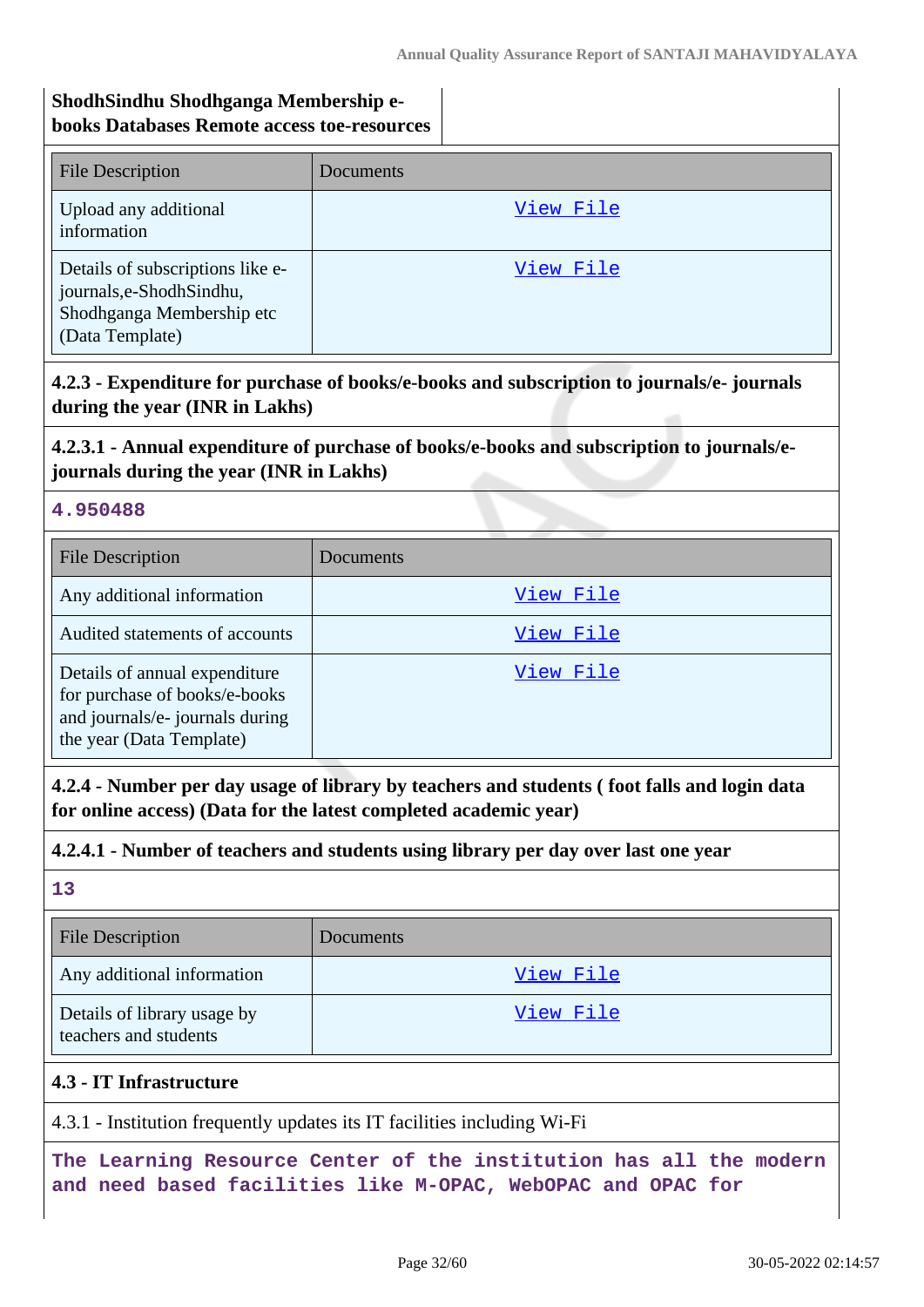## **ShodhSindhu Shodhganga Membership ebooks Databases Remote access toe-resources**

| <b>File Description</b>                                                                                     | Documents |
|-------------------------------------------------------------------------------------------------------------|-----------|
| Upload any additional<br>information                                                                        | View File |
| Details of subscriptions like e-<br>journals,e-ShodhSindhu,<br>Shodhganga Membership etc<br>(Data Template) | View File |

# **4.2.3 - Expenditure for purchase of books/e-books and subscription to journals/e- journals during the year (INR in Lakhs)**

# **4.2.3.1 - Annual expenditure of purchase of books/e-books and subscription to journals/ejournals during the year (INR in Lakhs)**

### **4.950488**

| <b>File Description</b>                                                                                                       | Documents |
|-------------------------------------------------------------------------------------------------------------------------------|-----------|
| Any additional information                                                                                                    | View File |
| Audited statements of accounts                                                                                                | View File |
| Details of annual expenditure<br>for purchase of books/e-books<br>and journals/e- journals during<br>the year (Data Template) | View File |

**4.2.4 - Number per day usage of library by teachers and students ( foot falls and login data for online access) (Data for the latest completed academic year)**

### **4.2.4.1 - Number of teachers and students using library per day over last one year**

### **13**

| <b>File Description</b>                              | Documents |
|------------------------------------------------------|-----------|
| Any additional information                           | View File |
| Details of library usage by<br>teachers and students | View File |

### **4.3 - IT Infrastructure**

4.3.1 - Institution frequently updates its IT facilities including Wi-Fi

**The Learning Resource Center of the institution has all the modern and need based facilities like M-OPAC, WebOPAC and OPAC for**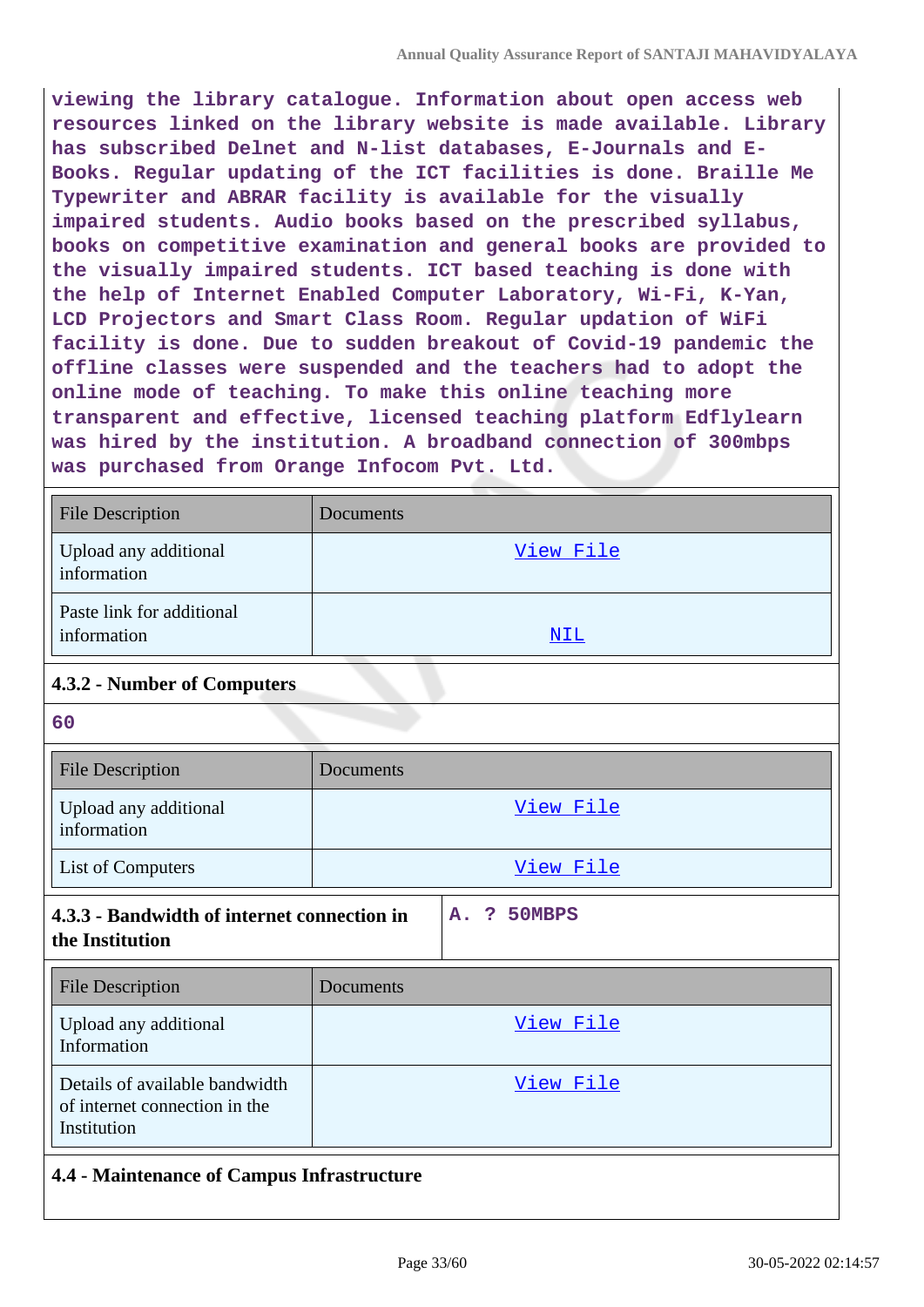**viewing the library catalogue. Information about open access web resources linked on the library website is made available. Library has subscribed Delnet and N-list databases, E-Journals and E-Books. Regular updating of the ICT facilities is done. Braille Me Typewriter and ABRAR facility is available for the visually impaired students. Audio books based on the prescribed syllabus, books on competitive examination and general books are provided to the visually impaired students. ICT based teaching is done with the help of Internet Enabled Computer Laboratory, Wi-Fi, K-Yan, LCD Projectors and Smart Class Room. Regular updation of WiFi facility is done. Due to sudden breakout of Covid-19 pandemic the offline classes were suspended and the teachers had to adopt the online mode of teaching. To make this online teaching more transparent and effective, licensed teaching platform Edflylearn was hired by the institution. A broadband connection of 300mbps was purchased from Orange Infocom Pvt. Ltd.**

| <b>File Description</b>                                                                        | Documents        |  |  |
|------------------------------------------------------------------------------------------------|------------------|--|--|
| Upload any additional<br>information                                                           | View File        |  |  |
| Paste link for additional<br>information                                                       | <b>NIL</b>       |  |  |
| 4.3.2 - Number of Computers                                                                    |                  |  |  |
| 60                                                                                             |                  |  |  |
| <b>File Description</b>                                                                        | <b>Documents</b> |  |  |
| Upload any additional<br>information                                                           | View File        |  |  |
| List of Computers                                                                              | View File        |  |  |
| 4.3.3 - Bandwidth of internet connection in<br>50MBPS<br>A.<br>$\mathbf{P}$<br>the Institution |                  |  |  |
| <b>File Description</b>                                                                        | Documents        |  |  |
| Upload any additional<br>Information                                                           | View File        |  |  |
| Details of available bandwidth<br>of internet connection in the<br>Institution                 | View File        |  |  |
| 4.4 - Maintenance of Campus Infrastructure                                                     |                  |  |  |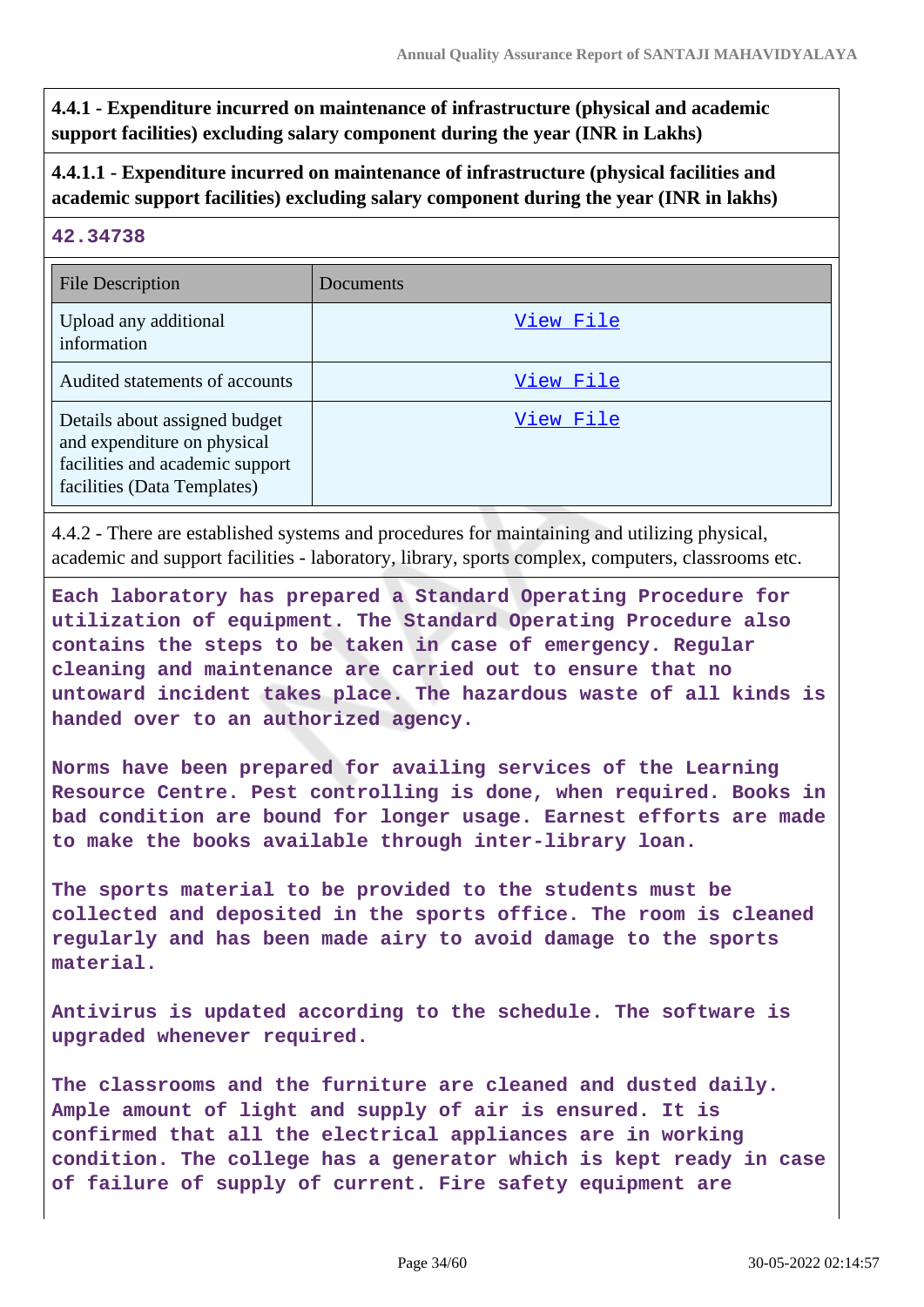**4.4.1 - Expenditure incurred on maintenance of infrastructure (physical and academic support facilities) excluding salary component during the year (INR in Lakhs)**

### **4.4.1.1 - Expenditure incurred on maintenance of infrastructure (physical facilities and academic support facilities) excluding salary component during the year (INR in lakhs)**

#### **42.34738**

| <b>File Description</b>                                                                                                        | Documents |
|--------------------------------------------------------------------------------------------------------------------------------|-----------|
| Upload any additional<br>information                                                                                           | View File |
| Audited statements of accounts                                                                                                 | View File |
| Details about assigned budget<br>and expenditure on physical<br>facilities and academic support<br>facilities (Data Templates) | View File |

4.4.2 - There are established systems and procedures for maintaining and utilizing physical, academic and support facilities - laboratory, library, sports complex, computers, classrooms etc.

**Each laboratory has prepared a Standard Operating Procedure for utilization of equipment. The Standard Operating Procedure also contains the steps to be taken in case of emergency. Regular cleaning and maintenance are carried out to ensure that no untoward incident takes place. The hazardous waste of all kinds is handed over to an authorized agency.**

**Norms have been prepared for availing services of the Learning Resource Centre. Pest controlling is done, when required. Books in bad condition are bound for longer usage. Earnest efforts are made to make the books available through inter-library loan.**

**The sports material to be provided to the students must be collected and deposited in the sports office. The room is cleaned regularly and has been made airy to avoid damage to the sports material.**

**Antivirus is updated according to the schedule. The software is upgraded whenever required.**

**The classrooms and the furniture are cleaned and dusted daily. Ample amount of light and supply of air is ensured. It is confirmed that all the electrical appliances are in working condition. The college has a generator which is kept ready in case of failure of supply of current. Fire safety equipment are**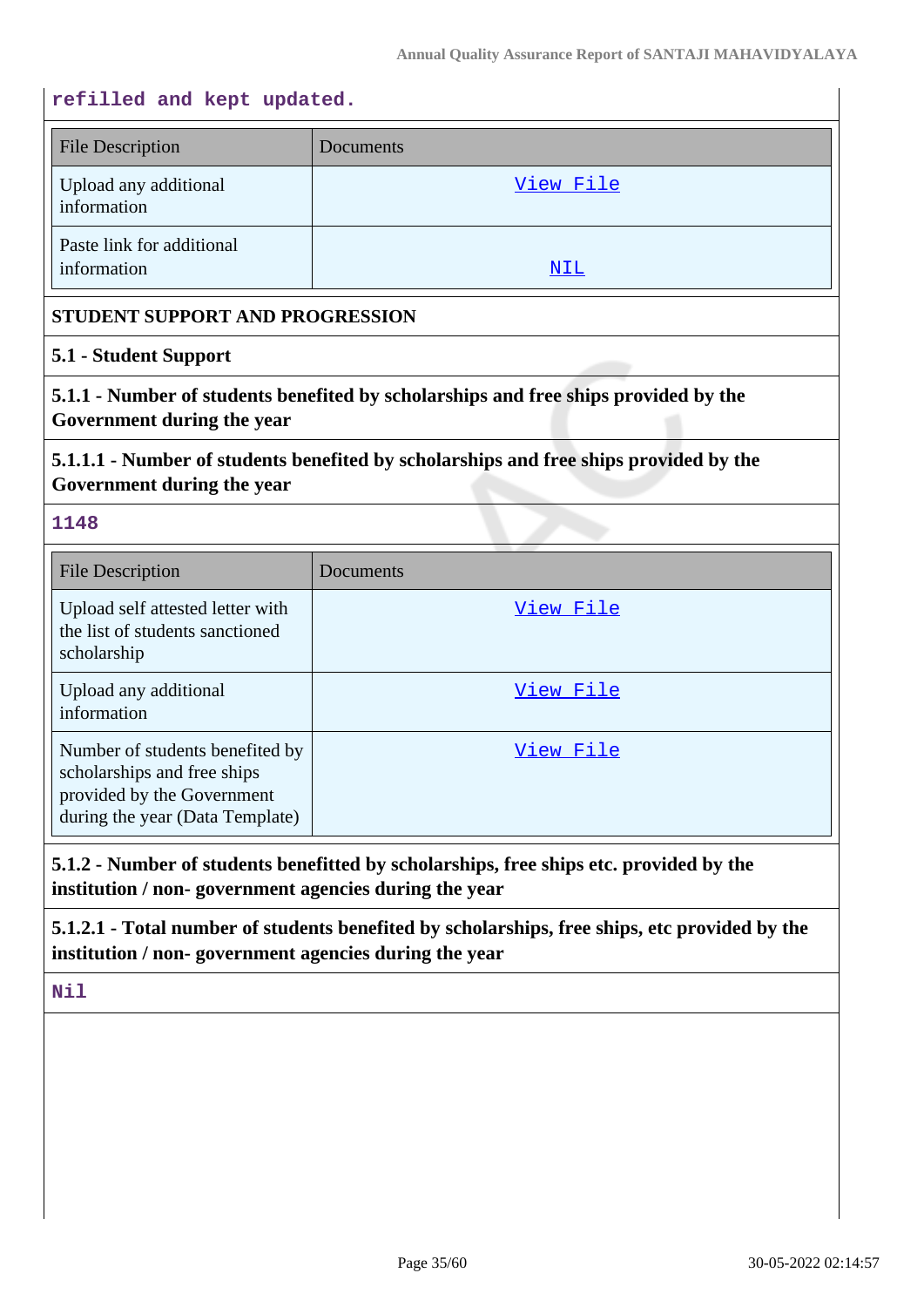#### **refilled and kept updated.**

| <b>File Description</b>                  | Documents |
|------------------------------------------|-----------|
| Upload any additional<br>information     | View File |
| Paste link for additional<br>information | NIL       |

#### **STUDENT SUPPORT AND PROGRESSION**

#### **5.1 - Student Support**

**5.1.1 - Number of students benefited by scholarships and free ships provided by the Government during the year**

## **5.1.1.1 - Number of students benefited by scholarships and free ships provided by the Government during the year**

#### **1148**

| <b>File Description</b>                                                                                                         | Documents |
|---------------------------------------------------------------------------------------------------------------------------------|-----------|
| Upload self attested letter with<br>the list of students sanctioned<br>scholarship                                              | View File |
| Upload any additional<br>information                                                                                            | View File |
| Number of students benefited by<br>scholarships and free ships<br>provided by the Government<br>during the year (Data Template) | View File |

### **5.1.2 - Number of students benefitted by scholarships, free ships etc. provided by the institution / non- government agencies during the year**

**5.1.2.1 - Total number of students benefited by scholarships, free ships, etc provided by the institution / non- government agencies during the year**

**Nil**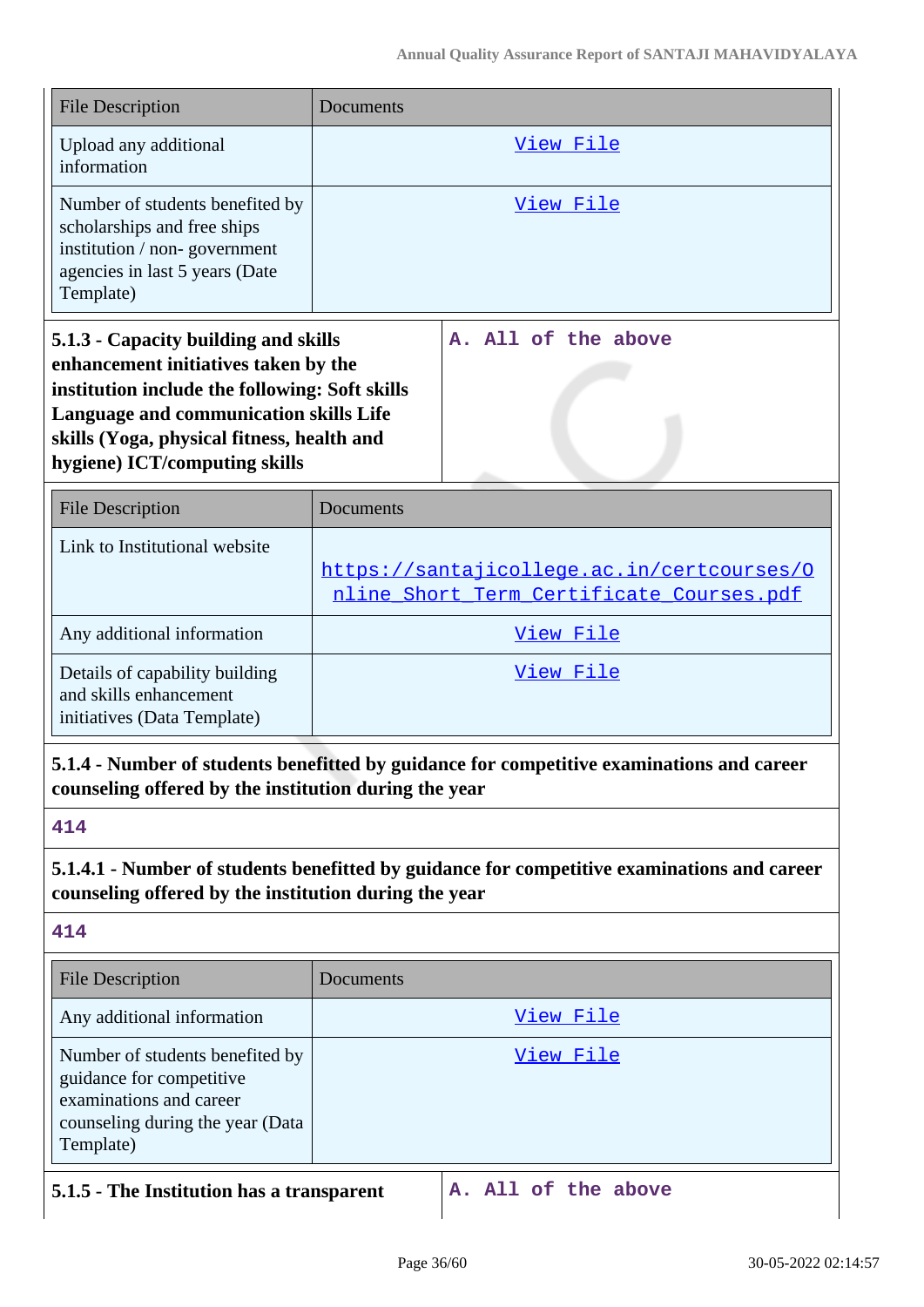| <b>File Description</b>                                                                                                                                                                                                                                        | Documents                                                                              |                                                                                             |
|----------------------------------------------------------------------------------------------------------------------------------------------------------------------------------------------------------------------------------------------------------------|----------------------------------------------------------------------------------------|---------------------------------------------------------------------------------------------|
| Upload any additional<br>information                                                                                                                                                                                                                           | <u>View File</u>                                                                       |                                                                                             |
| Number of students benefited by<br>scholarships and free ships<br>institution / non-government<br>agencies in last 5 years (Date<br>Template)                                                                                                                  | <u>View File</u>                                                                       |                                                                                             |
| 5.1.3 - Capacity building and skills<br>enhancement initiatives taken by the<br>institution include the following: Soft skills<br><b>Language and communication skills Life</b><br>skills (Yoga, physical fitness, health and<br>hygiene) ICT/computing skills |                                                                                        | A. All of the above                                                                         |
| <b>File Description</b>                                                                                                                                                                                                                                        | Documents                                                                              |                                                                                             |
| Link to Institutional website                                                                                                                                                                                                                                  | https://santajicollege.ac.in/certcourses/0<br>nline Short Term Certificate Courses.pdf |                                                                                             |
| Any additional information                                                                                                                                                                                                                                     | View File                                                                              |                                                                                             |
| Details of capability building<br>and skills enhancement<br>initiatives (Data Template)                                                                                                                                                                        | View File                                                                              |                                                                                             |
| counseling offered by the institution during the year                                                                                                                                                                                                          |                                                                                        | 5.1.4 - Number of students benefitted by guidance for competitive examinations and career   |
| 414                                                                                                                                                                                                                                                            |                                                                                        |                                                                                             |
| counseling offered by the institution during the year                                                                                                                                                                                                          |                                                                                        | 5.1.4.1 - Number of students benefitted by guidance for competitive examinations and career |
| 414                                                                                                                                                                                                                                                            |                                                                                        |                                                                                             |
| <b>File Description</b>                                                                                                                                                                                                                                        | Documents                                                                              |                                                                                             |
| Any additional information                                                                                                                                                                                                                                     | <u>View File</u>                                                                       |                                                                                             |
| Number of students benefited by<br>guidance for competitive<br>examinations and career<br>counseling during the year (Data<br>Template)                                                                                                                        |                                                                                        | <u>View File</u>                                                                            |
| 5.1.5 - The Institution has a transparent                                                                                                                                                                                                                      |                                                                                        | A. All of the above                                                                         |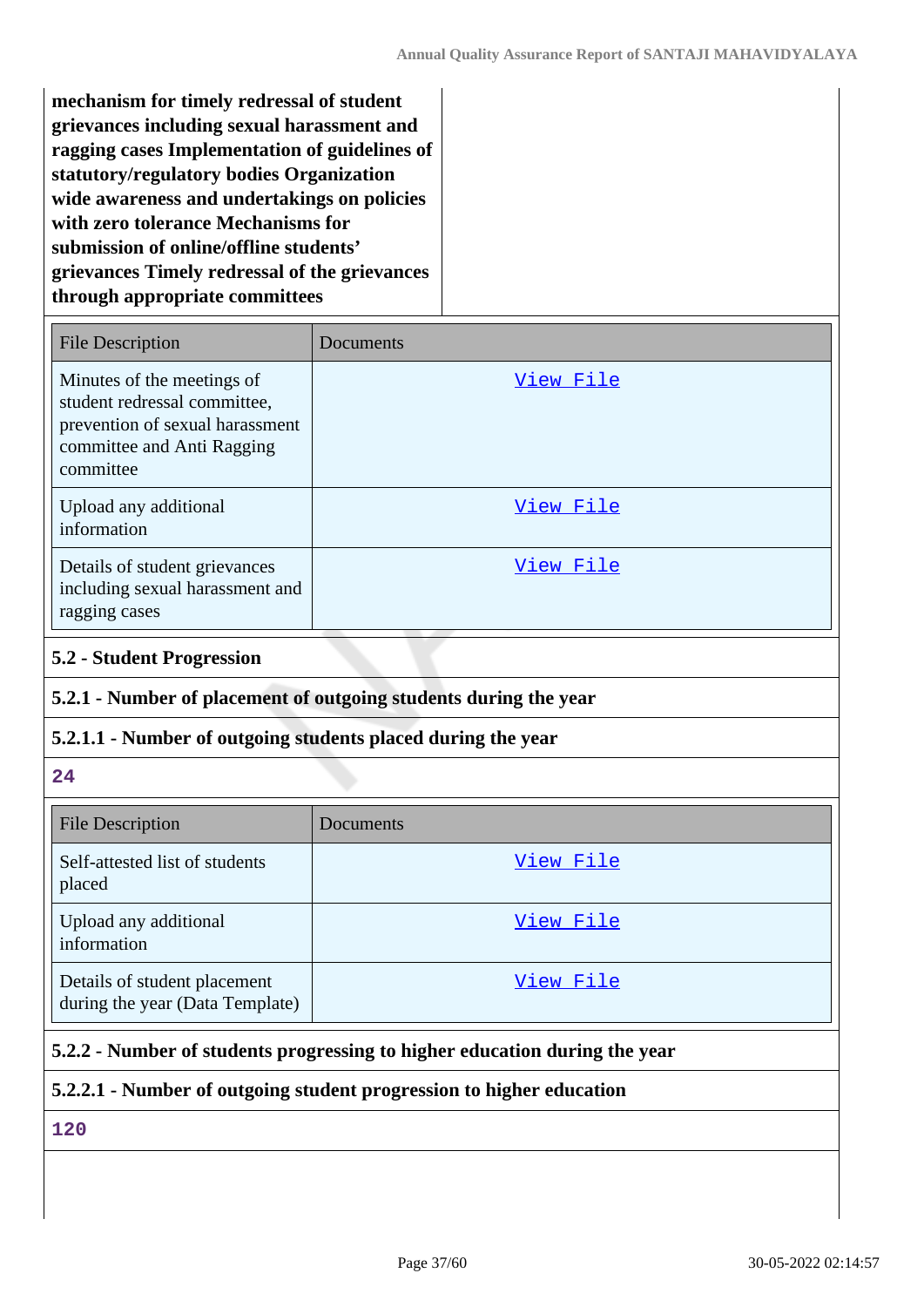**mechanism for timely redressal of student grievances including sexual harassment and ragging cases Implementation of guidelines of statutory/regulatory bodies Organization wide awareness and undertakings on policies with zero tolerance Mechanisms for submission of online/offline students' grievances Timely redressal of the grievances through appropriate committees**

| <b>File Description</b>                                                                                                                  | Documents        |
|------------------------------------------------------------------------------------------------------------------------------------------|------------------|
| Minutes of the meetings of<br>student redressal committee,<br>prevention of sexual harassment<br>committee and Anti Ragging<br>committee | View File        |
| Upload any additional<br>information                                                                                                     | View File        |
| Details of student grievances<br>including sexual harassment and<br>ragging cases                                                        | <u>View File</u> |

### **5.2 - Student Progression**

### **5.2.1 - Number of placement of outgoing students during the year**

### **5.2.1.1 - Number of outgoing students placed during the year**

#### **24**

| <b>File Description</b>                                         | Documents |
|-----------------------------------------------------------------|-----------|
| Self-attested list of students<br>placed                        | View File |
| Upload any additional<br>information                            | View File |
| Details of student placement<br>during the year (Data Template) | View File |

### **5.2.2 - Number of students progressing to higher education during the year**

### **5.2.2.1 - Number of outgoing student progression to higher education**

## **120**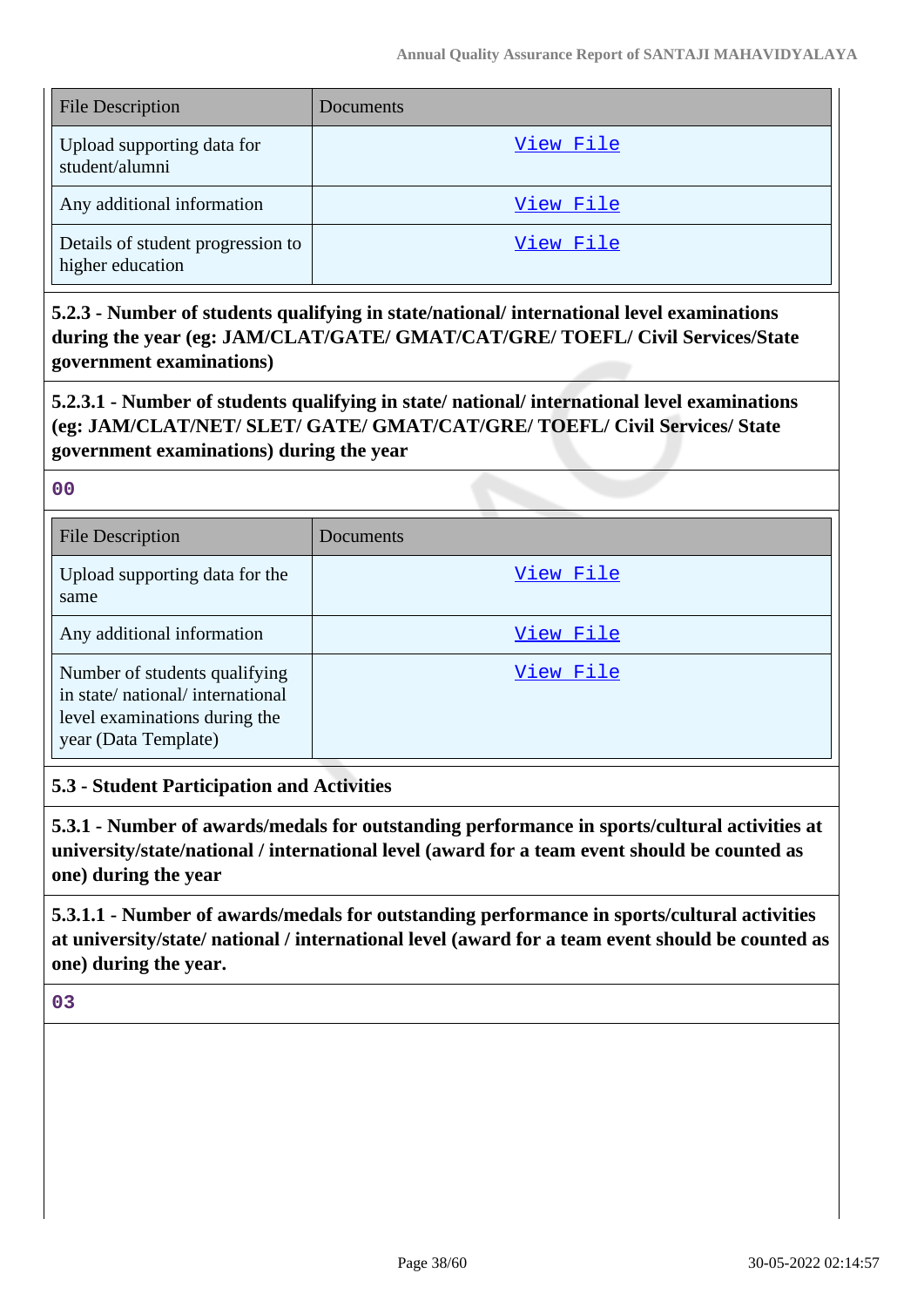| <b>File Description</b>                               | Documents |
|-------------------------------------------------------|-----------|
| Upload supporting data for<br>student/alumni          | View File |
| Any additional information                            | View File |
| Details of student progression to<br>higher education | View File |

**5.2.3 - Number of students qualifying in state/national/ international level examinations during the year (eg: JAM/CLAT/GATE/ GMAT/CAT/GRE/ TOEFL/ Civil Services/State government examinations)**

**5.2.3.1 - Number of students qualifying in state/ national/ international level examinations (eg: JAM/CLAT/NET/ SLET/ GATE/ GMAT/CAT/GRE/ TOEFL/ Civil Services/ State government examinations) during the year**

**00**

| <b>File Description</b>                                                                                                   | Documents        |
|---------------------------------------------------------------------------------------------------------------------------|------------------|
| Upload supporting data for the<br>same                                                                                    | <u>View File</u> |
| Any additional information                                                                                                | View File        |
| Number of students qualifying<br>in state/national/international<br>level examinations during the<br>year (Data Template) | View File        |

### **5.3 - Student Participation and Activities**

**5.3.1 - Number of awards/medals for outstanding performance in sports/cultural activities at university/state/national / international level (award for a team event should be counted as one) during the year**

**5.3.1.1 - Number of awards/medals for outstanding performance in sports/cultural activities at university/state/ national / international level (award for a team event should be counted as one) during the year.**

**03**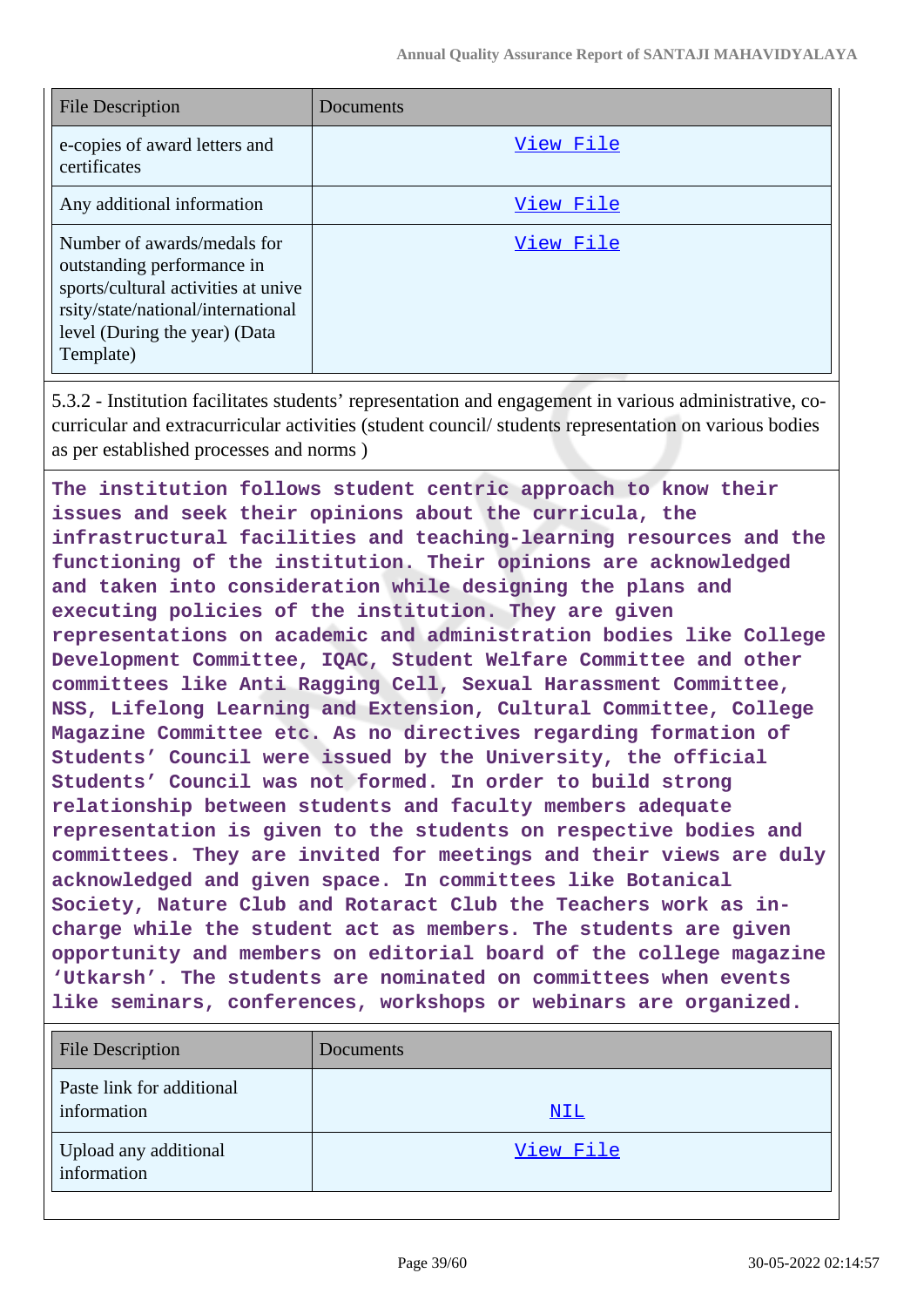| <b>File Description</b>                                                                                                                                                              | Documents |
|--------------------------------------------------------------------------------------------------------------------------------------------------------------------------------------|-----------|
| e-copies of award letters and<br>certificates                                                                                                                                        | View File |
| Any additional information                                                                                                                                                           | View File |
| Number of awards/medals for<br>outstanding performance in<br>sports/cultural activities at unive<br>rsity/state/national/international<br>level (During the year) (Data<br>Template) | View File |

5.3.2 - Institution facilitates students' representation and engagement in various administrative, cocurricular and extracurricular activities (student council/ students representation on various bodies as per established processes and norms )

**The institution follows student centric approach to know their issues and seek their opinions about the curricula, the infrastructural facilities and teaching-learning resources and the functioning of the institution. Their opinions are acknowledged and taken into consideration while designing the plans and executing policies of the institution. They are given representations on academic and administration bodies like College Development Committee, IQAC, Student Welfare Committee and other committees like Anti Ragging Cell, Sexual Harassment Committee, NSS, Lifelong Learning and Extension, Cultural Committee, College Magazine Committee etc. As no directives regarding formation of Students' Council were issued by the University, the official Students' Council was not formed. In order to build strong relationship between students and faculty members adequate representation is given to the students on respective bodies and committees. They are invited for meetings and their views are duly acknowledged and given space. In committees like Botanical Society, Nature Club and Rotaract Club the Teachers work as incharge while the student act as members. The students are given opportunity and members on editorial board of the college magazine 'Utkarsh'. The students are nominated on committees when events like seminars, conferences, workshops or webinars are organized.**

| <b>File Description</b>                  | Documents  |
|------------------------------------------|------------|
| Paste link for additional<br>information | <u>NIL</u> |
| Upload any additional<br>information     | View File  |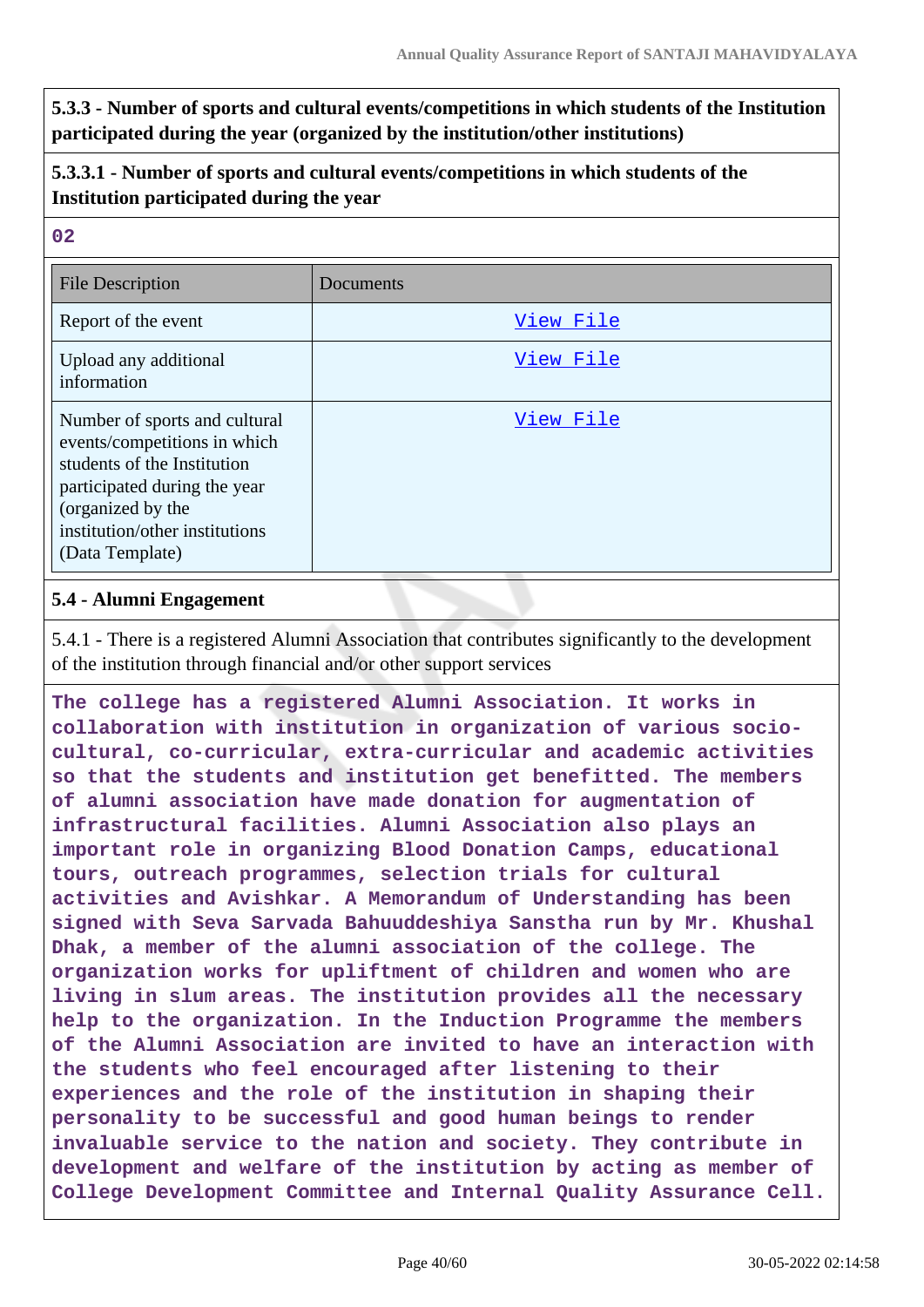**5.3.3 - Number of sports and cultural events/competitions in which students of the Institution participated during the year (organized by the institution/other institutions)**

### **5.3.3.1 - Number of sports and cultural events/competitions in which students of the Institution participated during the year**

#### **02**

| <b>File Description</b>                                                                                                                                                                                | Documents |
|--------------------------------------------------------------------------------------------------------------------------------------------------------------------------------------------------------|-----------|
| Report of the event                                                                                                                                                                                    | View File |
| Upload any additional<br>information                                                                                                                                                                   | View File |
| Number of sports and cultural<br>events/competitions in which<br>students of the Institution<br>participated during the year<br>(organized by the<br>institution/other institutions<br>(Data Template) | View File |

### **5.4 - Alumni Engagement**

5.4.1 - There is a registered Alumni Association that contributes significantly to the development of the institution through financial and/or other support services

**The college has a registered Alumni Association. It works in collaboration with institution in organization of various sociocultural, co-curricular, extra-curricular and academic activities so that the students and institution get benefitted. The members of alumni association have made donation for augmentation of infrastructural facilities. Alumni Association also plays an important role in organizing Blood Donation Camps, educational tours, outreach programmes, selection trials for cultural activities and Avishkar. A Memorandum of Understanding has been signed with Seva Sarvada Bahuuddeshiya Sanstha run by Mr. Khushal Dhak, a member of the alumni association of the college. The organization works for upliftment of children and women who are living in slum areas. The institution provides all the necessary help to the organization. In the Induction Programme the members of the Alumni Association are invited to have an interaction with the students who feel encouraged after listening to their experiences and the role of the institution in shaping their personality to be successful and good human beings to render invaluable service to the nation and society. They contribute in development and welfare of the institution by acting as member of College Development Committee and Internal Quality Assurance Cell.**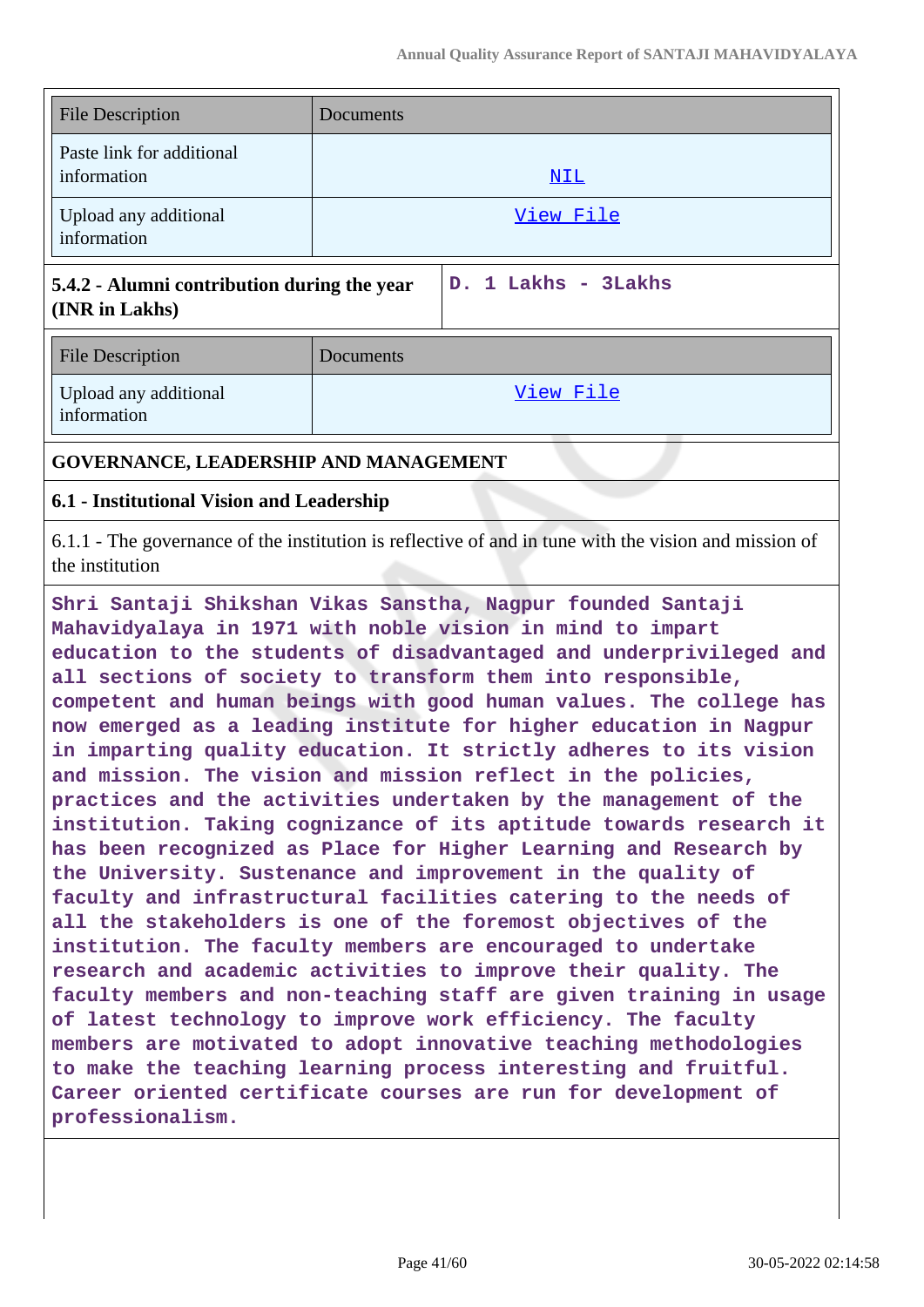| <b>File Description</b>                  | Documents |
|------------------------------------------|-----------|
| Paste link for additional<br>information | NIL       |
| Upload any additional<br>information     | View File |

### **5.4.2 - Alumni contribution during the year (INR in Lakhs)**

**D. 1 Lakhs - 3Lakhs**

| <b>File Description</b>              | Documents |
|--------------------------------------|-----------|
| Upload any additional<br>information | View File |

# **GOVERNANCE, LEADERSHIP AND MANAGEMENT**

### **6.1 - Institutional Vision and Leadership**

6.1.1 - The governance of the institution is reflective of and in tune with the vision and mission of the institution

**Shri Santaji Shikshan Vikas Sanstha, Nagpur founded Santaji Mahavidyalaya in 1971 with noble vision in mind to impart education to the students of disadvantaged and underprivileged and all sections of society to transform them into responsible, competent and human beings with good human values. The college has now emerged as a leading institute for higher education in Nagpur in imparting quality education. It strictly adheres to its vision and mission. The vision and mission reflect in the policies, practices and the activities undertaken by the management of the institution. Taking cognizance of its aptitude towards research it has been recognized as Place for Higher Learning and Research by the University. Sustenance and improvement in the quality of faculty and infrastructural facilities catering to the needs of all the stakeholders is one of the foremost objectives of the institution. The faculty members are encouraged to undertake research and academic activities to improve their quality. The faculty members and non-teaching staff are given training in usage of latest technology to improve work efficiency. The faculty members are motivated to adopt innovative teaching methodologies to make the teaching learning process interesting and fruitful. Career oriented certificate courses are run for development of professionalism.**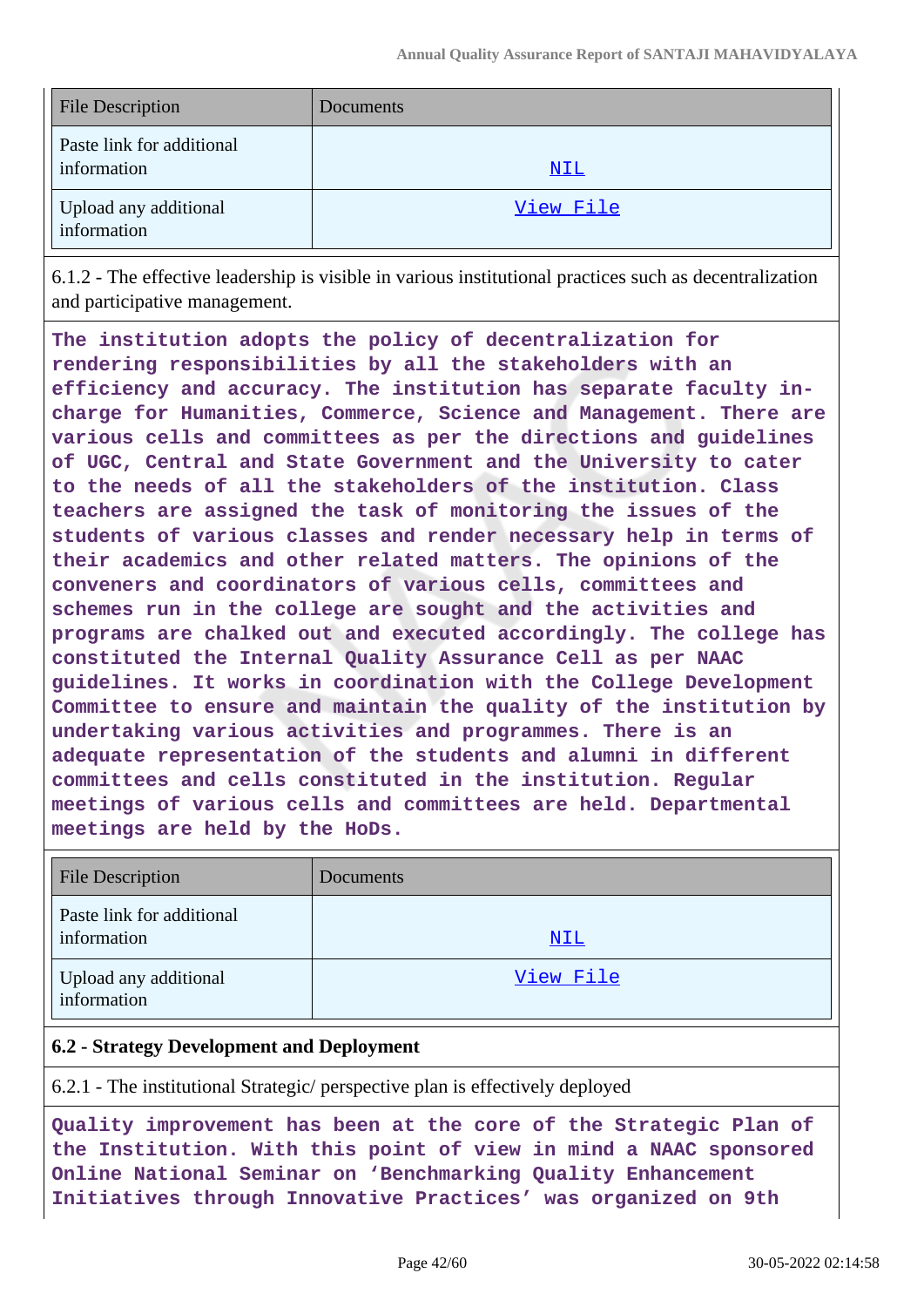| <b>File Description</b>                  | Documents  |
|------------------------------------------|------------|
| Paste link for additional<br>information | <u>NIL</u> |
| Upload any additional<br>information     | View File  |

6.1.2 - The effective leadership is visible in various institutional practices such as decentralization and participative management.

**The institution adopts the policy of decentralization for rendering responsibilities by all the stakeholders with an efficiency and accuracy. The institution has separate faculty incharge for Humanities, Commerce, Science and Management. There are various cells and committees as per the directions and guidelines of UGC, Central and State Government and the University to cater to the needs of all the stakeholders of the institution. Class teachers are assigned the task of monitoring the issues of the students of various classes and render necessary help in terms of their academics and other related matters. The opinions of the conveners and coordinators of various cells, committees and schemes run in the college are sought and the activities and programs are chalked out and executed accordingly. The college has constituted the Internal Quality Assurance Cell as per NAAC guidelines. It works in coordination with the College Development Committee to ensure and maintain the quality of the institution by undertaking various activities and programmes. There is an adequate representation of the students and alumni in different committees and cells constituted in the institution. Regular meetings of various cells and committees are held. Departmental meetings are held by the HoDs.**

| <b>File Description</b>                  | Documents  |
|------------------------------------------|------------|
| Paste link for additional<br>information | <u>NIL</u> |
| Upload any additional<br>information     | View File  |

### **6.2 - Strategy Development and Deployment**

6.2.1 - The institutional Strategic/ perspective plan is effectively deployed

**Quality improvement has been at the core of the Strategic Plan of the Institution. With this point of view in mind a NAAC sponsored Online National Seminar on 'Benchmarking Quality Enhancement Initiatives through Innovative Practices' was organized on 9th**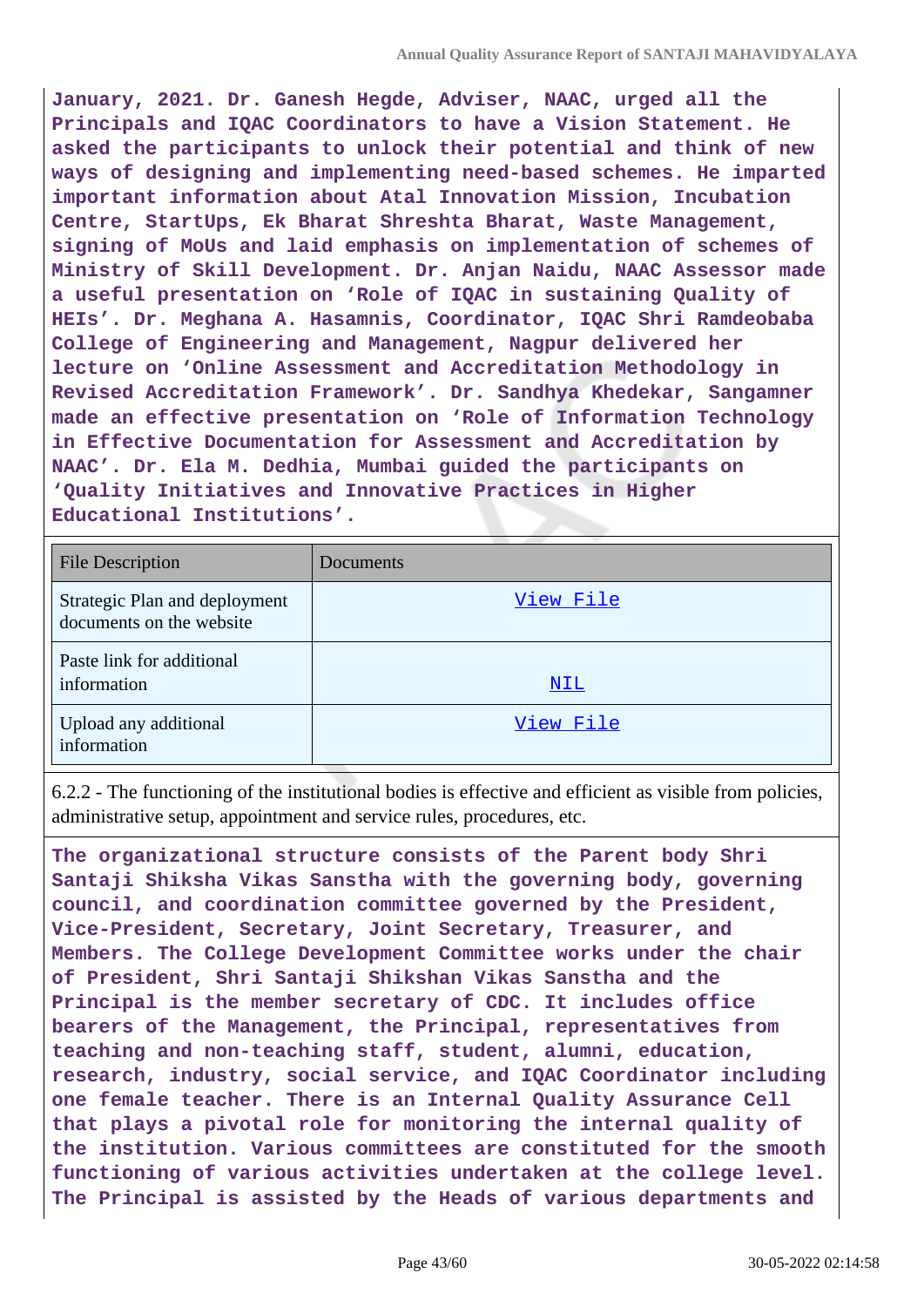**January, 2021. Dr. Ganesh Hegde, Adviser, NAAC, urged all the Principals and IQAC Coordinators to have a Vision Statement. He asked the participants to unlock their potential and think of new ways of designing and implementing need-based schemes. He imparted important information about Atal Innovation Mission, Incubation Centre, StartUps, Ek Bharat Shreshta Bharat, Waste Management, signing of MoUs and laid emphasis on implementation of schemes of Ministry of Skill Development. Dr. Anjan Naidu, NAAC Assessor made a useful presentation on 'Role of IQAC in sustaining Quality of HEIs'. Dr. Meghana A. Hasamnis, Coordinator, IQAC Shri Ramdeobaba College of Engineering and Management, Nagpur delivered her lecture on 'Online Assessment and Accreditation Methodology in Revised Accreditation Framework'. Dr. Sandhya Khedekar, Sangamner made an effective presentation on 'Role of Information Technology in Effective Documentation for Assessment and Accreditation by NAAC'. Dr. Ela M. Dedhia, Mumbai guided the participants on 'Quality Initiatives and Innovative Practices in Higher Educational Institutions'.**

| <b>File Description</b>                                   | Documents  |
|-----------------------------------------------------------|------------|
| Strategic Plan and deployment<br>documents on the website | View File  |
| Paste link for additional<br>information                  | <u>NIL</u> |
| Upload any additional<br>information                      | View File  |

6.2.2 - The functioning of the institutional bodies is effective and efficient as visible from policies, administrative setup, appointment and service rules, procedures, etc.

**The organizational structure consists of the Parent body Shri Santaji Shiksha Vikas Sanstha with the governing body, governing council, and coordination committee governed by the President, Vice-President, Secretary, Joint Secretary, Treasurer, and Members. The College Development Committee works under the chair of President, Shri Santaji Shikshan Vikas Sanstha and the Principal is the member secretary of CDC. It includes office bearers of the Management, the Principal, representatives from teaching and non-teaching staff, student, alumni, education, research, industry, social service, and IQAC Coordinator including one female teacher. There is an Internal Quality Assurance Cell that plays a pivotal role for monitoring the internal quality of the institution. Various committees are constituted for the smooth functioning of various activities undertaken at the college level. The Principal is assisted by the Heads of various departments and**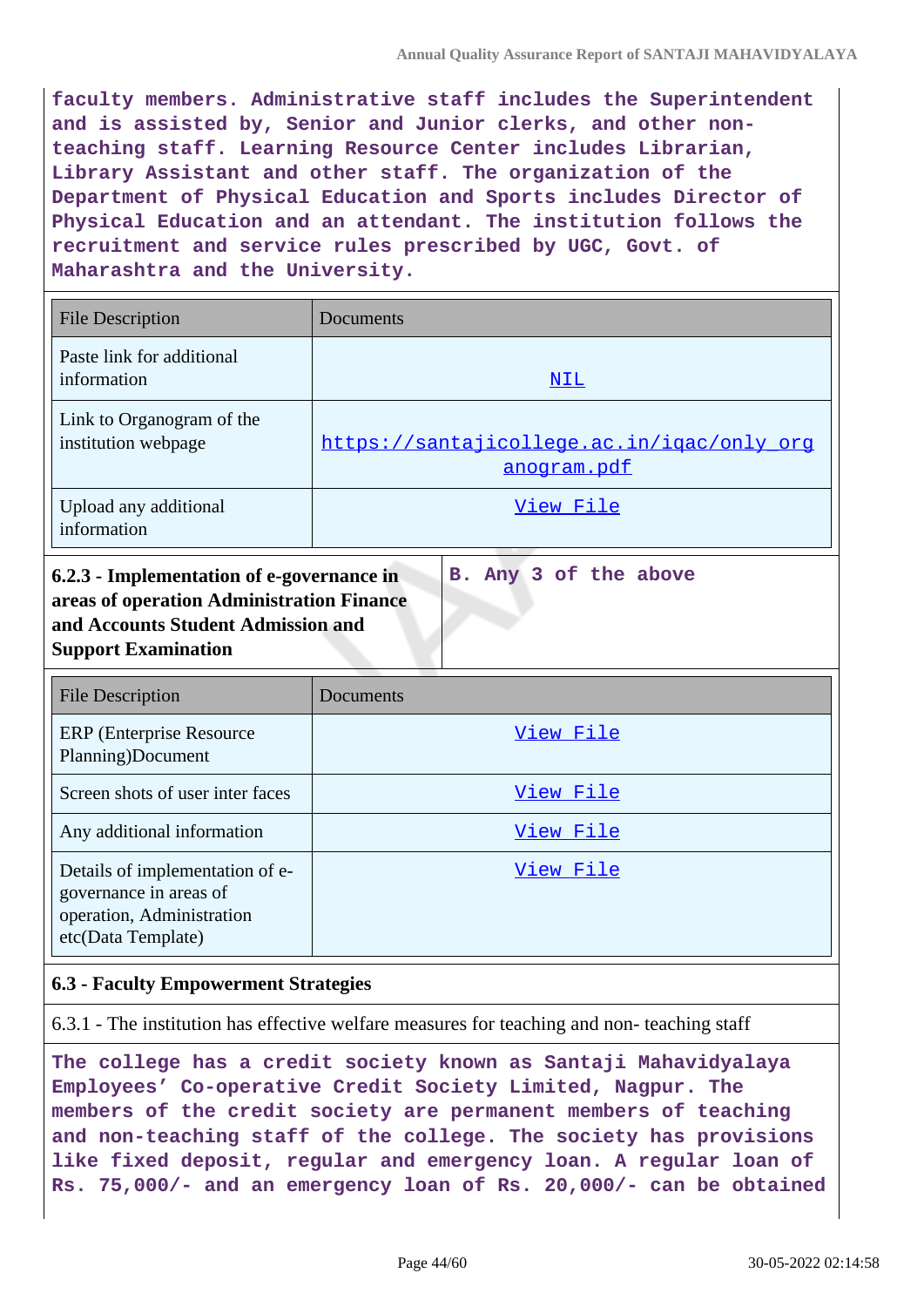**faculty members. Administrative staff includes the Superintendent and is assisted by, Senior and Junior clerks, and other nonteaching staff. Learning Resource Center includes Librarian, Library Assistant and other staff. The organization of the Department of Physical Education and Sports includes Director of Physical Education and an attendant. The institution follows the recruitment and service rules prescribed by UGC, Govt. of Maharashtra and the University.**

| <b>File Description</b>                          | Documents                                                 |
|--------------------------------------------------|-----------------------------------------------------------|
| Paste link for additional<br>information         | NIL                                                       |
| Link to Organogram of the<br>institution webpage | https://santajicollege.ac.in/igac/only org<br>anogram.pdf |
| Upload any additional<br>information             | View File                                                 |

|  |  | B. Any 3 of the above |
|--|--|-----------------------|

| <b>File Description</b>                                                                                      | Documents |
|--------------------------------------------------------------------------------------------------------------|-----------|
| <b>ERP</b> (Enterprise Resource)<br>Planning)Document                                                        | View File |
| Screen shots of user inter faces                                                                             | View File |
| Any additional information                                                                                   | View File |
| Details of implementation of e-<br>governance in areas of<br>operation, Administration<br>etc(Data Template) | View File |

### **6.3 - Faculty Empowerment Strategies**

6.3.1 - The institution has effective welfare measures for teaching and non- teaching staff

**The college has a credit society known as Santaji Mahavidyalaya Employees' Co-operative Credit Society Limited, Nagpur. The members of the credit society are permanent members of teaching and non-teaching staff of the college. The society has provisions like fixed deposit, regular and emergency loan. A regular loan of Rs. 75,000/- and an emergency loan of Rs. 20,000/- can be obtained**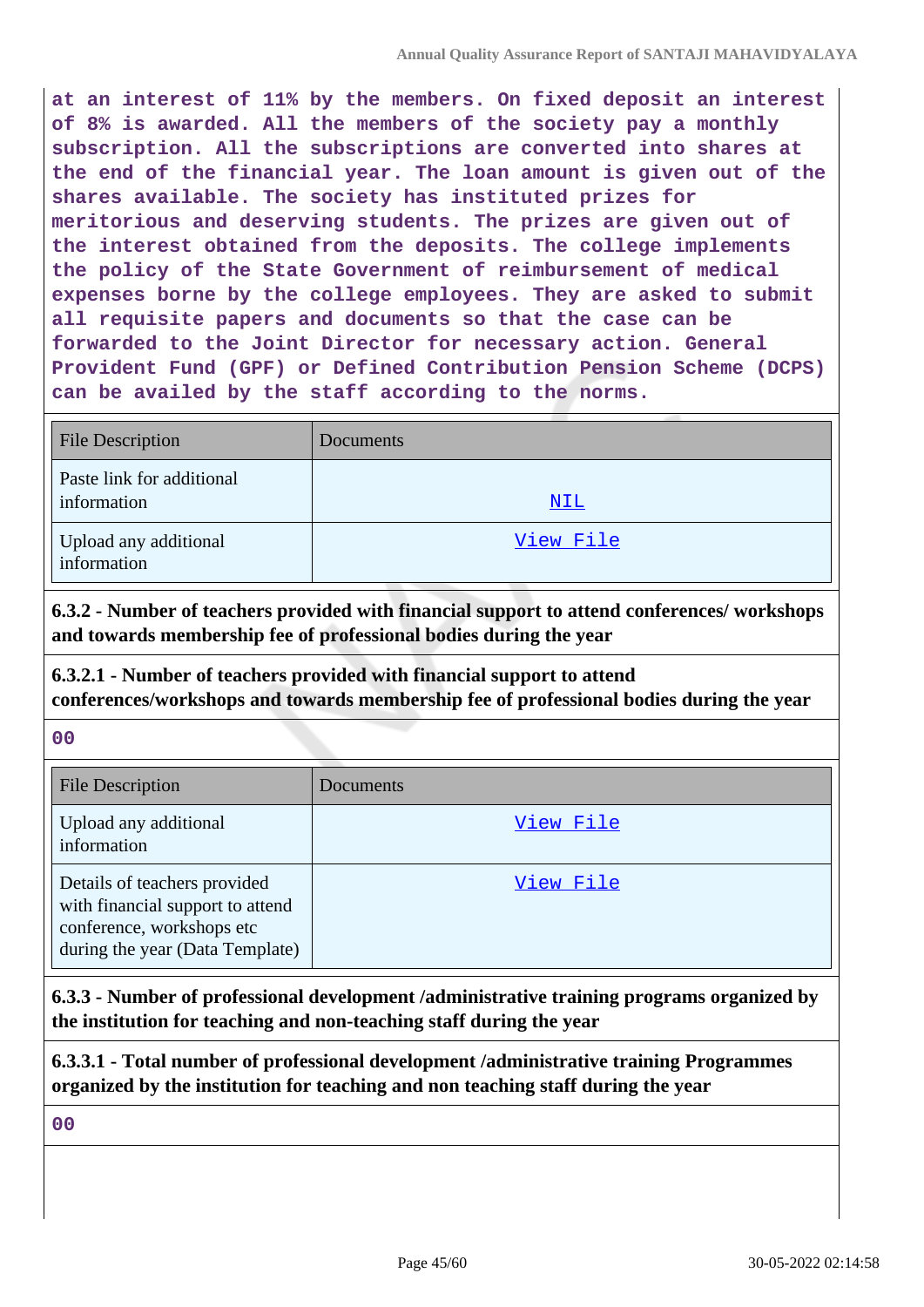**at an interest of 11% by the members. On fixed deposit an interest of 8% is awarded. All the members of the society pay a monthly subscription. All the subscriptions are converted into shares at the end of the financial year. The loan amount is given out of the shares available. The society has instituted prizes for meritorious and deserving students. The prizes are given out of the interest obtained from the deposits. The college implements the policy of the State Government of reimbursement of medical expenses borne by the college employees. They are asked to submit all requisite papers and documents so that the case can be forwarded to the Joint Director for necessary action. General Provident Fund (GPF) or Defined Contribution Pension Scheme (DCPS) can be availed by the staff according to the norms.**

| <b>File Description</b>                  | Documents |
|------------------------------------------|-----------|
| Paste link for additional<br>information | NIL       |
| Upload any additional<br>information     | View File |

**6.3.2 - Number of teachers provided with financial support to attend conferences/ workshops and towards membership fee of professional bodies during the year**

# **6.3.2.1 - Number of teachers provided with financial support to attend conferences/workshops and towards membership fee of professional bodies during the year**

#### **00**

| <b>File Description</b>                                                                                                          | Documents |
|----------------------------------------------------------------------------------------------------------------------------------|-----------|
| Upload any additional<br>information                                                                                             | View File |
| Details of teachers provided<br>with financial support to attend<br>conference, workshops etc<br>during the year (Data Template) | View File |

**6.3.3 - Number of professional development /administrative training programs organized by the institution for teaching and non-teaching staff during the year**

**6.3.3.1 - Total number of professional development /administrative training Programmes organized by the institution for teaching and non teaching staff during the year**

**00**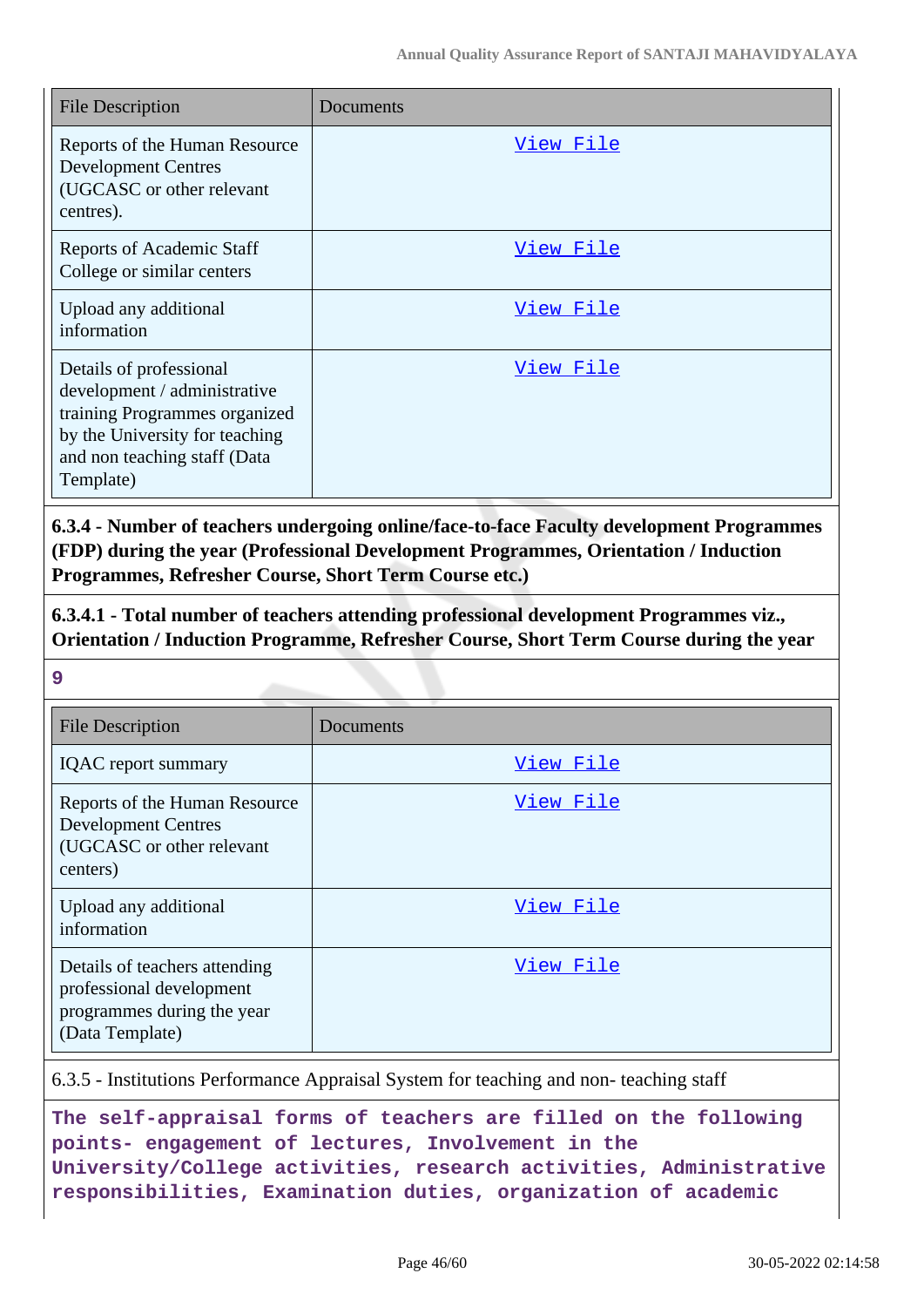| <b>File Description</b>                                                                                                                                                 | Documents |
|-------------------------------------------------------------------------------------------------------------------------------------------------------------------------|-----------|
| Reports of the Human Resource<br><b>Development Centres</b><br>(UGCASC or other relevant<br>centres).                                                                   | View File |
| <b>Reports of Academic Staff</b><br>College or similar centers                                                                                                          | View File |
| Upload any additional<br>information                                                                                                                                    | View File |
| Details of professional<br>development / administrative<br>training Programmes organized<br>by the University for teaching<br>and non teaching staff (Data<br>Template) | View File |

**6.3.4 - Number of teachers undergoing online/face-to-face Faculty development Programmes (FDP) during the year (Professional Development Programmes, Orientation / Induction Programmes, Refresher Course, Short Term Course etc.)**

**6.3.4.1 - Total number of teachers attending professional development Programmes viz., Orientation / Induction Programme, Refresher Course, Short Term Course during the year**

**9**

| <b>File Description</b>                                                                                    | Documents |
|------------------------------------------------------------------------------------------------------------|-----------|
| <b>IQAC</b> report summary                                                                                 | View File |
| Reports of the Human Resource<br><b>Development Centres</b><br>(UGCASC or other relevant<br>centers)       | View File |
| Upload any additional<br>information                                                                       | View File |
| Details of teachers attending<br>professional development<br>programmes during the year<br>(Data Template) | View File |

6.3.5 - Institutions Performance Appraisal System for teaching and non- teaching staff

**The self-appraisal forms of teachers are filled on the following points- engagement of lectures, Involvement in the University/College activities, research activities, Administrative responsibilities, Examination duties, organization of academic**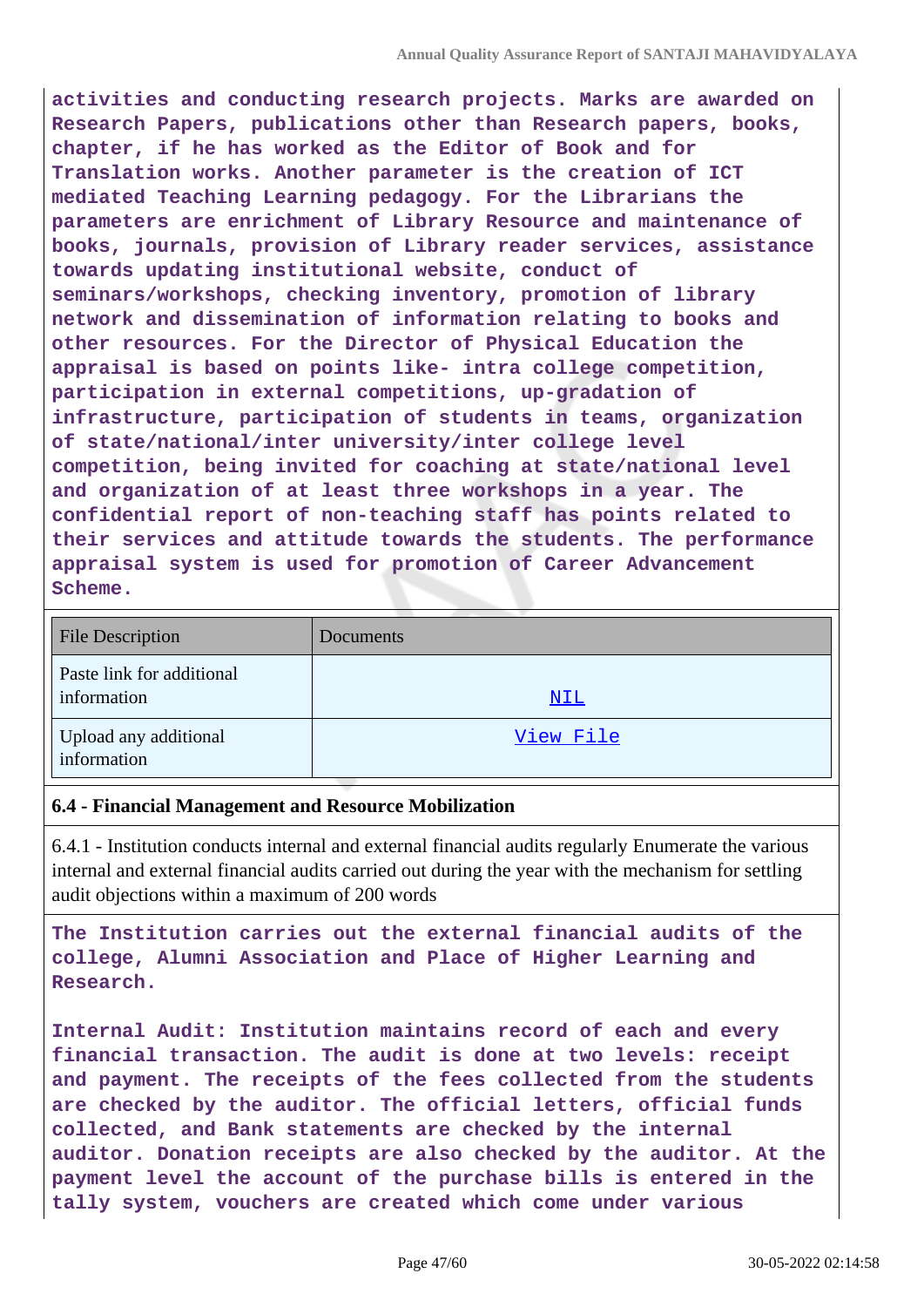**activities and conducting research projects. Marks are awarded on Research Papers, publications other than Research papers, books, chapter, if he has worked as the Editor of Book and for Translation works. Another parameter is the creation of ICT mediated Teaching Learning pedagogy. For the Librarians the parameters are enrichment of Library Resource and maintenance of books, journals, provision of Library reader services, assistance towards updating institutional website, conduct of seminars/workshops, checking inventory, promotion of library network and dissemination of information relating to books and other resources. For the Director of Physical Education the appraisal is based on points like- intra college competition, participation in external competitions, up-gradation of infrastructure, participation of students in teams, organization of state/national/inter university/inter college level competition, being invited for coaching at state/national level and organization of at least three workshops in a year. The confidential report of non-teaching staff has points related to their services and attitude towards the students. The performance appraisal system is used for promotion of Career Advancement Scheme.**

| <b>File Description</b>                  | Documents  |
|------------------------------------------|------------|
| Paste link for additional<br>information | <u>NIL</u> |
| Upload any additional<br>information     | View File  |

#### **6.4 - Financial Management and Resource Mobilization**

6.4.1 - Institution conducts internal and external financial audits regularly Enumerate the various internal and external financial audits carried out during the year with the mechanism for settling audit objections within a maximum of 200 words

**The Institution carries out the external financial audits of the college, Alumni Association and Place of Higher Learning and Research.**

**Internal Audit: Institution maintains record of each and every financial transaction. The audit is done at two levels: receipt and payment. The receipts of the fees collected from the students are checked by the auditor. The official letters, official funds collected, and Bank statements are checked by the internal auditor. Donation receipts are also checked by the auditor. At the payment level the account of the purchase bills is entered in the tally system, vouchers are created which come under various**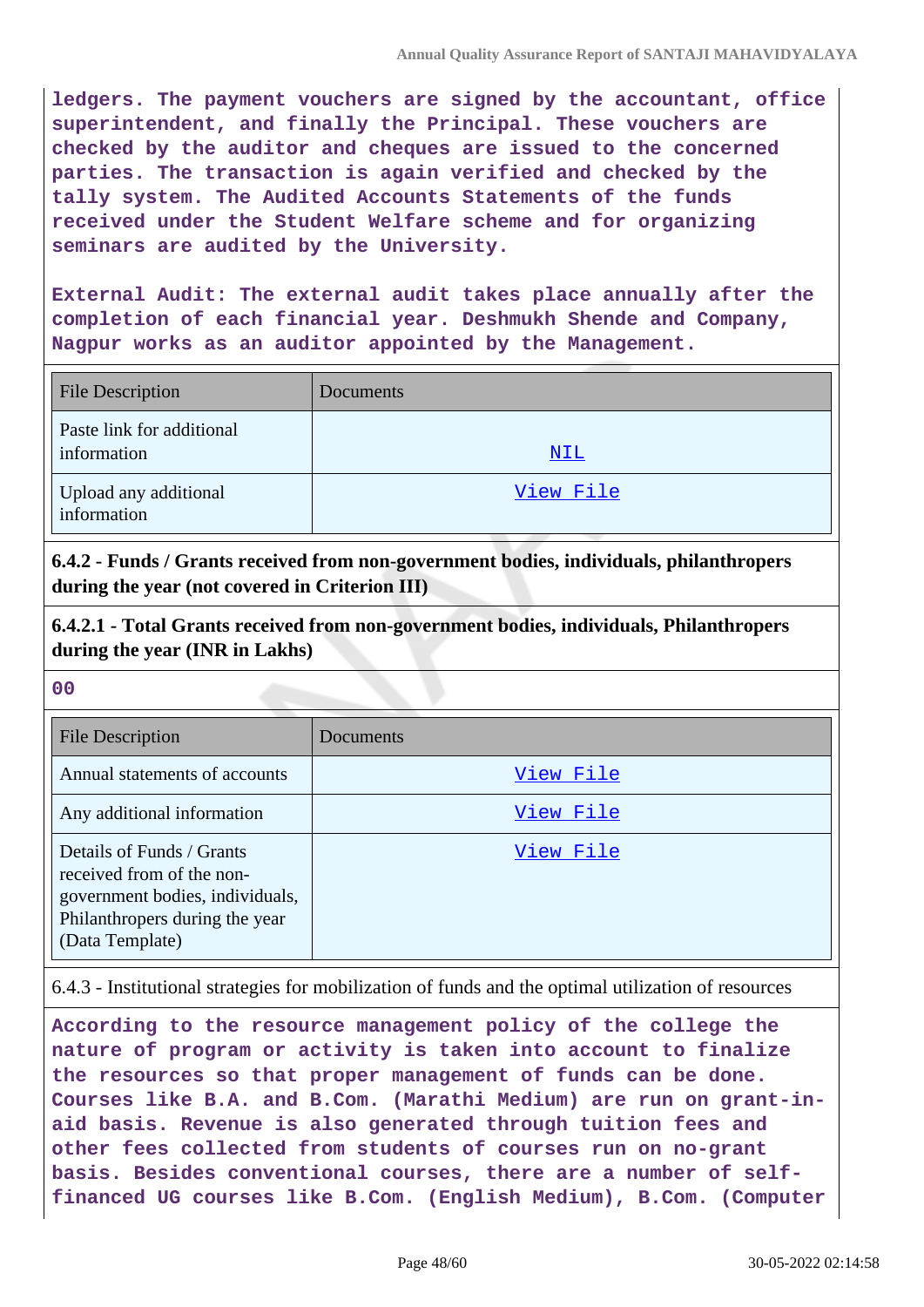**ledgers. The payment vouchers are signed by the accountant, office superintendent, and finally the Principal. These vouchers are checked by the auditor and cheques are issued to the concerned parties. The transaction is again verified and checked by the tally system. The Audited Accounts Statements of the funds received under the Student Welfare scheme and for organizing seminars are audited by the University.**

**External Audit: The external audit takes place annually after the completion of each financial year. Deshmukh Shende and Company, Nagpur works as an auditor appointed by the Management.**

| <b>File Description</b>                  | Documents  |
|------------------------------------------|------------|
| Paste link for additional<br>information | <u>NIL</u> |
| Upload any additional<br>information     | View File  |

**6.4.2 - Funds / Grants received from non-government bodies, individuals, philanthropers during the year (not covered in Criterion III)**

**6.4.2.1 - Total Grants received from non-government bodies, individuals, Philanthropers during the year (INR in Lakhs)**

**00**

| <b>File Description</b>                                                                                                                        | Documents |
|------------------------------------------------------------------------------------------------------------------------------------------------|-----------|
| Annual statements of accounts                                                                                                                  | View File |
| Any additional information                                                                                                                     | View File |
| Details of Funds / Grants<br>received from of the non-<br>government bodies, individuals,<br>Philanthropers during the year<br>(Data Template) | View File |

6.4.3 - Institutional strategies for mobilization of funds and the optimal utilization of resources

**According to the resource management policy of the college the nature of program or activity is taken into account to finalize the resources so that proper management of funds can be done. Courses like B.A. and B.Com. (Marathi Medium) are run on grant-inaid basis. Revenue is also generated through tuition fees and other fees collected from students of courses run on no-grant basis. Besides conventional courses, there are a number of selffinanced UG courses like B.Com. (English Medium), B.Com. (Computer**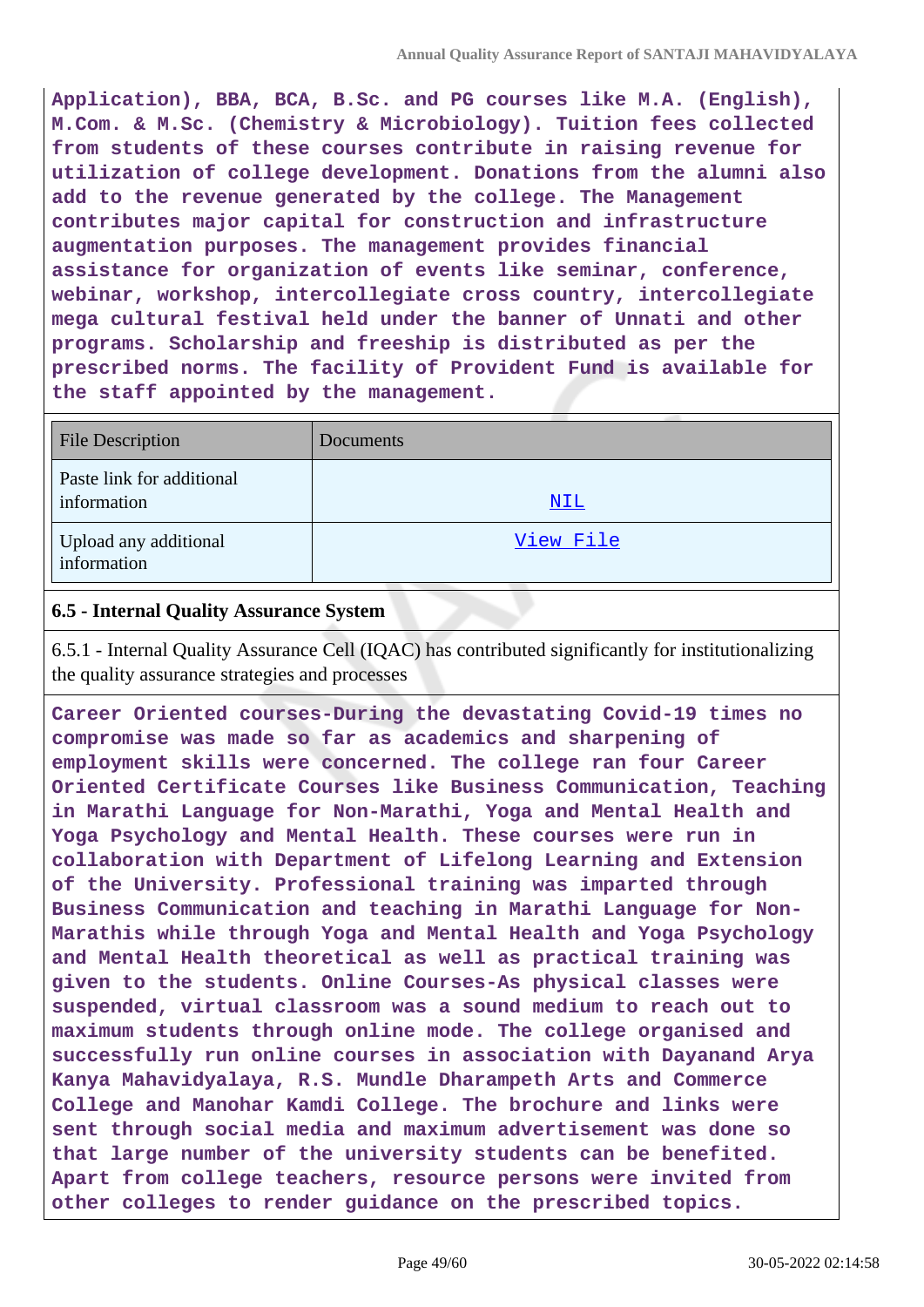**Application), BBA, BCA, B.Sc. and PG courses like M.A. (English), M.Com. & M.Sc. (Chemistry & Microbiology). Tuition fees collected from students of these courses contribute in raising revenue for utilization of college development. Donations from the alumni also add to the revenue generated by the college. The Management contributes major capital for construction and infrastructure augmentation purposes. The management provides financial assistance for organization of events like seminar, conference, webinar, workshop, intercollegiate cross country, intercollegiate mega cultural festival held under the banner of Unnati and other programs. Scholarship and freeship is distributed as per the prescribed norms. The facility of Provident Fund is available for the staff appointed by the management.**

| <b>File Description</b>                  | Documents  |
|------------------------------------------|------------|
| Paste link for additional<br>information | <u>NIL</u> |
| Upload any additional<br>information     | View File  |

### **6.5 - Internal Quality Assurance System**

6.5.1 - Internal Quality Assurance Cell (IQAC) has contributed significantly for institutionalizing the quality assurance strategies and processes

**Career Oriented courses-During the devastating Covid-19 times no compromise was made so far as academics and sharpening of employment skills were concerned. The college ran four Career Oriented Certificate Courses like Business Communication, Teaching in Marathi Language for Non-Marathi, Yoga and Mental Health and Yoga Psychology and Mental Health. These courses were run in collaboration with Department of Lifelong Learning and Extension of the University. Professional training was imparted through Business Communication and teaching in Marathi Language for Non-Marathis while through Yoga and Mental Health and Yoga Psychology and Mental Health theoretical as well as practical training was given to the students. Online Courses-As physical classes were suspended, virtual classroom was a sound medium to reach out to maximum students through online mode. The college organised and successfully run online courses in association with Dayanand Arya Kanya Mahavidyalaya, R.S. Mundle Dharampeth Arts and Commerce College and Manohar Kamdi College. The brochure and links were sent through social media and maximum advertisement was done so that large number of the university students can be benefited. Apart from college teachers, resource persons were invited from other colleges to render guidance on the prescribed topics.**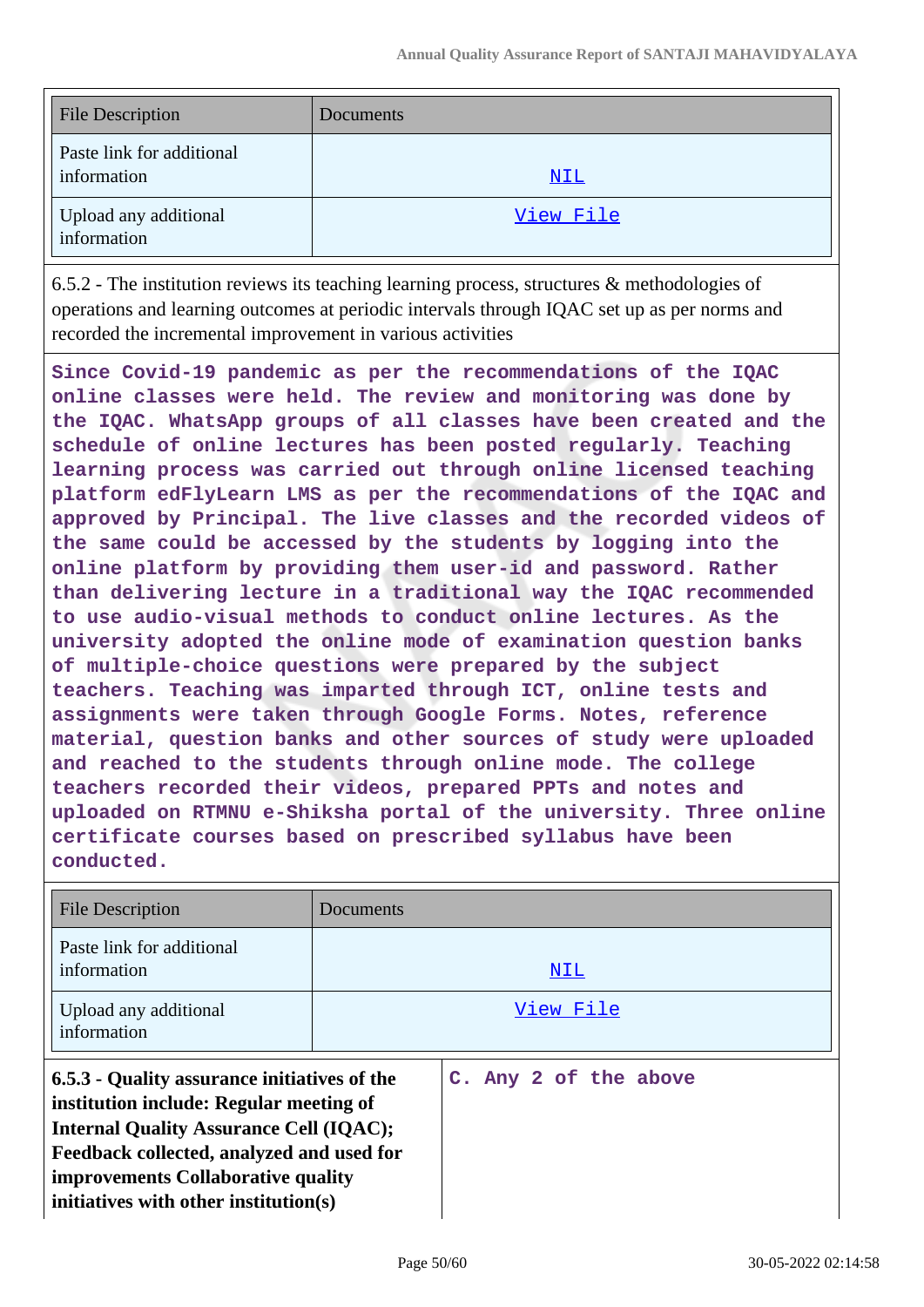| <b>File Description</b>                  | Documents |
|------------------------------------------|-----------|
| Paste link for additional<br>information | NIL       |
| Upload any additional<br>information     | View File |

6.5.2 - The institution reviews its teaching learning process, structures & methodologies of operations and learning outcomes at periodic intervals through IQAC set up as per norms and recorded the incremental improvement in various activities

**Since Covid-19 pandemic as per the recommendations of the IQAC online classes were held. The review and monitoring was done by the IQAC. WhatsApp groups of all classes have been created and the schedule of online lectures has been posted regularly. Teaching learning process was carried out through online licensed teaching platform edFlyLearn LMS as per the recommendations of the IQAC and approved by Principal. The live classes and the recorded videos of the same could be accessed by the students by logging into the online platform by providing them user-id and password. Rather than delivering lecture in a traditional way the IQAC recommended to use audio-visual methods to conduct online lectures. As the university adopted the online mode of examination question banks of multiple-choice questions were prepared by the subject teachers. Teaching was imparted through ICT, online tests and assignments were taken through Google Forms. Notes, reference material, question banks and other sources of study were uploaded and reached to the students through online mode. The college teachers recorded their videos, prepared PPTs and notes and uploaded on RTMNU e-Shiksha portal of the university. Three online certificate courses based on prescribed syllabus have been conducted.**

| <b>File Description</b>                                                                                                                                                                                                                                               | Documents |                       |
|-----------------------------------------------------------------------------------------------------------------------------------------------------------------------------------------------------------------------------------------------------------------------|-----------|-----------------------|
| Paste link for additional<br>information                                                                                                                                                                                                                              |           | NIL                   |
| Upload any additional<br>information                                                                                                                                                                                                                                  |           | View File             |
| 6.5.3 - Quality assurance initiatives of the<br>institution include: Regular meeting of<br><b>Internal Quality Assurance Cell (IQAC);</b><br>Feedback collected, analyzed and used for<br>improvements Collaborative quality<br>initiatives with other institution(s) |           | C. Any 2 of the above |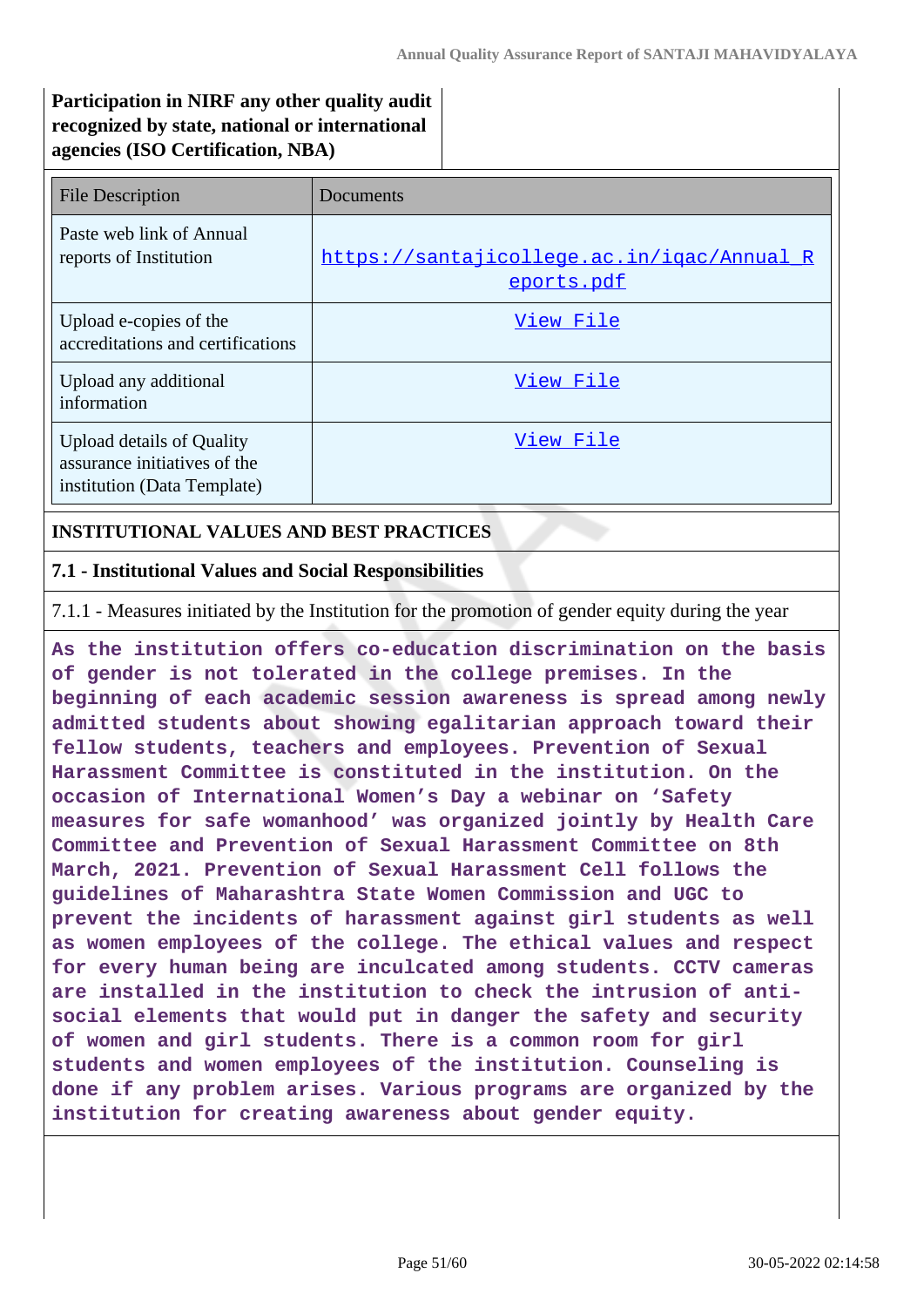# **Participation in NIRF any other quality audit recognized by state, national or international agencies (ISO Certification, NBA)**

| <b>File Description</b>                                                                         | Documents                                                |
|-------------------------------------------------------------------------------------------------|----------------------------------------------------------|
| Paste web link of Annual<br>reports of Institution                                              | https://santajicollege.ac.in/igac/Annual R<br>eports.pdf |
| Upload e-copies of the<br>accreditations and certifications                                     | View File                                                |
| Upload any additional<br>information                                                            | View File                                                |
| <b>Upload details of Quality</b><br>assurance initiatives of the<br>institution (Data Template) | View File                                                |

#### **INSTITUTIONAL VALUES AND BEST PRACTICES**

#### **7.1 - Institutional Values and Social Responsibilities**

7.1.1 - Measures initiated by the Institution for the promotion of gender equity during the year

**As the institution offers co-education discrimination on the basis of gender is not tolerated in the college premises. In the beginning of each academic session awareness is spread among newly admitted students about showing egalitarian approach toward their fellow students, teachers and employees. Prevention of Sexual Harassment Committee is constituted in the institution. On the occasion of International Women's Day a webinar on 'Safety measures for safe womanhood' was organized jointly by Health Care Committee and Prevention of Sexual Harassment Committee on 8th March, 2021. Prevention of Sexual Harassment Cell follows the guidelines of Maharashtra State Women Commission and UGC to prevent the incidents of harassment against girl students as well as women employees of the college. The ethical values and respect for every human being are inculcated among students. CCTV cameras are installed in the institution to check the intrusion of antisocial elements that would put in danger the safety and security of women and girl students. There is a common room for girl students and women employees of the institution. Counseling is done if any problem arises. Various programs are organized by the institution for creating awareness about gender equity.**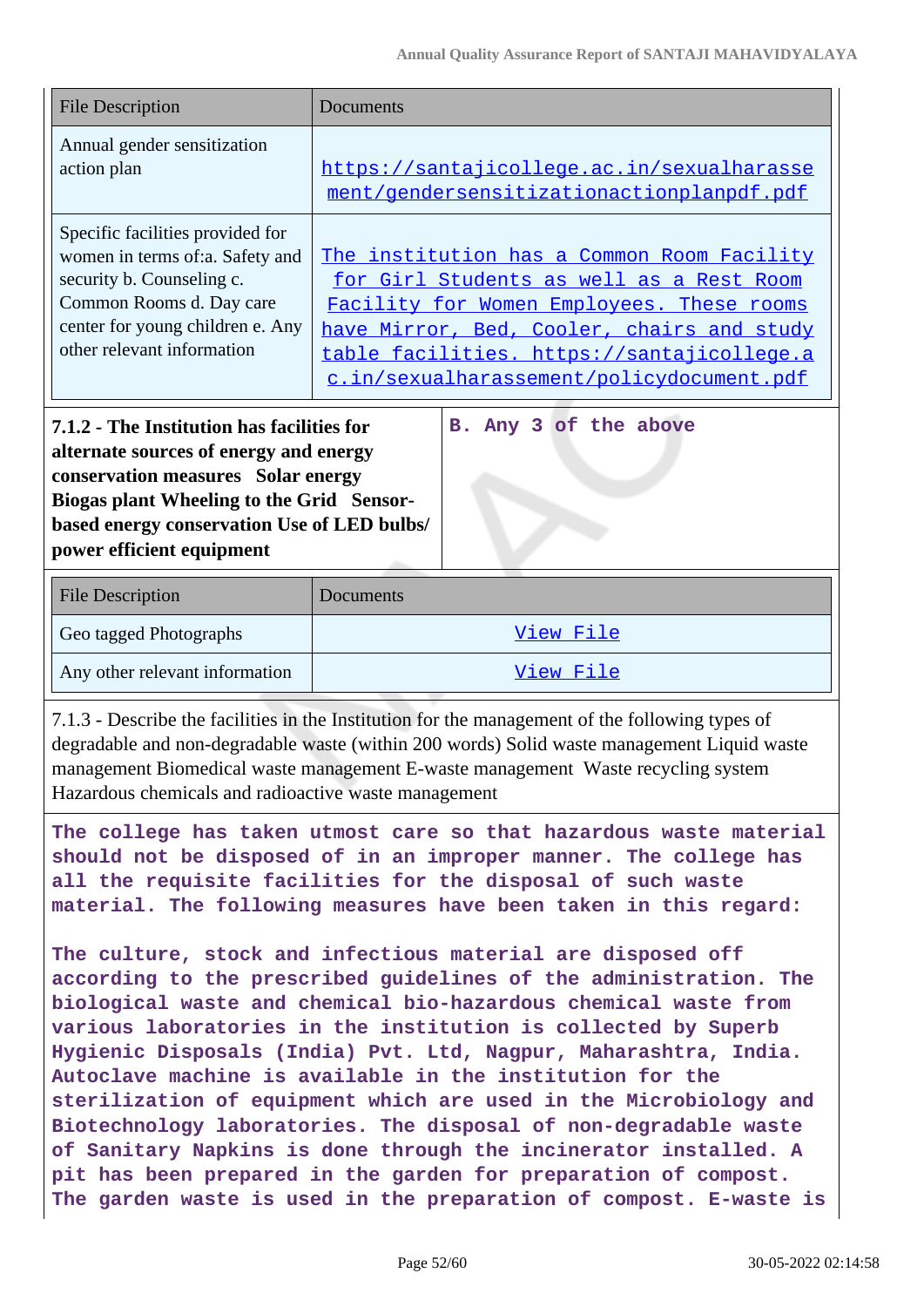| <b>File Description</b>                                                                                                                                                                                                                                                           | Documents                                                                                                                                                                                                                                                                    |  |  |  |
|-----------------------------------------------------------------------------------------------------------------------------------------------------------------------------------------------------------------------------------------------------------------------------------|------------------------------------------------------------------------------------------------------------------------------------------------------------------------------------------------------------------------------------------------------------------------------|--|--|--|
| Annual gender sensitization<br>action plan                                                                                                                                                                                                                                        | https://santajicollege.ac.in/sexualharasse<br>ment/gendersensitizationactionplanpdf.pdf                                                                                                                                                                                      |  |  |  |
| Specific facilities provided for<br>women in terms of:a. Safety and<br>security b. Counseling c.<br>Common Rooms d. Day care<br>center for young children e. Any<br>other relevant information                                                                                    | The institution has a Common Room Facility<br>for Girl Students as well as a Rest Room<br>Facility for Women Employees. These rooms<br>have Mirror, Bed, Cooler, chairs and study<br>table facilities. https://santajicollege.a<br>c.in/sexualharassement/policydocument.pdf |  |  |  |
| 7.1.2 - The Institution has facilities for<br>B. Any 3 of the above<br>alternate sources of energy and energy<br>conservation measures Solar energy<br>Biogas plant Wheeling to the Grid Sensor-<br>based energy conservation Use of LED bulbs/<br>power efficient equipment      |                                                                                                                                                                                                                                                                              |  |  |  |
| <b>File Description</b>                                                                                                                                                                                                                                                           | Documents                                                                                                                                                                                                                                                                    |  |  |  |
| Geo tagged Photographs                                                                                                                                                                                                                                                            | View File                                                                                                                                                                                                                                                                    |  |  |  |
| Any other relevant information                                                                                                                                                                                                                                                    | View File                                                                                                                                                                                                                                                                    |  |  |  |
| 7.1.3 - Describe the facilities in the Institution for the management of the following types of<br>degradable and non-degradable waste (within 200 words) Solid waste management Liquid waste<br>management Biomedical waste management E-waste management Waste recycling system |                                                                                                                                                                                                                                                                              |  |  |  |

Hazardous chemicals and radioactive waste management

**The college has taken utmost care so that hazardous waste material should not be disposed of in an improper manner. The college has all the requisite facilities for the disposal of such waste material. The following measures have been taken in this regard:**

**The culture, stock and infectious material are disposed off according to the prescribed guidelines of the administration. The biological waste and chemical bio-hazardous chemical waste from various laboratories in the institution is collected by Superb Hygienic Disposals (India) Pvt. Ltd, Nagpur, Maharashtra, India. Autoclave machine is available in the institution for the sterilization of equipment which are used in the Microbiology and Biotechnology laboratories. The disposal of non-degradable waste of Sanitary Napkins is done through the incinerator installed. A pit has been prepared in the garden for preparation of compost. The garden waste is used in the preparation of compost. E-waste is**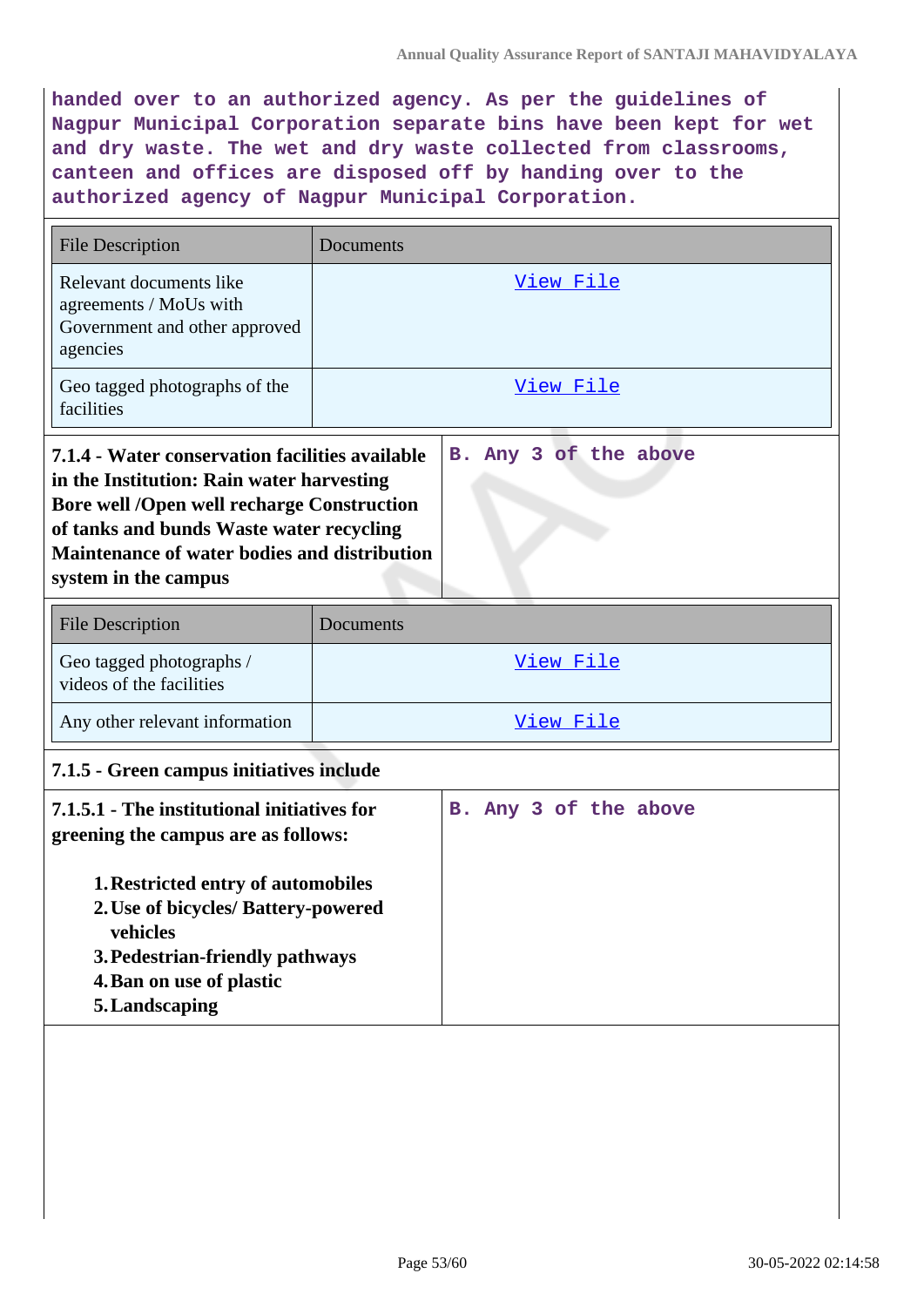**handed over to an authorized agency. As per the guidelines of Nagpur Municipal Corporation separate bins have been kept for wet and dry waste. The wet and dry waste collected from classrooms, canteen and offices are disposed off by handing over to the authorized agency of Nagpur Municipal Corporation.**

| <b>File Description</b>                                                                                                                                                                                                                                               | Documents             |  |  |  |  |
|-----------------------------------------------------------------------------------------------------------------------------------------------------------------------------------------------------------------------------------------------------------------------|-----------------------|--|--|--|--|
| Relevant documents like<br>agreements / MoUs with<br>Government and other approved<br>agencies                                                                                                                                                                        | <u>View File</u>      |  |  |  |  |
| Geo tagged photographs of the<br>facilities                                                                                                                                                                                                                           | <u>View File</u>      |  |  |  |  |
| 7.1.4 - Water conservation facilities available<br>in the Institution: Rain water harvesting<br><b>Bore well /Open well recharge Construction</b><br>of tanks and bunds Waste water recycling<br>Maintenance of water bodies and distribution<br>system in the campus | B. Any 3 of the above |  |  |  |  |
| <b>File Description</b>                                                                                                                                                                                                                                               | Documents             |  |  |  |  |
| Geo tagged photographs /<br>videos of the facilities                                                                                                                                                                                                                  | <u>View File</u>      |  |  |  |  |
| Any other relevant information                                                                                                                                                                                                                                        | View File             |  |  |  |  |
| 7.1.5 - Green campus initiatives include                                                                                                                                                                                                                              |                       |  |  |  |  |
| 7.1.5.1 - The institutional initiatives for<br>greening the campus are as follows:<br>1. Restricted entry of automobiles<br>2. Use of bicycles/ Battery-powered<br>vehicles<br>3. Pedestrian-friendly pathways<br>4. Ban on use of plastic<br>5. Landscaping          | B. Any 3 of the above |  |  |  |  |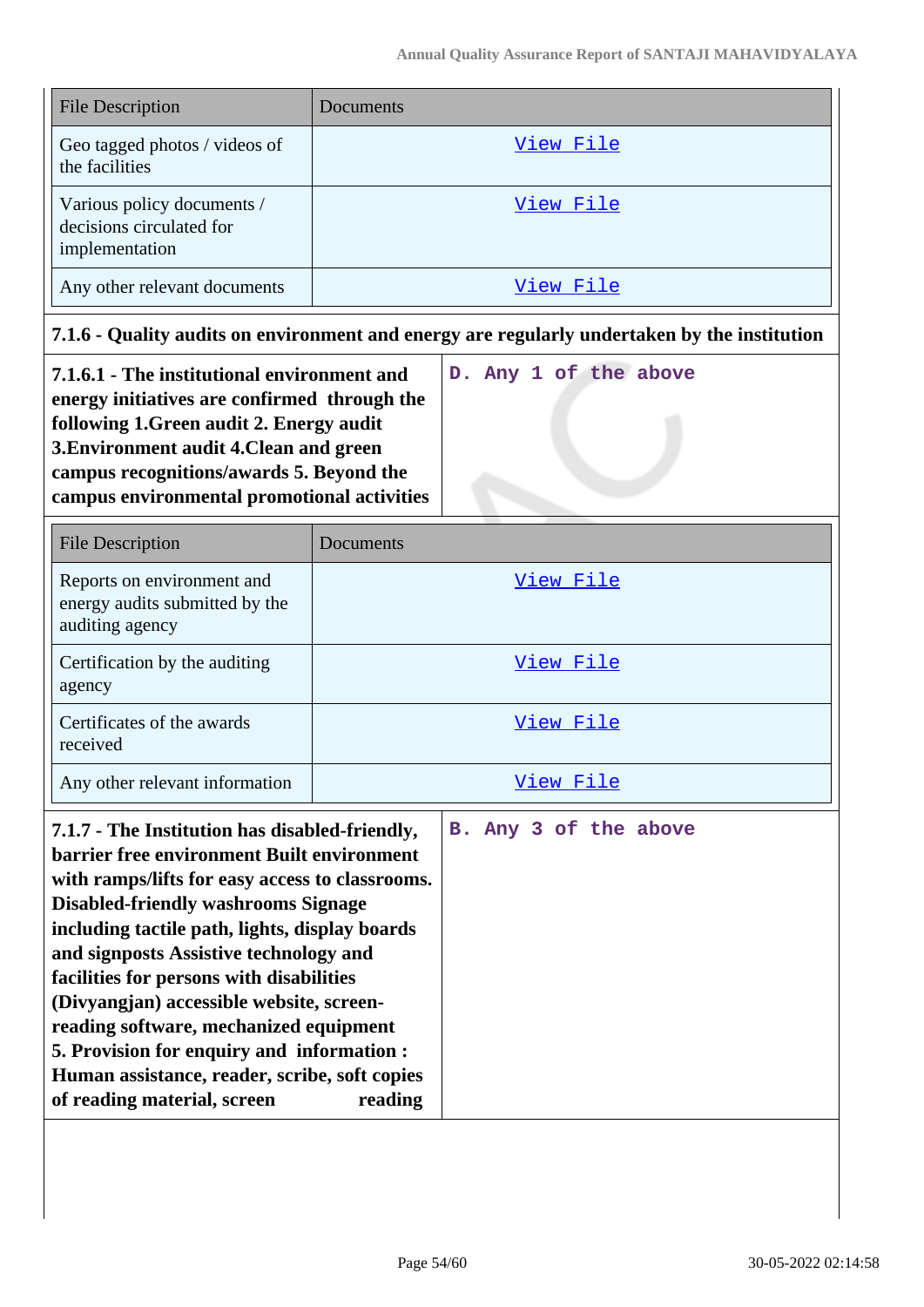| <b>File Description</b>                                                  | Documents |
|--------------------------------------------------------------------------|-----------|
| Geo tagged photos / videos of<br>the facilities                          | View File |
| Various policy documents /<br>decisions circulated for<br>implementation | View File |
| Any other relevant documents                                             | View File |

# **7.1.6 - Quality audits on environment and energy are regularly undertaken by the institution**

| 7.1.6.1 - The institutional environment and  |  |  | D. Any 1 of the above |
|----------------------------------------------|--|--|-----------------------|
| energy initiatives are confirmed through the |  |  |                       |
| following 1. Green audit 2. Energy audit     |  |  |                       |
| 3. Environment audit 4. Clean and green      |  |  |                       |
| campus recognitions/awards 5. Beyond the     |  |  |                       |
| campus environmental promotional activities  |  |  |                       |

| <b>File Description</b>                                                         | Documents |
|---------------------------------------------------------------------------------|-----------|
| Reports on environment and<br>energy audits submitted by the<br>auditing agency | View File |
| Certification by the auditing<br>agency                                         | View File |
| Certificates of the awards<br>received                                          | View File |
| Any other relevant information                                                  | View File |

| 7.1.7 - The Institution has disabled-friendly,    |  |  | B. Any 3 of the above |  |
|---------------------------------------------------|--|--|-----------------------|--|
| <b>barrier free environment Built environment</b> |  |  |                       |  |
| with ramps/lifts for easy access to classrooms.   |  |  |                       |  |
| <b>Disabled-friendly washrooms Signage</b>        |  |  |                       |  |
| including tactile path, lights, display boards    |  |  |                       |  |
| and signposts Assistive technology and            |  |  |                       |  |
| facilities for persons with disabilities          |  |  |                       |  |
| (Divyangjan) accessible website, screen-          |  |  |                       |  |
| reading software, mechanized equipment            |  |  |                       |  |
| 5. Provision for enquiry and information :        |  |  |                       |  |
| Human assistance, reader, scribe, soft copies     |  |  |                       |  |
| of reading material, screen<br>reading            |  |  |                       |  |
|                                                   |  |  |                       |  |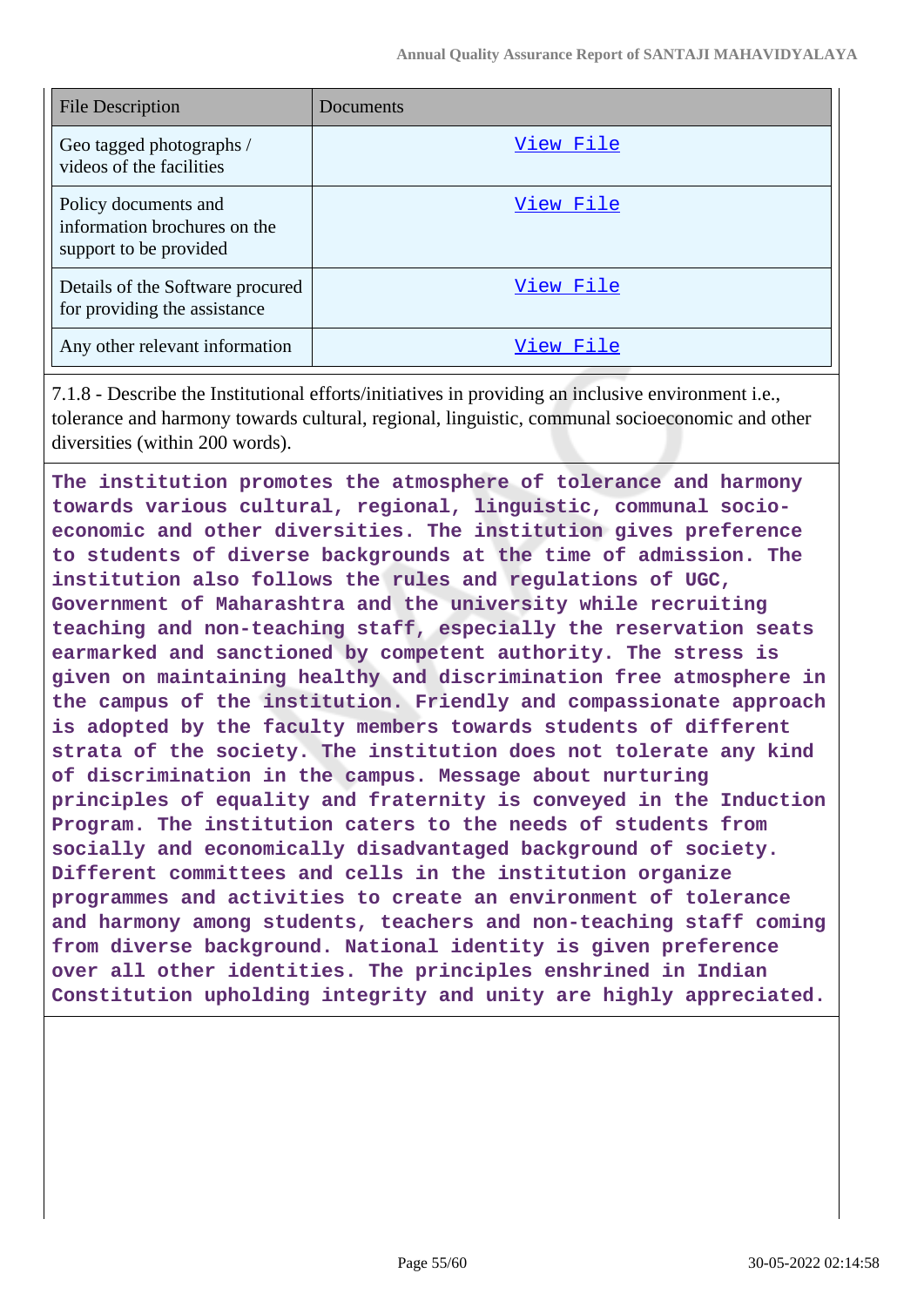| <b>File Description</b>                                                        | Documents |
|--------------------------------------------------------------------------------|-----------|
| Geo tagged photographs /<br>videos of the facilities                           | View File |
| Policy documents and<br>information brochures on the<br>support to be provided | View File |
| Details of the Software procured<br>for providing the assistance               | View File |
| Any other relevant information                                                 | View File |

7.1.8 - Describe the Institutional efforts/initiatives in providing an inclusive environment i.e., tolerance and harmony towards cultural, regional, linguistic, communal socioeconomic and other diversities (within 200 words).

**The institution promotes the atmosphere of tolerance and harmony towards various cultural, regional, linguistic, communal socioeconomic and other diversities. The institution gives preference to students of diverse backgrounds at the time of admission. The institution also follows the rules and regulations of UGC, Government of Maharashtra and the university while recruiting teaching and non-teaching staff, especially the reservation seats earmarked and sanctioned by competent authority. The stress is given on maintaining healthy and discrimination free atmosphere in the campus of the institution. Friendly and compassionate approach is adopted by the faculty members towards students of different strata of the society. The institution does not tolerate any kind of discrimination in the campus. Message about nurturing principles of equality and fraternity is conveyed in the Induction Program. The institution caters to the needs of students from socially and economically disadvantaged background of society. Different committees and cells in the institution organize programmes and activities to create an environment of tolerance and harmony among students, teachers and non-teaching staff coming from diverse background. National identity is given preference over all other identities. The principles enshrined in Indian Constitution upholding integrity and unity are highly appreciated.**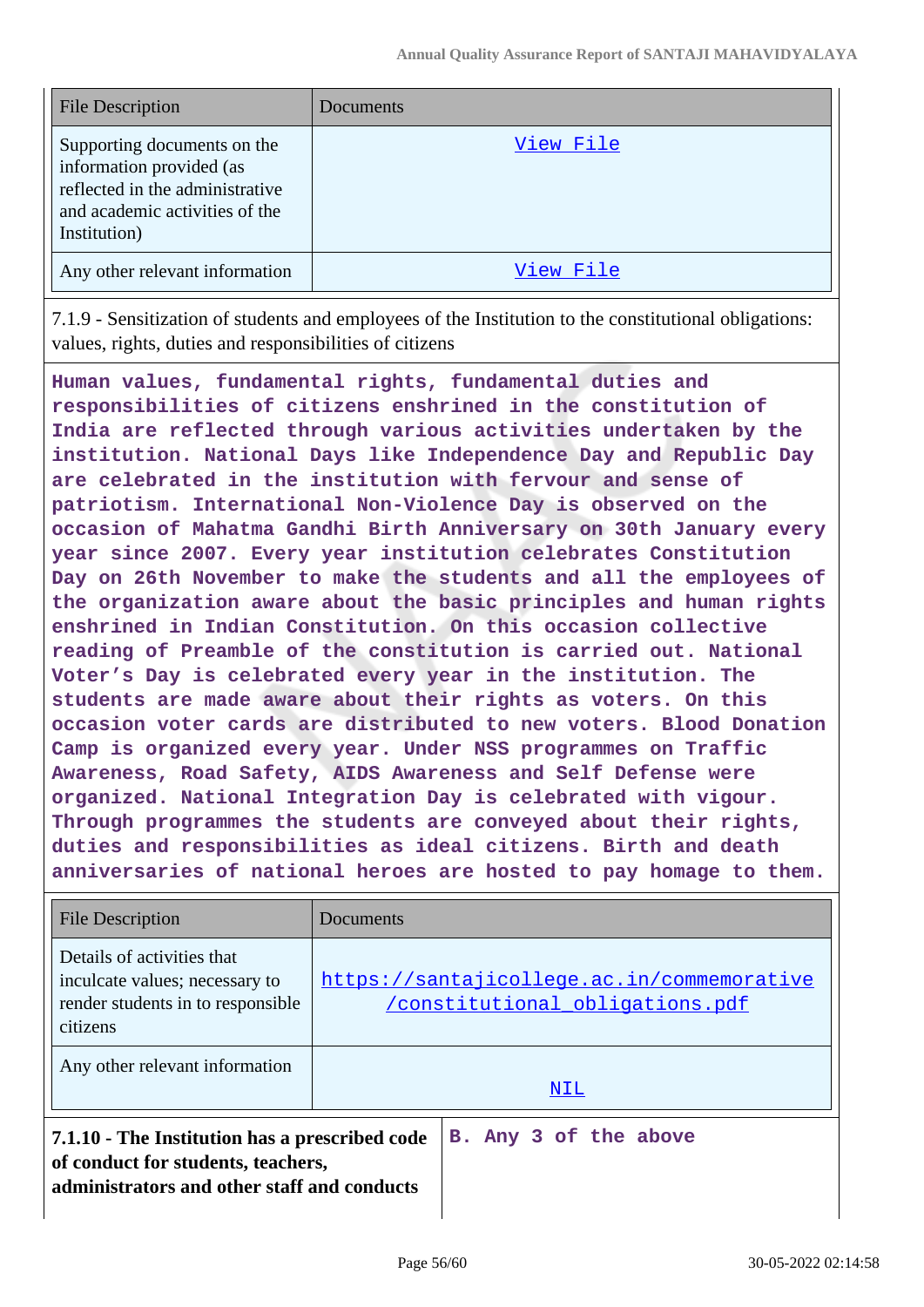| <b>File Description</b>                                                                                                                      | Documents |
|----------------------------------------------------------------------------------------------------------------------------------------------|-----------|
| Supporting documents on the<br>information provided (as<br>reflected in the administrative<br>and academic activities of the<br>Institution) | View File |
| Any other relevant information                                                                                                               | View File |

7.1.9 - Sensitization of students and employees of the Institution to the constitutional obligations: values, rights, duties and responsibilities of citizens

**Human values, fundamental rights, fundamental duties and responsibilities of citizens enshrined in the constitution of India are reflected through various activities undertaken by the institution. National Days like Independence Day and Republic Day are celebrated in the institution with fervour and sense of patriotism. International Non-Violence Day is observed on the occasion of Mahatma Gandhi Birth Anniversary on 30th January every year since 2007. Every year institution celebrates Constitution Day on 26th November to make the students and all the employees of the organization aware about the basic principles and human rights enshrined in Indian Constitution. On this occasion collective reading of Preamble of the constitution is carried out. National Voter's Day is celebrated every year in the institution. The students are made aware about their rights as voters. On this occasion voter cards are distributed to new voters. Blood Donation Camp is organized every year. Under NSS programmes on Traffic Awareness, Road Safety, AIDS Awareness and Self Defense were organized. National Integration Day is celebrated with vigour. Through programmes the students are conveyed about their rights, duties and responsibilities as ideal citizens. Birth and death anniversaries of national heroes are hosted to pay homage to them.**

| <b>File Description</b>                                                                                                             | Documents                                                                     |  |  |  |
|-------------------------------------------------------------------------------------------------------------------------------------|-------------------------------------------------------------------------------|--|--|--|
| Details of activities that<br>inculcate values; necessary to<br>render students in to responsible<br>citizens                       | https://santajicollege.ac.in/commemorative<br>/constitutional obligations.pdf |  |  |  |
| Any other relevant information                                                                                                      | NIL                                                                           |  |  |  |
| 7.1.10 - The Institution has a prescribed code<br>of conduct for students, teachers,<br>administrators and other staff and conducts | B. Any 3 of the above                                                         |  |  |  |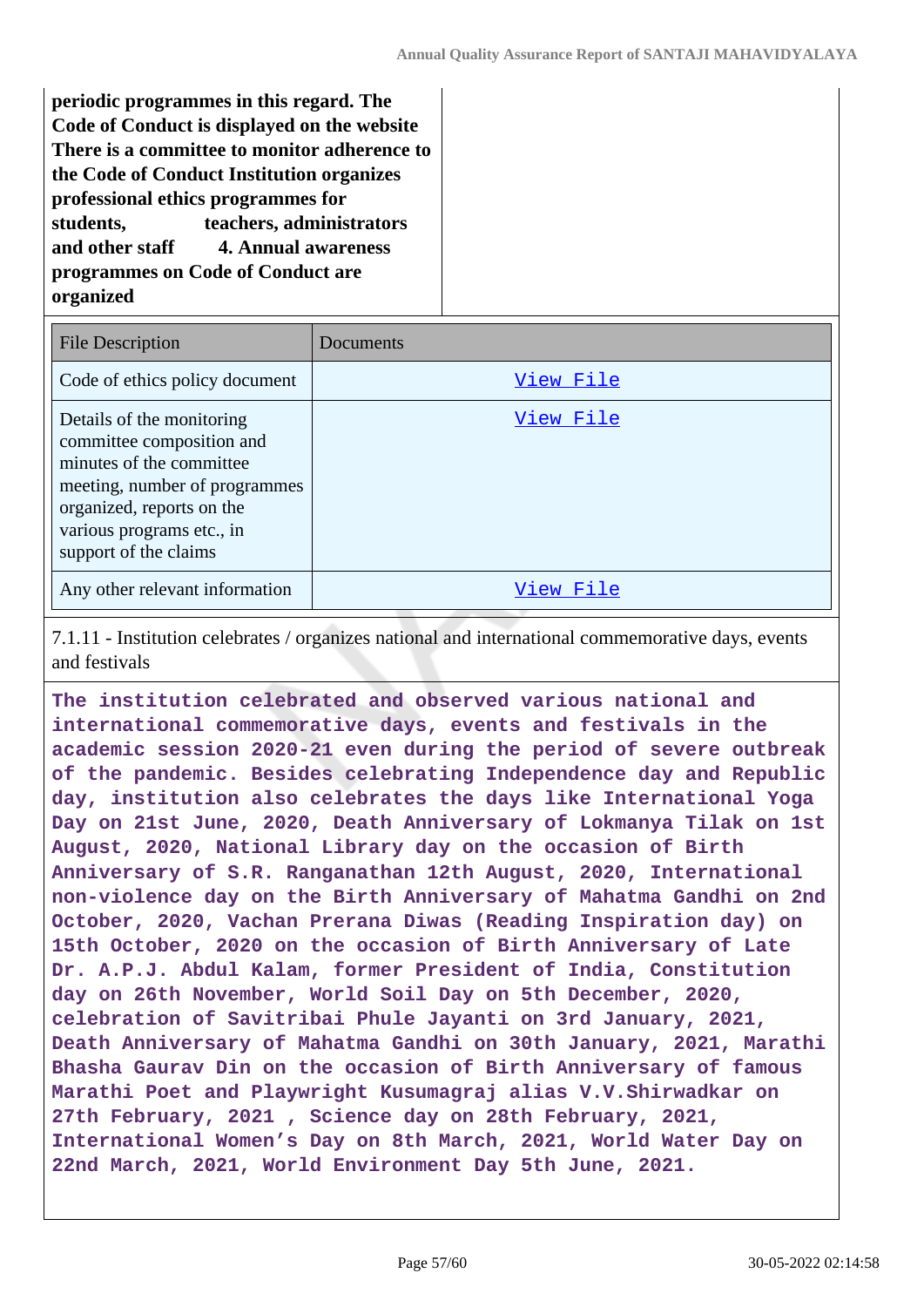**periodic programmes in this regard. The Code of Conduct is displayed on the website There is a committee to monitor adherence to the Code of Conduct Institution organizes professional ethics programmes for students, teachers, administrators and other staff 4. Annual awareness programmes on Code of Conduct are organized**

| <b>File Description</b>                                                                                                                                                                                | Documents |
|--------------------------------------------------------------------------------------------------------------------------------------------------------------------------------------------------------|-----------|
| Code of ethics policy document                                                                                                                                                                         | View File |
| Details of the monitoring<br>committee composition and<br>minutes of the committee<br>meeting, number of programmes<br>organized, reports on the<br>various programs etc., in<br>support of the claims | View File |
| Any other relevant information                                                                                                                                                                         | View File |

7.1.11 - Institution celebrates / organizes national and international commemorative days, events and festivals

**The institution celebrated and observed various national and international commemorative days, events and festivals in the academic session 2020-21 even during the period of severe outbreak of the pandemic. Besides celebrating Independence day and Republic day, institution also celebrates the days like International Yoga Day on 21st June, 2020, Death Anniversary of Lokmanya Tilak on 1st August, 2020, National Library day on the occasion of Birth Anniversary of S.R. Ranganathan 12th August, 2020, International non-violence day on the Birth Anniversary of Mahatma Gandhi on 2nd October, 2020, Vachan Prerana Diwas (Reading Inspiration day) on 15th October, 2020 on the occasion of Birth Anniversary of Late Dr. A.P.J. Abdul Kalam, former President of India, Constitution day on 26th November, World Soil Day on 5th December, 2020, celebration of Savitribai Phule Jayanti on 3rd January, 2021, Death Anniversary of Mahatma Gandhi on 30th January, 2021, Marathi Bhasha Gaurav Din on the occasion of Birth Anniversary of famous Marathi Poet and Playwright Kusumagraj alias V.V.Shirwadkar on 27th February, 2021 , Science day on 28th February, 2021, International Women's Day on 8th March, 2021, World Water Day on 22nd March, 2021, World Environment Day 5th June, 2021.**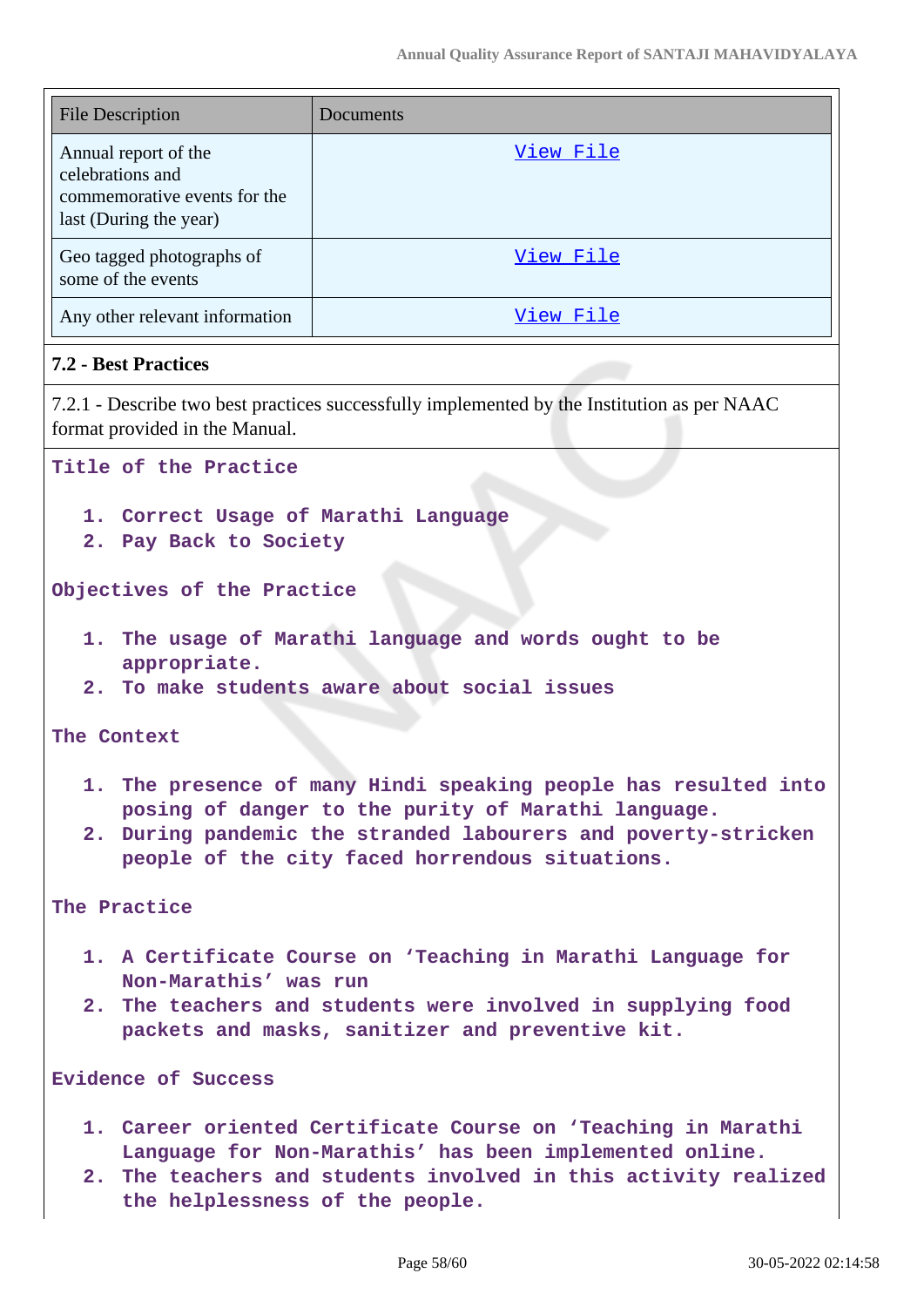| <b>File Description</b>                                                                            | Documents |
|----------------------------------------------------------------------------------------------------|-----------|
| Annual report of the<br>celebrations and<br>commemorative events for the<br>last (During the year) | View File |
| Geo tagged photographs of<br>some of the events                                                    | View File |
| Any other relevant information                                                                     | View File |

#### **7.2 - Best Practices**

7.2.1 - Describe two best practices successfully implemented by the Institution as per NAAC format provided in the Manual.

**Title of the Practice**

- **1. Correct Usage of Marathi Language**
- **2. Pay Back to Society**

**Objectives of the Practice** 

- **1. The usage of Marathi language and words ought to be appropriate.**
- **2. To make students aware about social issues**

**The Context**

- **1. The presence of many Hindi speaking people has resulted into posing of danger to the purity of Marathi language.**
- **2. During pandemic the stranded labourers and poverty-stricken people of the city faced horrendous situations.**

**The Practice**

- **1. A Certificate Course on 'Teaching in Marathi Language for Non-Marathis' was run**
- **2. The teachers and students were involved in supplying food packets and masks, sanitizer and preventive kit.**

**Evidence of Success**

- **1. Career oriented Certificate Course on 'Teaching in Marathi Language for Non-Marathis' has been implemented online.**
- **2. The teachers and students involved in this activity realized the helplessness of the people.**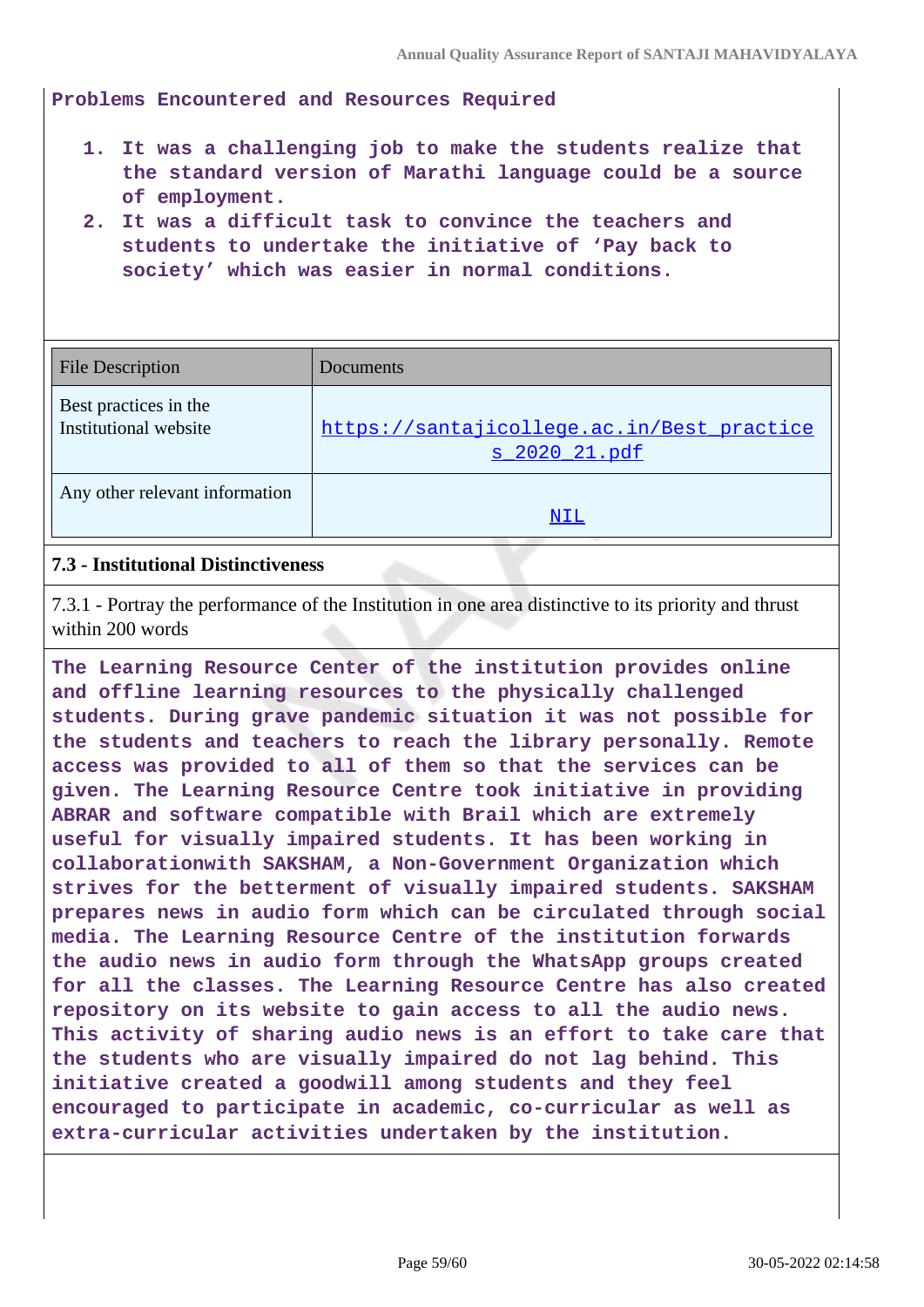**Problems Encountered and Resources Required**

- **1. It was a challenging job to make the students realize that the standard version of Marathi language could be a source of employment.**
- **2. It was a difficult task to convince the teachers and students to undertake the initiative of 'Pay back to society' which was easier in normal conditions.**

| <b>File Description</b>                        | Documents                                                          |
|------------------------------------------------|--------------------------------------------------------------------|
| Best practices in the<br>Institutional website | https://santajicollege.ac.in/Best_practice<br><u>s 2020 21.pdf</u> |
| Any other relevant information                 | NIL                                                                |

#### **7.3 - Institutional Distinctiveness**

7.3.1 - Portray the performance of the Institution in one area distinctive to its priority and thrust within 200 words

**The Learning Resource Center of the institution provides online and offline learning resources to the physically challenged students. During grave pandemic situation it was not possible for the students and teachers to reach the library personally. Remote access was provided to all of them so that the services can be given. The Learning Resource Centre took initiative in providing ABRAR and software compatible with Brail which are extremely useful for visually impaired students. It has been working in collaborationwith SAKSHAM, a Non-Government Organization which strives for the betterment of visually impaired students. SAKSHAM prepares news in audio form which can be circulated through social media. The Learning Resource Centre of the institution forwards the audio news in audio form through the WhatsApp groups created for all the classes. The Learning Resource Centre has also created repository on its website to gain access to all the audio news. This activity of sharing audio news is an effort to take care that the students who are visually impaired do not lag behind. This initiative created a goodwill among students and they feel encouraged to participate in academic, co-curricular as well as extra-curricular activities undertaken by the institution.**